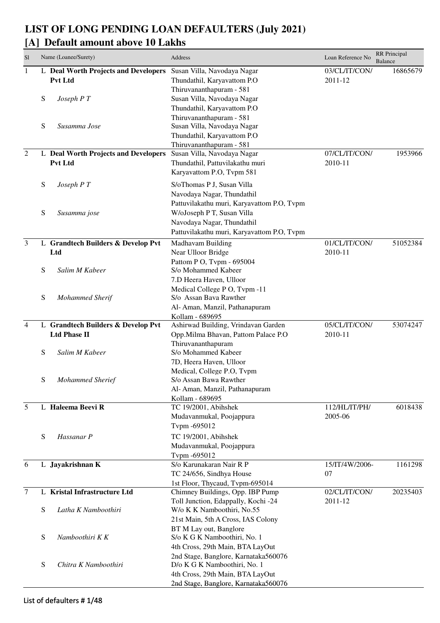## **LIST OF LONG PENDING LOAN DEFAULTERS (July 2021)**

## **[A] Default amount above 10 Lakhs**

| S <sub>1</sub> |   | Name (Loanee/Surety)                 | Address                                                      | Loan Reference No | RR Principal<br><b>Balance</b> |
|----------------|---|--------------------------------------|--------------------------------------------------------------|-------------------|--------------------------------|
| $\mathbf{1}$   |   | L Deal Worth Projects and Developers | Susan Villa, Navodaya Nagar                                  | 03/CL/IT/CON/     | 16865679                       |
|                |   | Pvt Ltd                              | Thundathil, Karyavattom P.O.                                 | 2011-12           |                                |
|                |   |                                      | Thiruvananthapuram - 581                                     |                   |                                |
|                | S | Joseph P T                           | Susan Villa, Navodaya Nagar                                  |                   |                                |
|                |   |                                      | Thundathil, Karyavattom P.O                                  |                   |                                |
|                |   |                                      | Thiruvananthapuram - 581                                     |                   |                                |
|                | S | Susamma Jose                         | Susan Villa, Navodaya Nagar                                  |                   |                                |
|                |   |                                      | Thundathil, Karyavattom P.O                                  |                   |                                |
|                |   |                                      | Thiruvananthapuram - 581                                     |                   |                                |
| $\overline{2}$ |   | L Deal Worth Projects and Developers | Susan Villa, Navodaya Nagar                                  | 07/CL/IT/CON/     | 1953966                        |
|                |   | <b>Pvt Ltd</b>                       | Thundathil, Pattuvilakathu muri                              | 2010-11           |                                |
|                |   |                                      | Karyavattom P.O, Tvpm 581                                    |                   |                                |
|                | S | Joseph P T                           | S/oThomas P J, Susan Villa                                   |                   |                                |
|                |   |                                      | Navodaya Nagar, Thundathil                                   |                   |                                |
|                |   |                                      | Pattuvilakathu muri, Karyavattom P.O, Tvpm                   |                   |                                |
|                | S | Susamma jose                         | W/oJoseph P T, Susan Villa                                   |                   |                                |
|                |   |                                      | Navodaya Nagar, Thundathil                                   |                   |                                |
|                |   |                                      | Pattuvilakathu muri, Karyavattom P.O, Tvpm                   |                   |                                |
| $\mathfrak{Z}$ |   | L Grandtech Builders & Develop Pvt   | Madhavam Building                                            | 01/CL/IT/CON/     | 51052384                       |
|                |   | Ltd                                  | Near Ulloor Bridge                                           | 2010-11           |                                |
|                |   |                                      | Pattom P O, Tvpm - 695004                                    |                   |                                |
|                | S | Salim M Kabeer                       | S/o Mohammed Kabeer                                          |                   |                                |
|                |   |                                      | 7.D Heera Haven, Ulloor                                      |                   |                                |
|                |   |                                      | Medical College P O, Tvpm -11                                |                   |                                |
|                | S | <b>Mohammed Sherif</b>               | S/o Assan Bava Rawther                                       |                   |                                |
|                |   |                                      | Al- Aman, Manzil, Pathanapuram                               |                   |                                |
|                |   |                                      | Kollam - 689695                                              |                   |                                |
| $\overline{4}$ |   | L Grandtech Builders & Develop Pvt   | Ashirwad Building, Vrindavan Garden                          | 05/CL/IT/CON/     | 53074247                       |
|                |   | <b>Ltd Phase II</b>                  | Opp.Milma Bhavan, Pattom Palace P.O                          | 2010-11           |                                |
|                |   |                                      | Thiruvananthapuram                                           |                   |                                |
|                | S | Salim M Kabeer                       | S/o Mohammed Kabeer                                          |                   |                                |
|                |   |                                      | 7D, Heera Haven, Ulloor                                      |                   |                                |
|                |   |                                      | Medical, College P.O, Tvpm                                   |                   |                                |
|                | S | <b>Mohammed Sherief</b>              | S/o Assan Bawa Rawther                                       |                   |                                |
|                |   |                                      | Al- Aman, Manzil, Pathanapuram                               |                   |                                |
|                |   |                                      | Kollam - 689695                                              |                   |                                |
| 5              |   | L Haleema Beevi R                    | TC 19/2001, Abihshek                                         | 112/HL/IT/PH/     | 6018438                        |
|                |   |                                      | Mudavanmukal, Poojappura                                     | 2005-06           |                                |
|                |   |                                      | Tvpm -695012                                                 |                   |                                |
|                | S | Hassanar P                           | TC 19/2001, Abihshek                                         |                   |                                |
|                |   |                                      | Mudavanmukal, Poojappura                                     |                   |                                |
|                |   |                                      | Tvpm -695012                                                 |                   |                                |
| 6              |   | L Jayakrishnan K                     | S/o Karunakaran Nair R P                                     | 15/IT/4W/2006-    | 1161298                        |
|                |   |                                      | TC 24/656, Sindhya House                                     | 07                |                                |
|                |   |                                      | 1st Floor, Thycaud, Tvpm-695014                              |                   |                                |
| $\tau$         |   | L Kristal Infrastructure Ltd         | Chimney Buildings, Opp. IBP Pump                             | 02/CL/IT/CON/     | 20235403                       |
|                |   |                                      | Toll Junction, Edappally, Kochi -24                          | 2011-12           |                                |
|                | S | Latha K Namboothiri                  | W/o K K Namboothiri, No.55                                   |                   |                                |
|                |   |                                      | 21st Main, 5th A Cross, IAS Colony<br>BT M Lay out, Banglore |                   |                                |
|                | S | Namboothiri K K                      | S/o K G K Namboothiri, No. 1                                 |                   |                                |
|                |   |                                      | 4th Cross, 29th Main, BTA LayOut                             |                   |                                |
|                |   |                                      | 2nd Stage, Banglore, Karnataka560076                         |                   |                                |
|                | S | Chitra K Namboothiri                 | D/o K G K Namboothiri, No. 1                                 |                   |                                |
|                |   |                                      | 4th Cross, 29th Main, BTA LayOut                             |                   |                                |
|                |   |                                      | 2nd Stage, Banglore, Karnataka560076                         |                   |                                |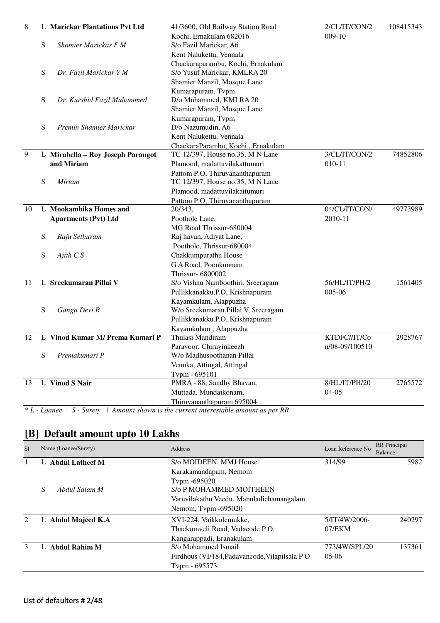| $009-10$<br>Kochi, Ernakulam 682016<br>${\bf S}$<br>Shamier Marickar F M<br>S/o Fazil Marickar, A6<br>Kent Nalukettu, Vennala<br>Chackaraparambu, Kochi, Ernakulam<br>S/o Yusuf Marickar, KMLRA 20<br>S<br>Dr. Fazil Marickar Y M<br>Shamier Manzil, Mosque Lane<br>Kumarapuram, Tvpm<br>D/o Muhammed, KMLRA 20<br>S<br>Dr. Kurshid Fazil Muhammed<br>Shamier Manzil, Mosque Lane<br>Kumarapuram, Tvpm<br>S<br>Premin Shamier Marickar<br>D/o Nazumudin, A6<br>Kent Nalukettu, Vennala<br>ChackaraParambu, Kochi, Ernakulam<br>9<br>3/CL/IT/CON/2<br>L Mirabella - Roy Joseph Parangot<br>TC 12/397, House no.35, M N Lane<br>74852806<br>and Miriam<br>Plamood, madattuvilakattumuri<br>$010 - 11$<br>Pattom P.O, Thiruvananthapuram<br>S<br>TC 12/397, House no.35, M N Lane<br><b>Miriam</b><br>Plamood, madattuvilakattumuri<br>Pattom P.O, Thiruvananthapuram<br>L Mookambika Homes and<br>04/CL/IT/CON/<br>49773989<br>10<br>20/343,<br>2010-11<br><b>Apartments (Pvt) Ltd</b><br>Poothole Lane, |
|--------------------------------------------------------------------------------------------------------------------------------------------------------------------------------------------------------------------------------------------------------------------------------------------------------------------------------------------------------------------------------------------------------------------------------------------------------------------------------------------------------------------------------------------------------------------------------------------------------------------------------------------------------------------------------------------------------------------------------------------------------------------------------------------------------------------------------------------------------------------------------------------------------------------------------------------------------------------------------------------------------|
|                                                                                                                                                                                                                                                                                                                                                                                                                                                                                                                                                                                                                                                                                                                                                                                                                                                                                                                                                                                                        |
|                                                                                                                                                                                                                                                                                                                                                                                                                                                                                                                                                                                                                                                                                                                                                                                                                                                                                                                                                                                                        |
|                                                                                                                                                                                                                                                                                                                                                                                                                                                                                                                                                                                                                                                                                                                                                                                                                                                                                                                                                                                                        |
|                                                                                                                                                                                                                                                                                                                                                                                                                                                                                                                                                                                                                                                                                                                                                                                                                                                                                                                                                                                                        |
|                                                                                                                                                                                                                                                                                                                                                                                                                                                                                                                                                                                                                                                                                                                                                                                                                                                                                                                                                                                                        |
|                                                                                                                                                                                                                                                                                                                                                                                                                                                                                                                                                                                                                                                                                                                                                                                                                                                                                                                                                                                                        |
|                                                                                                                                                                                                                                                                                                                                                                                                                                                                                                                                                                                                                                                                                                                                                                                                                                                                                                                                                                                                        |
|                                                                                                                                                                                                                                                                                                                                                                                                                                                                                                                                                                                                                                                                                                                                                                                                                                                                                                                                                                                                        |
|                                                                                                                                                                                                                                                                                                                                                                                                                                                                                                                                                                                                                                                                                                                                                                                                                                                                                                                                                                                                        |
|                                                                                                                                                                                                                                                                                                                                                                                                                                                                                                                                                                                                                                                                                                                                                                                                                                                                                                                                                                                                        |
|                                                                                                                                                                                                                                                                                                                                                                                                                                                                                                                                                                                                                                                                                                                                                                                                                                                                                                                                                                                                        |
|                                                                                                                                                                                                                                                                                                                                                                                                                                                                                                                                                                                                                                                                                                                                                                                                                                                                                                                                                                                                        |
|                                                                                                                                                                                                                                                                                                                                                                                                                                                                                                                                                                                                                                                                                                                                                                                                                                                                                                                                                                                                        |
|                                                                                                                                                                                                                                                                                                                                                                                                                                                                                                                                                                                                                                                                                                                                                                                                                                                                                                                                                                                                        |
|                                                                                                                                                                                                                                                                                                                                                                                                                                                                                                                                                                                                                                                                                                                                                                                                                                                                                                                                                                                                        |
|                                                                                                                                                                                                                                                                                                                                                                                                                                                                                                                                                                                                                                                                                                                                                                                                                                                                                                                                                                                                        |
|                                                                                                                                                                                                                                                                                                                                                                                                                                                                                                                                                                                                                                                                                                                                                                                                                                                                                                                                                                                                        |
|                                                                                                                                                                                                                                                                                                                                                                                                                                                                                                                                                                                                                                                                                                                                                                                                                                                                                                                                                                                                        |
|                                                                                                                                                                                                                                                                                                                                                                                                                                                                                                                                                                                                                                                                                                                                                                                                                                                                                                                                                                                                        |
|                                                                                                                                                                                                                                                                                                                                                                                                                                                                                                                                                                                                                                                                                                                                                                                                                                                                                                                                                                                                        |
|                                                                                                                                                                                                                                                                                                                                                                                                                                                                                                                                                                                                                                                                                                                                                                                                                                                                                                                                                                                                        |
| MG Road Thrissur-680004                                                                                                                                                                                                                                                                                                                                                                                                                                                                                                                                                                                                                                                                                                                                                                                                                                                                                                                                                                                |
| S<br>Raj havan, Adiyat Lane,<br>Raju Sethuram                                                                                                                                                                                                                                                                                                                                                                                                                                                                                                                                                                                                                                                                                                                                                                                                                                                                                                                                                          |
| Poothole, Thrissur-680004                                                                                                                                                                                                                                                                                                                                                                                                                                                                                                                                                                                                                                                                                                                                                                                                                                                                                                                                                                              |
| Chakkumpurathu House<br>S<br>Ajith C.S                                                                                                                                                                                                                                                                                                                                                                                                                                                                                                                                                                                                                                                                                                                                                                                                                                                                                                                                                                 |
| G A Road, Poonkunnam                                                                                                                                                                                                                                                                                                                                                                                                                                                                                                                                                                                                                                                                                                                                                                                                                                                                                                                                                                                   |
| Thrissur-6800002                                                                                                                                                                                                                                                                                                                                                                                                                                                                                                                                                                                                                                                                                                                                                                                                                                                                                                                                                                                       |
| L Sreekumaran Pillai V<br>11<br>56/HL/IT/PH/2<br>1561405<br>S/o Vishnu Namboothiri, Sreeragam                                                                                                                                                                                                                                                                                                                                                                                                                                                                                                                                                                                                                                                                                                                                                                                                                                                                                                          |
| Pullikkanakku.P.O, Krishnapuram<br>005-06                                                                                                                                                                                                                                                                                                                                                                                                                                                                                                                                                                                                                                                                                                                                                                                                                                                                                                                                                              |
| Kayamkulam, Alappuzha                                                                                                                                                                                                                                                                                                                                                                                                                                                                                                                                                                                                                                                                                                                                                                                                                                                                                                                                                                                  |
| S<br>Ganga Devi R<br>W/o Sreekumaran Pillai V, Sreeragam                                                                                                                                                                                                                                                                                                                                                                                                                                                                                                                                                                                                                                                                                                                                                                                                                                                                                                                                               |
| Pullikkanakku.P.O, Krishnapuram                                                                                                                                                                                                                                                                                                                                                                                                                                                                                                                                                                                                                                                                                                                                                                                                                                                                                                                                                                        |
| Kayamkulam, Alappuzha                                                                                                                                                                                                                                                                                                                                                                                                                                                                                                                                                                                                                                                                                                                                                                                                                                                                                                                                                                                  |
| L Vinod Kumar M/ Prema Kumari P<br>Thulasi Mandiram<br>12<br>KTDFC//IT/Co<br>2928767                                                                                                                                                                                                                                                                                                                                                                                                                                                                                                                                                                                                                                                                                                                                                                                                                                                                                                                   |
| Paravoor, Chirayinkeezh<br>n/08-09/100510                                                                                                                                                                                                                                                                                                                                                                                                                                                                                                                                                                                                                                                                                                                                                                                                                                                                                                                                                              |
| S<br>Premakumari P<br>W/o Madhusoothanan Pillai                                                                                                                                                                                                                                                                                                                                                                                                                                                                                                                                                                                                                                                                                                                                                                                                                                                                                                                                                        |
| Venuka, Attingal, Attingal                                                                                                                                                                                                                                                                                                                                                                                                                                                                                                                                                                                                                                                                                                                                                                                                                                                                                                                                                                             |
| Tvpm - 695101                                                                                                                                                                                                                                                                                                                                                                                                                                                                                                                                                                                                                                                                                                                                                                                                                                                                                                                                                                                          |
| PMRA - 88, Sandhy Bhavan,<br>L Vinod S Nair<br>8/HL/IT/PH/20<br>13<br>2765572                                                                                                                                                                                                                                                                                                                                                                                                                                                                                                                                                                                                                                                                                                                                                                                                                                                                                                                          |
| Muttada, Mundaikonam,<br>$04 - 05$                                                                                                                                                                                                                                                                                                                                                                                                                                                                                                                                                                                                                                                                                                                                                                                                                                                                                                                                                                     |
| Thiruvananthapuram 695004                                                                                                                                                                                                                                                                                                                                                                                                                                                                                                                                                                                                                                                                                                                                                                                                                                                                                                                                                                              |

*\* L - Loanee | S - Surety | Amount shown is the current interestable amount as per RR*

## **[B] Default amount upto 10 Lakhs**

| S1                          | Name (Loanee/Surety) | <b>Address</b>                                | Loan Reference No | <b>RR</b> Principal<br>Balance |
|-----------------------------|----------------------|-----------------------------------------------|-------------------|--------------------------------|
|                             | L Abdul Latheef M    | S/o MOIDEEN, MMJ House                        | 314/99            | 5982                           |
|                             |                      | Karakamandapam, Nemom                         |                   |                                |
|                             |                      | Typm -695020                                  |                   |                                |
|                             | S<br>Abdul Salam M   | S/o P MOHAMMED MOITHEEN                       |                   |                                |
|                             |                      | Varuvilakathu Veedu, Manuladichamangalam      |                   |                                |
|                             |                      | Nemom, Typm -695020                           |                   |                                |
| $\mathcal{D}_{\mathcal{L}}$ | L Abdul Majeed K.A   | XVI-224, Vaikkolemukke,                       | 5/IT/4W/2006-     | 240297                         |
|                             |                      | Thackomveli Road, Vadacode PO,                | $07$ /EKM         |                                |
|                             |                      | Kangarappadi, Eranakulam                      |                   |                                |
| 3                           | L Abdul Rahim M      | S/o Mohammed Ismail                           | 773/4W/SPL/20     | 137361                         |
|                             |                      | Firdhous (VI/184, Padavancode, Vilapilsala PO | $0.5 - 0.6$       |                                |
|                             |                      | Typm - 695573                                 |                   |                                |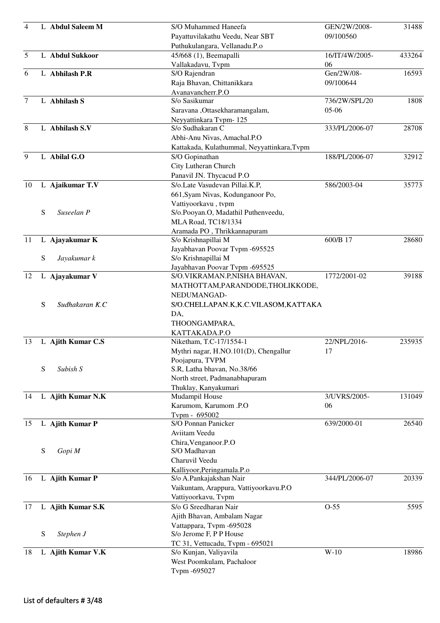| $\overline{4}$ |   | L Abdul Saleem M  | S/O Muhammed Haneefa                        | GEN/2W/2008-   | 31488  |
|----------------|---|-------------------|---------------------------------------------|----------------|--------|
|                |   |                   | Payattuvilakathu Veedu, Near SBT            | 09/100560      |        |
|                |   |                   | Puthukulangara, Vellanadu.P.o               |                |        |
| 5              |   | L Abdul Sukkoor   | 45/668 (1), Beemapalli                      | 16/IT/4W/2005- | 433264 |
|                |   |                   | Vallakadavu, Tvpm                           | 06             |        |
| 6              |   | L Abhilash P.R    | S/O Rajendran                               | Gen/2W/08-     | 16593  |
|                |   |                   | Raja Bhavan, Chittanikkara                  | 09/100644      |        |
|                |   |                   | Avanavancherr.P.O                           |                |        |
| $\overline{7}$ |   | L Abhilash S      | S/o Sasikumar                               | 736/2W/SPL/20  | 1808   |
|                |   |                   | Saravana, Ottasekharamangalam,              | 05-06          |        |
|                |   |                   | Neyyattinkara Tvpm-125                      |                |        |
| 8              |   | L Abhilash S.V    | S/o Sudhakaran C                            | 333/PL/2006-07 | 28708  |
|                |   |                   | Abhi-Anu Nivas, Amachal.P.O                 |                |        |
|                |   |                   | Kattakada, Kulathummal, Neyyattinkara, Tvpm |                |        |
| 9              |   | L Abilal G.O      | S/O Gopinathan                              | 188/PL/2006-07 | 32912  |
|                |   |                   | City Lutheran Church                        |                |        |
|                |   |                   | Panavil JN. Thycacud P.O                    |                |        |
| 10             |   | L Ajaikumar T.V   | S/o.Late Vasudevan Pillai.K.P,              | 586/2003-04    | 35773  |
|                |   |                   | 661, Syam Nivas, Kodunganoor Po,            |                |        |
|                |   |                   | Vattiyoorkavu, tvpm                         |                |        |
|                | S | Suseelan P        | S/o.Pooyan.O, Madathil Puthenveedu,         |                |        |
|                |   |                   | MLA Road, TC18/1334                         |                |        |
|                |   |                   | Aramada PO, Thrikkannapuram                 |                |        |
| 11             |   | L Ajayakumar K    | S/o Krishnapillai M                         | 600/B 17       | 28680  |
|                |   |                   | Jayabhavan Poovar Tvpm -695525              |                |        |
|                | S | Jayakumar k       | S/o Krishnapillai M                         |                |        |
|                |   |                   | Jayabhavan Poovar Tvpm -695525              |                |        |
| 12             |   | L Ajayakumar V    | S/O.VIKRAMAN.P,NISHA BHAVAN,                | 1772/2001-02   | 39188  |
|                |   |                   | MATHOTTAM, PARANDODE, THOLIKKODE,           |                |        |
|                |   |                   | NEDUMANGAD-                                 |                |        |
|                | S | Sudhakaran K.C    | S/O.CHELLAPAN.K,K.C.VILASOM,KATTAKA         |                |        |
|                |   |                   |                                             |                |        |
|                |   |                   | DA,                                         |                |        |
|                |   |                   | THOONGAMPARA,                               |                |        |
|                |   |                   | KATTAKADA.P.O                               | 22/NPL/2016-   | 235935 |
| 13             |   | L Ajith Kumar C.S | Niketham, T.C-17/1554-1                     |                |        |
|                |   |                   | Mythri nagar, H.NO.101(D), Chengallur       | 17             |        |
|                | S | Subish S          | Poojapura, TVPM                             |                |        |
|                |   |                   | S.R, Latha bhavan, No.38/66                 |                |        |
|                |   |                   | North street, Padmanabhapuram               |                |        |
| 14             |   | L Ajith Kumar N.K | Thuklay, Kanyakumari<br>Mudampil House      | 3/UVRS/2005-   | 131049 |
|                |   |                   | Karumom, Karumom .P.O                       | 06             |        |
|                |   |                   | Tvpm - 695002                               |                |        |
| 15             |   | L Ajith Kumar P   | S/O Ponnan Panicker                         | 639/2000-01    | 26540  |
|                |   |                   | Aviitam Veedu                               |                |        |
|                |   |                   | Chira, Venganoor.P.O                        |                |        |
|                | S | Gopi M            | S/O Madhavan                                |                |        |
|                |   |                   | Charuvil Veedu                              |                |        |
|                |   |                   | Kalliyoor, Peringamala.P.o                  |                |        |
| 16             |   | L Ajith Kumar P   | S/o A.Pankajakshan Nair                     | 344/PL/2006-07 | 20339  |
|                |   |                   | Vaikuntam, Arappura, Vattiyoorkavu.P.O      |                |        |
|                |   |                   | Vattiyoorkavu, Tvpm                         |                |        |
| 17             |   | L Ajith Kumar S.K | S/o G Sreedharan Nair                       | $O-55$         | 5595   |
|                |   |                   | Ajith Bhavan, Ambalam Nagar                 |                |        |
|                |   |                   | Vattappara, Tvpm -695028                    |                |        |
|                | S | Stephen J         | S/o Jerome F, P P House                     |                |        |
|                |   |                   | TC 31, Vettucadu, Tvpm - 695021             |                |        |
| 18             |   | L Ajith Kumar V.K | S/o Kunjan, Valiyavila                      | $W-10$         | 18986  |
|                |   |                   | West Poomkulam, Pachaloor                   |                |        |
|                |   |                   | Tvpm -695027                                |                |        |
|                |   |                   |                                             |                |        |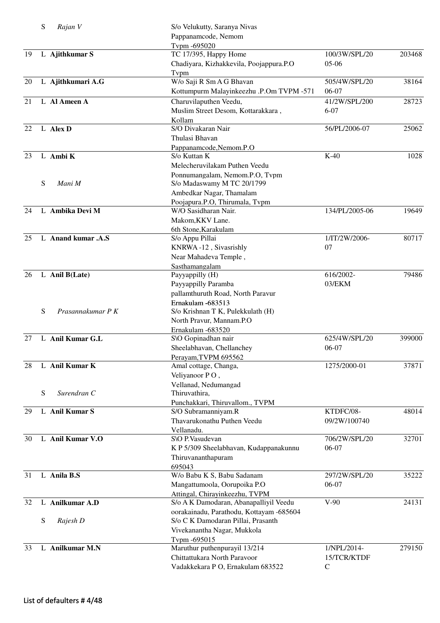|    | S | Rajan V            | S/o Velukutty, Saranya Nivas<br>Pappanamcode, Nemom<br>Tvpm -695020      |                           |        |
|----|---|--------------------|--------------------------------------------------------------------------|---------------------------|--------|
| 19 |   | L Ajithkumar S     | TC 17/395, Happy Home<br>Chadiyara, Kizhakkevila, Poojappura.P.O<br>Tvpm | 100/3W/SPL/20<br>$05-06$  | 203468 |
| 20 |   | L Ajithkumari A.G  | W/o Saji R Sm A G Bhavan                                                 | 505/4W/SPL/20             | 38164  |
|    |   |                    | Kottumpurm Malayinkeezhu .P.Om TVPM -571                                 | 06-07                     |        |
| 21 |   | L Al Ameen A       | Charuvilaputhen Veedu,<br>Muslim Street Desom, Kottarakkara,<br>Kollam   | 41/2W/SPL/200<br>$6 - 07$ | 28723  |
| 22 |   | L Alex D           | S/O Divakaran Nair                                                       | 56/PL/2006-07             | 25062  |
|    |   |                    | Thulasi Bhavan                                                           |                           |        |
| 23 |   | L Ambi K           | Pappanamcode, Nemom.P.O<br>S/o Kuttan K                                  | $K-40$                    | 1028   |
|    |   |                    | Melecheruvilakam Puthen Veedu                                            |                           |        |
|    | S | Mani M             | Ponnumangalam, Nemom.P.O, Tvpm<br>S/o Madaswamy M TC 20/1799             |                           |        |
|    |   |                    | Ambedkar Nagar, Thamalam                                                 |                           |        |
| 24 |   | L Ambika Devi M    | Poojapura.P.O, Thirumala, Tvpm<br>W/O Sasidharan Nair.                   | 134/PL/2005-06            | 19649  |
|    |   |                    | Makom, KKV Lane.                                                         |                           |        |
|    |   |                    | 6th Stone, Karakulam                                                     |                           |        |
| 25 |   | L Anand kumar .A.S | S/o Appu Pillai                                                          | 1/IT/2W/2006-             | 80717  |
|    |   |                    | KNRWA-12, Sivasrishly                                                    | 07                        |        |
|    |   |                    | Near Mahadeva Temple,                                                    |                           |        |
|    |   |                    | Sasthamangalam                                                           |                           |        |
| 26 |   | L Anil B(Late)     | Payyappilly (H)                                                          | 616/2002-                 | 79486  |
|    |   |                    | Payyappilly Paramba                                                      | 03/EKM                    |        |
|    |   |                    | pallamthuruth Road, North Paravur                                        |                           |        |
|    |   |                    | Ernakulam -683513                                                        |                           |        |
|    | S | Prasannakumar P K  | S/o Krishnan T K, Pulekkulath (H)                                        |                           |        |
|    |   |                    | North Pravur, Mannam.P.O<br>Ernakulam -683520                            |                           |        |
| 27 |   | L Anil Kumar G.L   | S\O Gopinadhan nair                                                      | 625/4W/SPL/20             | 399000 |
|    |   |                    | Sheelabhavan, Chellanchey                                                | 06-07                     |        |
|    |   |                    | Perayam, TVPM 695562                                                     |                           |        |
| 28 |   | L Anil Kumar K     | Amal cottage, Changa,                                                    | 1275/2000-01              | 37871  |
|    |   |                    | Veliyanoor PO,                                                           |                           |        |
|    |   |                    | Vellanad, Nedumangad                                                     |                           |        |
|    | S | Surendran C        | Thiruvathira,                                                            |                           |        |
|    |   |                    | Punchakkari, Thiruvallom., TVPM                                          |                           |        |
| 29 |   | L Anil Kumar S     | S/O Subramanniyam.R<br>Thavarukonathu Puthen Veedu                       | KTDFC/08-<br>09/2W/100740 | 48014  |
|    |   |                    | Vellanadu.                                                               |                           |        |
| 30 |   | L Anil Kumar V.O   | S\O P.Vasudevan                                                          | 706/2W/SPL/20             | 32701  |
|    |   |                    | K P 5/309 Sheelabhavan, Kudappanakunnu                                   | 06-07                     |        |
|    |   |                    | Thiruvananthapuram                                                       |                           |        |
|    |   |                    | 695043                                                                   |                           |        |
| 31 |   | L Anila B.S        | W/o Babu K S, Babu Sadanam                                               | 297/2W/SPL/20             | 35222  |
|    |   |                    | Mangattumoola, Oorupoika P.O                                             | 06-07                     |        |
|    |   |                    | Attingal, Chirayinkeezhu, TVPM                                           |                           |        |
| 32 |   | L Anilkumar A.D    | S/o A K Damodaran, Abanapalliyil Veedu                                   | $V-90$                    | 24131  |
|    |   |                    | oorakainadu, Parathodu, Kottayam -685604                                 |                           |        |
|    | S | Rajesh D           | S/o C K Damodaran Pillai, Prasanth                                       |                           |        |
|    |   |                    | Vivekanantha Nagar, Mukkola<br>Tvpm -695015                              |                           |        |
| 33 |   | L Anilkumar M.N    | Maruthur puthenpurayil 13/214                                            | 1/NPL/2014-               | 279150 |
|    |   |                    | Chittattukara North Paravoor                                             | 15/TCR/KTDF               |        |
|    |   |                    | Vadakkekara P O, Ernakulam 683522                                        | $\mathsf{C}$              |        |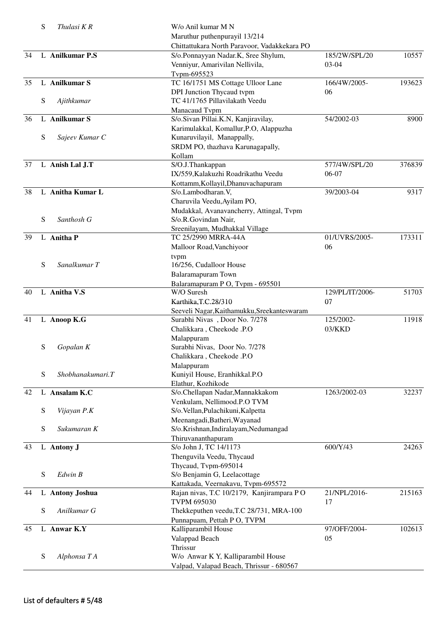|    | S | Thulasi KR        | W/o Anil kumar M N                                            |                 |        |
|----|---|-------------------|---------------------------------------------------------------|-----------------|--------|
|    |   |                   | Maruthur puthenpurayil 13/214                                 |                 |        |
|    |   |                   | Chittattukara North Paravoor, Vadakkekara PO                  |                 |        |
| 34 |   | L Anilkumar P.S   | S/o.Ponnayyan Nadar.K, Sree Shylum,                           | 185/2W/SPL/20   | 10557  |
|    |   |                   | Venniyur, Amarivilan Nellivila,                               | 03-04           |        |
|    |   |                   | Tvpm-695523                                                   |                 |        |
| 35 |   | L Anilkumar S     | TC 16/1751 MS Cottage Ulloor Lane                             | 166/4W/2005-    | 193623 |
|    |   |                   | DPI Junction Thycaud tvpm                                     | 06              |        |
|    | S | Ajithkumar        | TC 41/1765 Pillavilakath Veedu                                |                 |        |
|    |   |                   | Manacaud Tvpm                                                 |                 |        |
| 36 |   | L Anilkumar S     | S/o.Sivan Pillai.K.N, Kanjiravilay,                           | 54/2002-03      | 8900   |
|    |   |                   | Karimulakkal, Komallur, P.O, Alappuzha                        |                 |        |
|    | S | Sajeev Kumar C    | Kunaruvilayil, Manappally,                                    |                 |        |
|    |   |                   | SRDM PO, thazhava Karunagapally,                              |                 |        |
|    |   |                   | Kollam                                                        |                 |        |
| 37 |   | L Anish Lal J.T   | S/O.J.Thankappan                                              | 577/4W/SPL/20   | 376839 |
|    |   |                   | IX/559, Kalakuzhi Roadrikathu Veedu                           | $06-07$         |        |
|    |   |                   | Kottamm, Kollayil, Dhanuvachapuram                            |                 |        |
| 38 |   | L Anitha Kumar L  | S/o.Lambodharan.V,                                            | 39/2003-04      | 9317   |
|    |   |                   | Charuvila Veedu, Ayilam PO,                                   |                 |        |
|    |   |                   | Mudakkal, Avanavancherry, Attingal, Tvpm                      |                 |        |
|    | S | Santhosh G        | S/o.R.Govindan Nair,                                          |                 |        |
|    |   |                   | Sreenilayam, Mudhakkal Village                                |                 |        |
| 39 |   | L Anitha P        | TC 25/2990 MRRA-44A                                           | 01/UVRS/2005-   | 173311 |
|    |   |                   | Malloor Road, Vanchiyoor                                      | 06              |        |
|    |   |                   | tvpm                                                          |                 |        |
|    | S | Sanalkumar T      | 16/256, Cudalloor House                                       |                 |        |
|    |   |                   | Balaramapuram Town                                            |                 |        |
|    |   |                   | Balaramapuram PO, Tvpm - 695501                               |                 |        |
| 40 |   | L Anitha V.S      | W/O Suresh                                                    | 129/PL/IT/2006- | 51703  |
|    |   |                   | Karthika, T.C.28/310                                          | 07              |        |
|    |   |                   | Seeveli Nagar, Kaithamukku, Sreekanteswaram                   |                 |        |
| 41 |   | L Anoop K.G       | Surabhi Nivas, Door No. 7/278                                 | 125/2002-       | 11918  |
|    |   |                   | Chalikkara, Cheekode .P.O                                     | 03/KKD          |        |
|    |   |                   | Malappuram                                                    |                 |        |
|    | S | Gopalan K         | Surabhi Nivas, Door No. 7/278                                 |                 |        |
|    |   |                   | Chalikkara, Cheekode .P.O                                     |                 |        |
|    |   |                   | Malappuram                                                    |                 |        |
|    | S | Shobhanakumari. T | Kuniyil House, Eranhikkal.P.O                                 |                 |        |
|    |   |                   | Elathur, Kozhikode                                            |                 |        |
| 42 |   | L Ansalam K.C     | S/o.Chellapan Nadar, Mannakkakom                              | 1263/2002-03    | 32237  |
|    |   |                   | Venkulam, Nellimood.P.O TVM                                   |                 |        |
|    | S | Vijayan P.K       | S/o.Vellan, Pulachikuni, Kalpetta                             |                 |        |
|    |   |                   | Meenangadi, Batheri, Wayanad                                  |                 |        |
|    | S | Sukumaran K       | S/o.Krishnan, Indiralayam, Nedumangad                         |                 |        |
|    |   |                   | Thiruvananthapuram                                            |                 |        |
| 43 |   | L Antony J        | S/o John J, TC 14/1173                                        | 600/Y/43        | 24263  |
|    |   |                   | Thenguvila Veedu, Thycaud                                     |                 |        |
|    |   |                   | Thycaud, Tvpm-695014                                          |                 |        |
|    | S | Edwin B           | S/o Benjamin G, Leelacottage                                  |                 |        |
|    |   |                   | Kattakada, Veernakavu, Tvpm-695572                            | 21/NPL/2016-    | 215163 |
| 44 |   | L Antony Joshua   | Rajan nivas, T.C 10/2179, Kanjirampara PO                     |                 |        |
|    | S | Anilkumar G       | <b>TVPM 695030</b><br>Thekkeputhen veedu, T.C 28/731, MRA-100 | 17              |        |
|    |   |                   |                                                               |                 |        |
| 45 |   | L Anwar K.Y       | Punnapuam, Pettah P O, TVPM                                   | 97/OFF/2004-    | 102613 |
|    |   |                   | Kalliparambil House                                           |                 |        |
|    |   |                   | Valappad Beach                                                | 05              |        |
|    |   |                   | Thrissur                                                      |                 |        |
|    | S | Alphonsa T A      | W/o Anwar K Y, Kalliparambil House                            |                 |        |
|    |   |                   | Valpad, Valapad Beach, Thrissur - 680567                      |                 |        |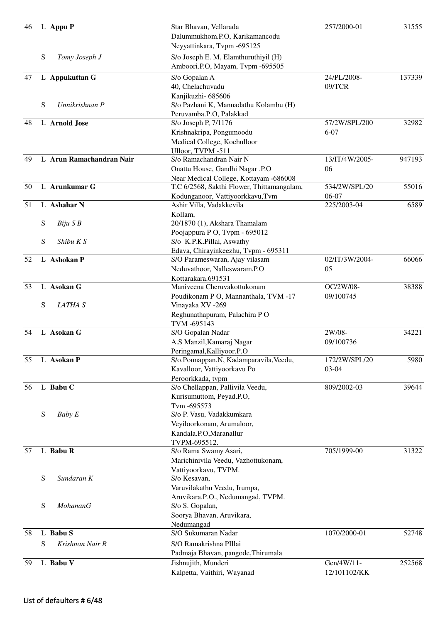| 46 |   | L Appu P                   | Star Bhavan, Vellarada<br>Dalummukhom.P.O, Karikamancodu<br>Neyyattinkara, Tvpm -695125 | 257/2000-01    | 31555  |
|----|---|----------------------------|-----------------------------------------------------------------------------------------|----------------|--------|
|    | S | Tomy Joseph J              | S/o Joseph E. M, Elamthuruthiyil (H)<br>Amboori.P.O, Mayam, Tvpm -695505                |                |        |
| 47 |   | L Appukuttan G             | S/o Gopalan A                                                                           | 24/PL/2008-    | 137339 |
|    |   |                            | 40, Chelachuvadu                                                                        | 09/TCR         |        |
|    |   |                            | Kanjikuzhi- 685606                                                                      |                |        |
|    | S | Unnikrishnan P             | S/o Pazhani K, Mannadathu Kolambu (H)                                                   |                |        |
|    |   |                            | Peruvamba.P.O, Palakkad                                                                 |                |        |
| 48 |   | L Arnold Jose              | S/o Joseph P, 7/1176                                                                    | 57/2W/SPL/200  | 32982  |
|    |   |                            | Krishnakripa, Pongumoodu                                                                | $6 - 07$       |        |
|    |   |                            | Medical College, Kochulloor                                                             |                |        |
| 49 |   | L Arun Ramachandran Nair   | Ulloor, TVPM -511<br>S/o Ramachandran Nair N                                            | 13/IT/4W/2005- | 947193 |
|    |   |                            | Onattu House, Gandhi Nagar .P.O                                                         | 06             |        |
|    |   |                            | Near Medical College, Kottayam -686008                                                  |                |        |
| 50 |   | L Arunkumar $\overline{G}$ | T.C 6/2568, Sakthi Flower, Thittamangalam,                                              | 534/2W/SPL/20  | 55016  |
|    |   |                            | Kodunganoor, Vattiyoorkkavu,Tvm                                                         | 06-07          |        |
| 51 |   | L Ashahar N                | Ashir Villa, Vadakkevila                                                                | 225/2003-04    | 6589   |
|    |   |                            | Kollam,                                                                                 |                |        |
|    | S | $B$ iju $S$ $B$            | 20/1870 (1), Akshara Thamalam                                                           |                |        |
|    |   |                            | Poojappura P O, Tvpm - 695012                                                           |                |        |
|    | S | Shibu K S                  | S/o K.P.K.Pillai, Aswathy                                                               |                |        |
|    |   |                            | Edava, Chirayinkeezhu, Tvpm - 695311                                                    |                |        |
| 52 |   | L Ashokan P                | S/O Parameswaran, Ajay vilasam                                                          | 02/IT/3W/2004- | 66066  |
|    |   |                            | Neduvathoor, Nalleswaram.P.O                                                            | 05             |        |
| 53 |   | L Asokan G                 | Kottarakara.691531<br>Maniveena Cheruvakottukonam                                       | OC/2W/08-      | 38388  |
|    |   |                            | Poudikonam P O, Mannanthala, TVM -17                                                    | 09/100745      |        |
|    | S | LATHA <sub>S</sub>         | Vinayaka XV -269                                                                        |                |        |
|    |   |                            | Reghunathapuram, Palachira PO                                                           |                |        |
|    |   |                            | TVM -695143                                                                             |                |        |
| 54 |   | L Asokan G                 | S/O Gopalan Nadar                                                                       | 2W/08-         | 34221  |
|    |   |                            | A.S Manzil, Kamaraj Nagar                                                               | 09/100736      |        |
|    |   |                            | Peringamal, Kalliyoor.P.O                                                               |                |        |
| 55 |   | L Asokan P                 | S/o.Ponnappan.N, Kadamparavila, Veedu,                                                  | 172/2W/SPL/20  | 5980   |
|    |   |                            | Kavalloor, Vattiyoorkavu Po                                                             | $03 - 04$      |        |
|    |   |                            | Peroorkkada, tvpm                                                                       |                |        |
| 56 |   | L Babu C                   | S/o Chellappan, Pallivila Veedu,                                                        | 809/2002-03    | 39644  |
|    |   |                            | Kurisumuttom, Peyad.P.O,<br>Tvm-695573                                                  |                |        |
|    | S | Baby E                     | S/o P. Vasu, Vadakkumkara                                                               |                |        |
|    |   |                            | Veyiloorkonam, Arumaloor,                                                               |                |        |
|    |   |                            | Kandala.P.O,Maranallur                                                                  |                |        |
|    |   |                            | TVPM-695512.                                                                            |                |        |
| 57 |   | L Babu R                   | S/o Rama Swamy Asari,                                                                   | 705/1999-00    | 31322  |
|    |   |                            | Marichinivila Veedu, Vazhottukonam,                                                     |                |        |
|    |   |                            | Vattiyoorkavu, TVPM.                                                                    |                |        |
|    | S | Sundaran K                 | S/o Kesavan,                                                                            |                |        |
|    |   |                            | Varuvilakathu Veedu, Irumpa,                                                            |                |        |
|    |   | MohananG                   | Aruvikara.P.O., Nedumangad, TVPM.                                                       |                |        |
|    | S |                            | S/o S. Gopalan,                                                                         |                |        |
|    |   |                            | Soorya Bhavan, Aruvikara,<br>Nedumangad                                                 |                |        |
| 58 |   | L Babu S                   | S/O Sukumaran Nadar                                                                     | 1070/2000-01   | 52748  |
|    | S | Krishnan Nair R            | S/O Ramakrishna PIllai                                                                  |                |        |
|    |   |                            | Padmaja Bhavan, pangode, Thirumala                                                      |                |        |
| 59 |   | L Babu V                   | Jishnujith, Munderi                                                                     | Gen/4W/11-     | 252568 |
|    |   |                            | Kalpetta, Vaithiri, Wayanad                                                             | 12/101102/KK   |        |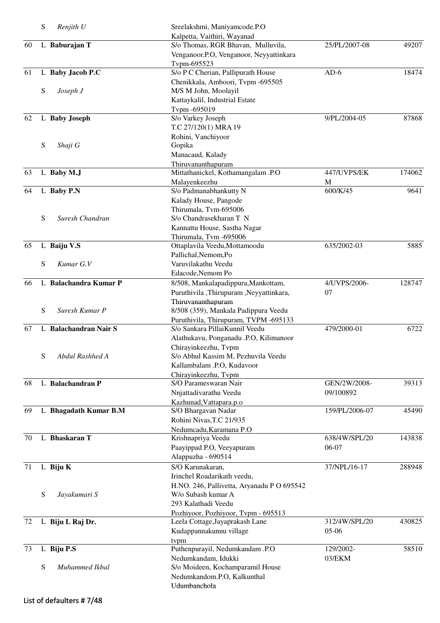|    | S | Renjith U             | Sreelakshmi, Maniyamcode.P.O                                |                |        |
|----|---|-----------------------|-------------------------------------------------------------|----------------|--------|
|    |   |                       | Kalpetta, Vaithiri, Wayanad                                 |                |        |
| 60 |   | L Baburajan T         | S/o Thomas, RGR Bhavan, Mulluvila,                          | 25/PL/2007-08  | 49207  |
|    |   |                       | Venganoor.P.O, Venganoor, Neyyattinkara                     |                |        |
|    |   |                       | Tvpm-695523                                                 |                |        |
| 61 |   | L Baby Jacob P.C      | S/o P C Cherian, Pallipurath House                          | $AD-6$         | 18474  |
|    | S |                       | Chenikkala, Amboori, Tvpm -695505<br>M/S M John, Moolayil   |                |        |
|    |   | Joseph J              |                                                             |                |        |
|    |   |                       | Kattaykalil, Industrial Estate<br>Typm -695019              |                |        |
| 62 |   | L Baby Joseph         | S/o Varkey Joseph                                           | 9/PL/2004-05   | 87868  |
|    |   |                       | T.C 27/120(1) MRA 19                                        |                |        |
|    |   |                       | Rohini, Vanchiyoor                                          |                |        |
|    | S | Shaji G               | Gopika                                                      |                |        |
|    |   |                       | Manacaud, Kalady                                            |                |        |
|    |   |                       | Thiruvananthapuram                                          |                |        |
| 63 |   | L Baby M.J            | Mittathanickel, Kothamangalam .P.O                          | 447/UVPS/EK    | 174062 |
|    |   |                       | Malayenkeezhu                                               | M              |        |
| 64 |   | L Baby P.N            | S/o Padmanabhankutty N                                      | 600/K/45       | 9641   |
|    |   |                       | Kalady House, Pangode                                       |                |        |
|    |   |                       | Thirumala, Tvm-695006                                       |                |        |
|    | S | Suresh Chandran       | S/o Chandrasekharan T N                                     |                |        |
|    |   |                       | Kannattu House, Sastha Nagar                                |                |        |
|    |   |                       | Thirumala, Tvm -695006                                      |                |        |
| 65 |   | L Baiju V.S           | Ottaplavila Veedu, Mottamoodu                               | 635/2002-03    | 5885   |
|    |   |                       | Pallichal, Nemom, Po                                        |                |        |
|    | S | Kumar G.V             | Varuvilakathu Veedu                                         |                |        |
|    |   |                       | Edacode, Nemom Po                                           |                |        |
| 66 |   | L Balachandra Kumar P | 8/508, Mankalapadippura, Mankottam,                         | 4/UVPS/2006-   | 128747 |
|    |   |                       | Puruthivila ,Thirupuram ,Neyyattinkara,                     | 07             |        |
|    |   |                       | Thiruvananthapuram                                          |                |        |
|    | S | Suresh Kumar P        | 8/508 (359), Mankala Padippura Veedu                        |                |        |
|    |   |                       | Puruthivila, Thirupuram, TVPM -695133                       |                |        |
| 67 |   | L Balachandran Nair S | S/o Sankara PillaiKunnil Veedu                              | 479/2000-01    | 6722   |
|    |   |                       | Alathukavu, Ponganadu .P.O, Kilimanoor                      |                |        |
|    | S | Abdul Rashhed A       | Chirayinkeezhu, Tvpm<br>S/o Abhul Kassim M, Pezhuvila Veedu |                |        |
|    |   |                       | Kallambalam .P.O, Kudavoor                                  |                |        |
|    |   |                       | Chirayinkeezhu, Tvpm                                        |                |        |
| 68 |   | L Balachandran P      | S/O Parameswaran Nair                                       | GEN/2W/2008-   | 39313  |
|    |   |                       | Nnjattadivarathu Veedu                                      | 09/100892      |        |
|    |   |                       | Kazhunad, Vattapara.p.o                                     |                |        |
| 69 |   | L Bhagadath Kumar B.M | S/O Bhargavan Nadar                                         | 159/PL/2006-07 | 45490  |
|    |   |                       | Rohini Nivas, T.C 21/935                                    |                |        |
|    |   |                       | Nedumcadu, Karamana P.O                                     |                |        |
| 70 |   | L Bhaskaran T         | Krishnapriya Veedu                                          | 638/4W/SPL/20  | 143838 |
|    |   |                       | Paayippad P.O, Veeyapuram                                   | 06-07          |        |
|    |   |                       | Alappuzha - 690514                                          |                |        |
| 71 |   | L Biju K              | S/O Karunakaran,                                            | 37/NPL/16-17   | 288948 |
|    |   |                       | Irinchel Roadarikath veedu,                                 |                |        |
|    |   |                       | H.NO. 246, Pallivetta, Aryanadu P O 695542                  |                |        |
|    | S | Jayakumari S          | W/o Subash kumar A                                          |                |        |
|    |   |                       | 293 Kalathadi Veedu                                         |                |        |
|    |   |                       | Pozhiyoor, Pozhiyoor, Tvpm - 695513                         |                |        |
| 72 |   | L Biju L Raj Dr.      | Leela Cottage, Jayaprakash Lane                             | 312/4W/SPL/20  | 430825 |
|    |   |                       | Kudappannakunnu village                                     | $05-06$        |        |
|    |   |                       | tvpm                                                        |                |        |
| 73 |   | L Biju P.S            | Puthenpurayil, Nedumkandam .P.O                             | 129/2002-      | 58510  |
|    |   |                       | Nedumkandam, Idukki                                         | 03/EKM         |        |
|    | S | Muhammed Ikbal        | S/o Moideen, Kochamparamil House                            |                |        |
|    |   |                       | Nedumkandom.P.O, Kalkunthal                                 |                |        |
|    |   |                       | Udumbanchola                                                |                |        |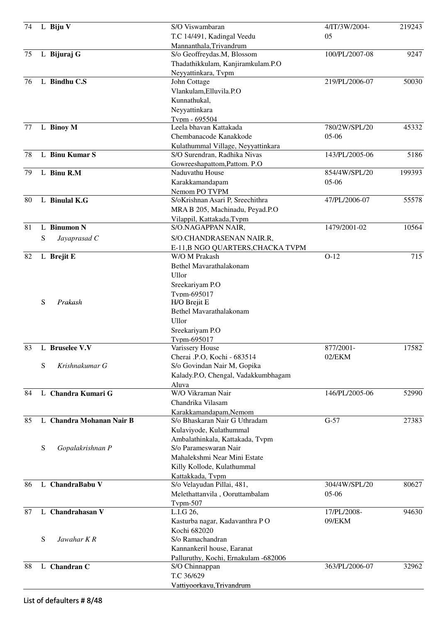| 74 |   | L Biju V                 | S/O Viswambaran                                         | 4/IT/3W/2004-  | 219243 |
|----|---|--------------------------|---------------------------------------------------------|----------------|--------|
|    |   |                          | T.C 14/491, Kadingal Veedu                              | 05             |        |
|    |   |                          | Mannanthala, Trivandrum                                 |                |        |
| 75 |   | L Bijuraj G              | S/o Geoffreydas.M, Blossom                              | 100/PL/2007-08 | 9247   |
|    |   |                          | Thadathikkulam, Kanjiramkulam.P.O                       |                |        |
|    |   |                          | Neyyattinkara, Tvpm                                     |                |        |
| 76 |   | L Bindhu C.S             | John Cottage                                            | 219/PL/2006-07 | 50030  |
|    |   |                          | Vlankulam, Elluvila.P.O                                 |                |        |
|    |   |                          | Kunnathukal,                                            |                |        |
|    |   |                          | Neyyattinkara                                           |                |        |
|    |   |                          | Typm - 695504                                           |                |        |
| 77 |   | L Binoy M                | Leela bhavan Kattakada                                  | 780/2W/SPL/20  | 45332  |
|    |   |                          | Chembanacode Kanakkode                                  | $05-06$        |        |
|    |   |                          | Kulathummal Village, Neyyattinkara                      |                |        |
| 78 |   | L Binu Kumar S           | S/O Surendran, Radhika Nivas                            | 143/PL/2005-06 | 5186   |
|    |   |                          | Gowreeshapattom, Pattom. P.O                            |                |        |
| 79 |   | L Binu R.M               | Naduvathu House                                         | 854/4W/SPL/20  | 199393 |
|    |   |                          | Karakkamandapam                                         | $05-06$        |        |
|    |   |                          |                                                         |                |        |
| 80 |   | L Binulal K.G            | Nemom PO TVPM<br>S/oKrishnan Asari P, Sreechithra       | 47/PL/2006-07  | 55578  |
|    |   |                          |                                                         |                |        |
|    |   |                          | MRA B 205, Machinadu, Peyad.P.O                         |                |        |
|    |   |                          | Vilappil, Kattakada, Tvpm                               |                |        |
| 81 |   | L Binumon N              | S/O.NAGAPPAN NAIR,                                      | 1479/2001-02   | 10564  |
|    | S | Jayaprasad C             | S/O.CHANDRASENAN NAIR.R,                                |                |        |
|    |   |                          | E-11,B NGO QUARTERS, CHACKA TVPM                        |                |        |
| 82 |   | L Brejit E               | W/O M Prakash                                           | $O-12$         | 715    |
|    |   |                          | Bethel Mavarathalakonam                                 |                |        |
|    |   |                          | Ullor                                                   |                |        |
|    |   |                          | Sreekariyam P.O                                         |                |        |
|    |   |                          | Typm-695017                                             |                |        |
|    | S | Prakash                  | H/O Brejit E                                            |                |        |
|    |   |                          | Bethel Mavarathalakonam                                 |                |        |
|    |   |                          | Ullor                                                   |                |        |
|    |   |                          | Sreekariyam P.O                                         |                |        |
|    |   |                          | Tvpm-695017                                             |                |        |
| 83 |   | L Bruselee V.V           | Varissery House                                         | 877/2001-      | 17582  |
|    |   |                          | Cherai .P.O, Kochi - 683514                             | 02/EKM         |        |
|    | S | Krishnakumar G           | S/o Govindan Nair M, Gopika                             |                |        |
|    |   |                          | Kalady.P.O, Chengal, Vadakkumbhagam                     |                |        |
|    |   |                          | Aluva                                                   |                |        |
| 84 |   | L Chandra Kumari G       | W/O Vikraman Nair                                       | 146/PL/2005-06 | 52990  |
|    |   |                          | Chandrika Vilasam                                       |                |        |
|    |   |                          |                                                         |                |        |
| 85 |   | L Chandra Mohanan Nair B | Karakkamandapam, Nemom<br>S/o Bhaskaran Nair G Uthradam | $G-57$         | 27383  |
|    |   |                          |                                                         |                |        |
|    |   |                          | Kulaviyode, Kulathummal                                 |                |        |
|    |   |                          | Ambalathinkala, Kattakada, Tvpm                         |                |        |
|    | S | Gopalakrishnan P         | S/o Parameswaran Nair                                   |                |        |
|    |   |                          | Mahalekshmi Near Mini Estate                            |                |        |
|    |   |                          | Killy Kollode, Kulathummal                              |                |        |
|    |   |                          | Kattakkada, Tvpm                                        |                |        |
| 86 |   | L ChandraBabu V          | S/o Velayudan Pillai, 481,                              | 304/4W/SPL/20  | 80627  |
|    |   |                          | Melethattanvila, Ooruttambalam                          | $05-06$        |        |
|    |   |                          | Tvpm-507                                                |                |        |
| 87 |   | L Chandrahasan V         | L.I.G 26,                                               | 17/PL/2008-    | 94630  |
|    |   |                          | Kasturba nagar, Kadavanthra PO                          | 09/EKM         |        |
|    |   |                          | Kochi 682020                                            |                |        |
|    | S | Jawahar K R              | S/o Ramachandran                                        |                |        |
|    |   |                          | Kannankeril house, Earanat                              |                |        |
|    |   |                          | Palluruthy, Kochi, Ernakulam -682006                    |                |        |
| 88 | L | <b>Chandran C</b>        | S/O Chinnappan                                          | 363/PL/2006-07 | 32962  |
|    |   |                          | T.C 36/629                                              |                |        |
|    |   |                          | Vattiyoorkavu, Trivandrum                               |                |        |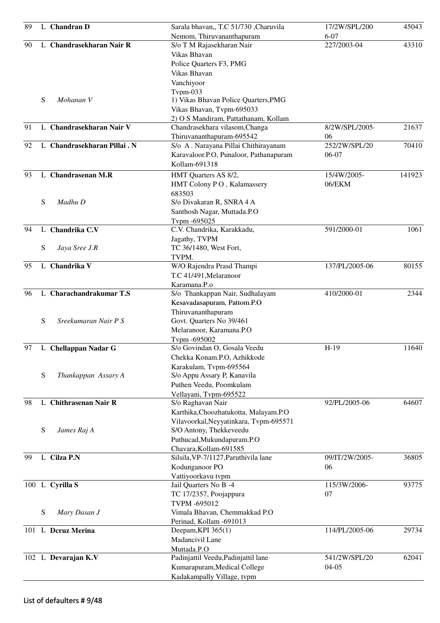| 89 |   | L Chandran D                | Sarala bhavan,, T.C 51/730, Charuvila  | 17/2W/SPL/200  | 45043  |
|----|---|-----------------------------|----------------------------------------|----------------|--------|
|    |   |                             | Nemom, Thiruvananthapuram              | $6 - 07$       |        |
| 90 |   | L Chandrasekharan Nair R    | S/o T M Rajasekharan Nair              | 227/2003-04    | 43310  |
|    |   |                             | Vikas Bhavan                           |                |        |
|    |   |                             | Police Quarters F3, PMG                |                |        |
|    |   |                             | <b>Vikas Bhavan</b>                    |                |        |
|    |   |                             | Vanchiyoor                             |                |        |
|    |   |                             | $Tvpm-033$                             |                |        |
|    | S | Mohanan V                   | 1) Vikas Bhavan Police Quarters, PMG   |                |        |
|    |   |                             | Vikas Bhavan, Tvpm-695033              |                |        |
|    |   |                             | 2) O S Mandiram, Pattathanam, Kollam   |                |        |
| 91 |   | L Chandrasekharan Nair V    | Chandrasekhara vilasom, Changa         | 8/2W/SPL/2005- | 21637  |
|    |   |                             | Thiruvananthapuram-695542              | 06             |        |
| 92 |   | L Chandrasekharan Pillai. N | S/o A. Narayana Pillai Chithirayanam   | 252/2W/SPL/20  | 70410  |
|    |   |                             | Karavaloor.P.O, Punaloor, Pathanapuram | 06-07          |        |
|    |   |                             | Kollam-691318                          |                |        |
| 93 |   | L Chandrasenan M.R          | HMT Quarters AS 8/2,                   | 15/4W/2005-    | 141923 |
|    |   |                             | HMT Colony PO, Kalamassery             | 06/EKM         |        |
|    |   |                             | 683503                                 |                |        |
|    | S | Madhu D                     | S/o Divakaran R, SNRA 4 A              |                |        |
|    |   |                             | Santhosh Nagar, Muttada.P.O            |                |        |
|    |   |                             | Tvpm -695025                           |                |        |
| 94 |   | L Chandrika C.V             | C.V. Chandrika, Karakkadu,             | 591/2000-01    | 1061   |
|    |   |                             | Jagathy, TVPM                          |                |        |
|    | S | Jaya Sree J.R               | TC 36/1480, West Fort,                 |                |        |
|    |   |                             | TVPM.                                  |                |        |
| 95 |   | L Chandrika V               | W/O Rajendra Prasd Thampi              | 137/PL/2005-06 | 80155  |
|    |   |                             | T.C 41/491, Melaranoor                 |                |        |
|    |   |                             | Karamana.P.o                           |                |        |
| 96 |   | L Charachandrakumar T.S     | S/o Thankappan Nair, Sudhalayam        | 410/2000-01    | 2344   |
|    |   |                             | Kesavadasapuram, Pattom.P.O            |                |        |
|    |   |                             | Thiruvananthapuram                     |                |        |
|    | S | Sreekumaran Nair P S        | Govt. Quarters No 39/461               |                |        |
|    |   |                             | Melaranoor, Karamana.P.O               |                |        |
|    |   |                             | Tvpm -695002                           |                |        |
| 97 |   | L Chellappan Nadar G        | S/o Govindan O, Gosala Veedu           | $H-19$         | 11640  |
|    |   |                             | Chekka Konam.P.O, Azhikkode            |                |        |
|    |   |                             | Karakulam, Tvpm-695564                 |                |        |
|    | S | Thankappan Assary A         | S/o Appu Assary P, Kanavila            |                |        |
|    |   |                             | Puthen Veedu, Poomkulam                |                |        |
|    |   |                             | Vellayani, Tvpm-695522                 |                |        |
| 98 |   | L Chithrasenan Nair R       | S/o Raghavan Nair                      | 92/PL/2005-06  | 64607  |
|    |   |                             | Karthika, Choozhatukotta, Malayam.P.O  |                |        |
|    |   |                             | Vilavoorkal, Neyyatinkara, Typm-695571 |                |        |
|    | S | James Raj A                 | S/O Antony, Thekkeveedu                |                |        |
|    |   |                             | Puthucad, Mukundapuram.P.O             |                |        |
|    |   |                             | Chavara, Kollam-691585                 |                |        |
| 99 |   | L Cilza P.N                 | Silsila, VP-7/1127, Paruthivila lane   | 09/IT/2W/2005- | 36805  |
|    |   |                             | Kodunganoor PO                         | 06             |        |
|    |   |                             | Vattiyoorkavu tvpm                     |                |        |
|    |   | 100 L Cyrilla S             | Jail Quarters No B -4                  | 115/3W/2006-   | 93775  |
|    |   |                             | TC 17/2357, Poojappura                 | 07             |        |
|    |   |                             | TVPM -695012                           |                |        |
|    |   |                             | Vimala Bhavan, Chemmakkad P.O          |                |        |
|    | S | Mary Dasan J                |                                        |                |        |
|    |   |                             | Perinad, Kollam -691013                |                |        |
|    |   | 101 L Dcruz Merina          | Deepam, KPI 365(1)                     | 114/PL/2005-06 | 29734  |
|    |   |                             | Madancivil Lane                        |                |        |
|    |   |                             | Muttada.P.O                            |                |        |
|    |   | 102 L Devarajan K.V         | Padinjattil Veedu, Padinjattil lane    | 541/2W/SPL/20  | 62041  |
|    |   |                             | Kumarapuram, Medical College           | $04 - 05$      |        |
|    |   |                             | Kadakampally Village, tvpm             |                |        |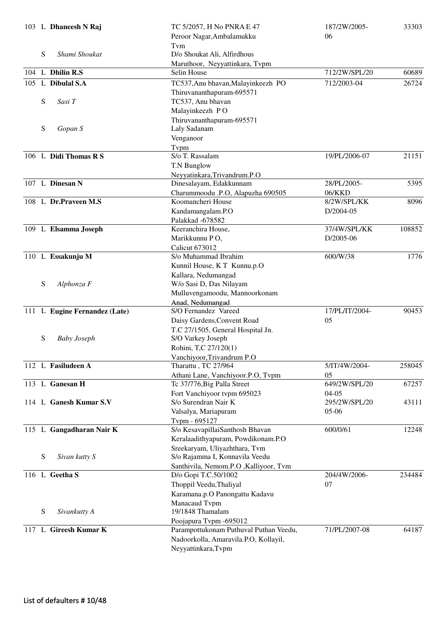|     |   | 103 L Dhaneesh N Raj          | TC 5/2057, H No PNRA E 47                       | 187/2W/2005-   | 33303  |
|-----|---|-------------------------------|-------------------------------------------------|----------------|--------|
|     |   |                               | Peroor Nagar, Ambalamukku                       | 06             |        |
|     |   |                               | Tvm                                             |                |        |
|     | S | Shami Shoukat                 | D/o Shoukat Ali, Alfirdhous                     |                |        |
|     |   | 104 L Dhilin R.S              | Maruthoor, Neyyattinkara, Tvpm<br>Selin House   | 712/2W/SPL/20  | 60689  |
|     |   |                               |                                                 |                |        |
|     |   | 105 L Dibulal S.A             | TC537, Anu bhavan, Malayinkeezh PO              | 712/2003-04    | 26724  |
|     |   |                               | Thiruvananthapuram-695571                       |                |        |
|     | S | Sasi T                        | TC537, Anu bhavan                               |                |        |
|     |   |                               | Malayinkeezh PO<br>Thiruvananthapuram-695571    |                |        |
|     | S | Gopan S                       | Laly Sadanam                                    |                |        |
|     |   |                               | Venganoor                                       |                |        |
|     |   |                               | Typm                                            |                |        |
|     |   | 106 L Didi Thomas R S         | S/o T. Rassalam                                 | 19/PL/2006-07  | 21151  |
|     |   |                               | T.N Bunglow                                     |                |        |
|     |   |                               | Neyyatinkara, Trivandrum.P.O                    |                |        |
|     |   | 107 L Dinesan N               | Dinesalayam, Edakkunnam                         | 28/PL/2005-    | 5395   |
|     |   |                               | Charummoodu .P.O, Alapuzha 690505               | 06/KKD         |        |
|     |   | 108 L Dr.Praveen M.S          | Koomancheri House                               | 8/2W/SPL/KK    | 8096   |
|     |   |                               | Kandamangalam.P.O                               | D/2004-05      |        |
|     |   |                               | Palakkad -678582                                |                |        |
|     |   | 109 L Elsamma Joseph          | Keeranchira House,                              | 37/4W/SPL/KK   | 108852 |
|     |   |                               | Marikkunnu PO,                                  | D/2005-06      |        |
|     |   |                               | <b>Calicut 673012</b>                           |                |        |
|     |   | 110 L Essakunju M             | S/o Muhammad Ibrahim                            | 600/W/38       | 1776   |
|     |   |                               | Kunnil House, KT Kunnu.p.O                      |                |        |
|     |   |                               | Kallara, Nedumangad                             |                |        |
|     | S | Alphonza F                    | W/o Sasi D, Das Nilayam                         |                |        |
|     |   |                               | Mulluvengamoodu, Mannoorkonam                   |                |        |
|     |   | 111 L Eugine Fernandez (Late) | Anad, Nedumangad<br>S/O Fernandez Vareed        | 17/PL/IT/2004- | 90453  |
|     |   |                               | Daisy Gardens, Convent Road                     | 05             |        |
|     |   |                               | T.C 27/1505, General Hospital Jn.               |                |        |
|     | S | <b>Baby Joseph</b>            | S/O Varkey Joseph                               |                |        |
|     |   |                               | Rohini, T,C 27/120(1)                           |                |        |
|     |   |                               | Vanchiyoor, Trivandrum P.O                      |                |        |
|     |   | 112 L Fasiludeen A            | Tharattu, TC 27/964                             | 5/IT/4W/2004-  | 258045 |
|     |   |                               | Athani Lane, Vanchiyoor.P.O, Tvpm               | 05             |        |
|     |   | 113 L Ganesan H               | Tc 37/776, Big Palla Street                     | 649/2W/SPL/20  | 67257  |
|     |   |                               | Fort Vanchiyoor tvpm 695023                     | $04 - 05$      |        |
|     |   | 114 L Ganesh Kumar S.V        | S/o Surendran Nair K                            | 295/2W/SPL/20  | 43111  |
|     |   |                               | Valsalya, Mariapuram                            | $05-06$        |        |
|     |   |                               | Tvpm - 695127                                   |                |        |
|     |   | 115 L Gangadharan Nair K      | S/o KesavapillaiSanthosh Bhavan                 | 600/0/61       | 12248  |
|     |   |                               | Keralaadithyapuram, Powdikonam.P.O              |                |        |
|     |   |                               | Sreekaryam, Uliyazhthara, Tvm                   |                |        |
|     | S | Sivan kutty S                 | S/o Rajamma I, Konnavila Veedu                  |                |        |
|     |   |                               | Santhivila, Nemom.P.O, Kalliyoor, Tvm           |                |        |
|     |   | 116 L Geetha S                | D/o Gopi T.C.50/1002                            | 204/4W/2006-   | 234484 |
|     |   |                               | Thoppil Veedu, Thaliyal                         | 07             |        |
|     |   |                               | Karamana.p.O Panongattu Kadavu<br>Manacaud Tvpm |                |        |
|     | S | Sivankutty A                  | 19/1848 Thamalam                                |                |        |
|     |   |                               | Poojapura Tvpm -695012                          |                |        |
| 117 |   | L Gireesh Kumar K             | Parampottukonam Puthuval Puthan Veedu,          | 71/PL/2007-08  | 64187  |
|     |   |                               | Nadoorkolla, Amaravila.P.O, Kollayil,           |                |        |
|     |   |                               | Neyyattinkara, Tvpm                             |                |        |
|     |   |                               |                                                 |                |        |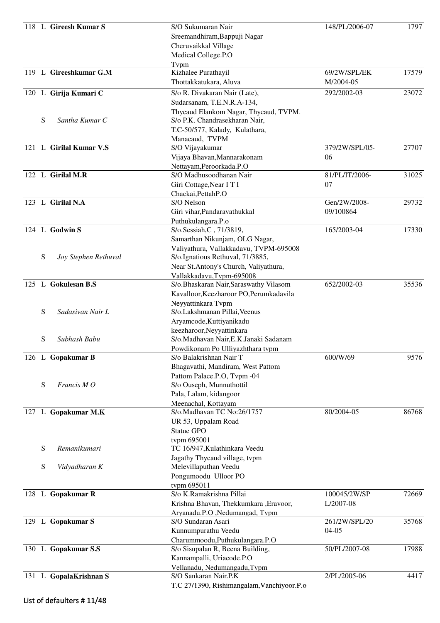|   | 118 L Gireesh Kumar S   | S/O Sukumaran Nair                         | 148/PL/2006-07 | 1797  |
|---|-------------------------|--------------------------------------------|----------------|-------|
|   |                         | Sreemandhiram, Bappuji Nagar               |                |       |
|   |                         | Cheruvaikkal Village                       |                |       |
|   |                         | Medical College.P.O                        |                |       |
|   |                         | Tvpm                                       |                |       |
|   | 119 L Gireeshkumar G.M  | Kizhalee Purathayil                        | 69/2W/SPL/EK   | 17579 |
|   |                         | Thottakkatukara, Aluva                     | M/2004-05      |       |
|   | 120 L Girija Kumari C   | S/o R. Divakaran Nair (Late),              | 292/2002-03    | 23072 |
|   |                         | Sudarsanam, T.E.N.R.A-134,                 |                |       |
|   |                         | Thycaud Elankom Nagar, Thycaud, TVPM.      |                |       |
| S | Santha Kumar C          | S/o P.K. Chandrasekharan Nair,             |                |       |
|   |                         | T.C-50/577, Kalady, Kulathara,             |                |       |
|   |                         | Manacaud, TVPM                             |                |       |
|   | 121 L Girilal Kumar V.S | S/O Vijayakumar                            | 379/2W/SPL/05- | 27707 |
|   |                         | Vijaya Bhavan, Mannarakonam                | 06             |       |
|   |                         | Nettayam, Peroorkada.P.O                   |                |       |
|   | 122 L Girilal M.R       | S/O Madhusoodhanan Nair                    | 81/PL/IT/2006- | 31025 |
|   |                         | Giri Cottage, Near I T I                   | 07             |       |
|   |                         | Chackai, Pettah P.O                        |                |       |
|   | 123 L Girilal N.A       | S/O Nelson                                 | Gen/2W/2008-   | 29732 |
|   |                         | Giri vihar, Pandaravathukkal               | 09/100864      |       |
|   |                         | Puthukulangara.P.o                         |                |       |
|   | 124 L Godwin S          | S/o.Sessiah, C, 71/3819,                   | 165/2003-04    | 17330 |
|   |                         | Samarthan Nikunjam, OLG Nagar,             |                |       |
|   |                         | Valiyathura, Vallakkadavu, TVPM-695008     |                |       |
| S | Joy Stephen Rethuval    | S/o.Ignatious Rethuval, 71/3885,           |                |       |
|   |                         | Near St. Antony's Church, Valiyathura,     |                |       |
|   |                         | Vallakkadavu, Tvpm-695008                  |                |       |
|   | 125 L Gokulesan B.S     | S/o.Bhaskaran Nair, Saraswathy Vilasom     | 652/2002-03    | 35536 |
|   |                         | Kavalloor, Keezharoor PO, Perumkadavila    |                |       |
|   |                         | Neyyattinkara Tvpm                         |                |       |
| S | Sadasivan Nair L        | S/o.Lakshmanan Pillai, Veenus              |                |       |
|   |                         | Aryamcode, Kuttiyanikadu                   |                |       |
|   |                         | keezharoor, Neyyattinkara                  |                |       |
| S | Subhash Babu            | S/o.Madhavan Nair, E.K.Janaki Sadanam      |                |       |
|   |                         | Powdikonam Po Ulliyazhthara tvpm           |                |       |
|   | 126 L Gopakumar B       | S/o Balakrishnan Nair T                    | 600/W/69       | 9576  |
|   |                         | Bhagavathi, Mandiram, West Pattom          |                |       |
|   |                         | Pattom Palace.P.O, Tvpm -04                |                |       |
| S | Francis MO              | S/o Ouseph, Munnuthottil                   |                |       |
|   |                         | Pala, Lalam, kidangoor                     |                |       |
|   |                         | Meenachal, Kottayam                        | 80/2004-05     |       |
|   | 127 L Gopakumar M.K     | S/o.Madhavan TC No:26/1757                 |                | 86768 |
|   |                         | UR 53, Uppalam Road                        |                |       |
|   |                         | Statue GPO                                 |                |       |
|   | Remanikumari            | tvpm 695001                                |                |       |
| S |                         | TC 16/947, Kulathinkara Veedu              |                |       |
| S |                         | Jagathy Thycaud village, tvpm              |                |       |
|   | Vidyadharan K           | Melevillaputhan Veedu                      |                |       |
|   |                         | Pongumoodu Ulloor PO                       |                |       |
|   | 128 L Gopakumar R       | tvpm 695011<br>S/o K.Ramakrishna Pillai    | 100045/2W/SP   | 72669 |
|   |                         | Krishna Bhavan, Thekkumkara , Eravoor,     | L/2007-08      |       |
|   |                         | Aryanadu.P.O ,Nedumangad, Tvpm             |                |       |
|   | 129 L Gopakumar S       | S/O Sundaran Asari                         | 261/2W/SPL/20  | 35768 |
|   |                         | Kunnumpurathu Veedu                        | $04 - 05$      |       |
|   |                         | Charummoodu, Puthukulangara. P.O           |                |       |
|   | 130 L Gopakumar S.S     | S/o Sisupalan R, Beena Building,           | 50/PL/2007-08  | 17988 |
|   |                         | Kannampalli, Uriacode.P.O                  |                |       |
|   |                         | Vellanadu, Nedumangadu, Tvpm               |                |       |
|   | 131 L GopalaKrishnan S  | S/O Sankaran Nair.P.K                      | 2/PL/2005-06   | 4417  |
|   |                         | T.C 27/1390, Rishimangalam, Vanchiyoor.P.o |                |       |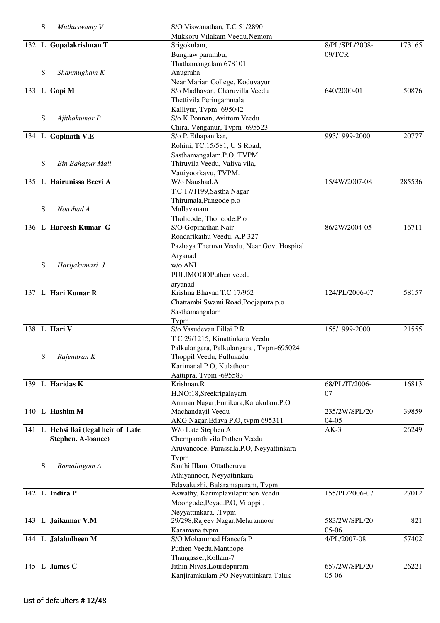| S | Muthuswamy V                        | S/O Viswanathan, T.C 51/2890              |                |        |
|---|-------------------------------------|-------------------------------------------|----------------|--------|
|   |                                     | Mukkoru Vilakam Veedu, Nemom              |                |        |
|   | 132 L Gopalakrishnan T              | Srigokulam,                               | 8/PL/SPL/2008- | 173165 |
|   |                                     | Bunglaw parambu,                          | 09/TCR         |        |
|   |                                     | Thathamangalam 678101                     |                |        |
| S | Shanmugham K                        | Anugraha                                  |                |        |
|   |                                     | Near Marian College, Koduvayur            |                |        |
|   | 133 L Gopi M                        | S/o Madhavan, Charuvilla Veedu            | 640/2000-01    | 50876  |
|   |                                     | Thettivila Peringammala                   |                |        |
|   |                                     | Kalliyur, Typm -695042                    |                |        |
| S | Ajithakumar P                       | S/o K Ponnan, Avittom Veedu               |                |        |
|   |                                     | Chira, Venganur, Tvpm -695523             |                |        |
|   | 134 L Gopinath V.E                  | S/o P. Ethapanikar,                       | 993/1999-2000  | 20777  |
|   |                                     | Rohini, TC.15/581, U S Road,              |                |        |
|   |                                     | Sasthamangalam.P.O, TVPM.                 |                |        |
| S | <b>Bin Bahapur Mall</b>             | Thiruvila Veedu, Valiya vila,             |                |        |
|   |                                     | Vattiyoorkavu, TVPM.                      |                |        |
|   | 135 L Hairunissa Beevi A            | W/o Naushad.A                             | 15/4W/2007-08  | 285536 |
|   |                                     | T.C 17/1199, Sastha Nagar                 |                |        |
|   |                                     | Thirumala, Pangode.p.o                    |                |        |
| S | Noushad A                           | Mullavanam                                |                |        |
|   |                                     | Tholicode, Tholicode.P.o                  |                | 16711  |
|   | 136 L Hareesh Kumar G               | S/O Gopinathan Nair                       | 86/2W/2004-05  |        |
|   |                                     | Roadarikathu Veedu, A.P 327               |                |        |
|   |                                     | Pazhaya Theruvu Veedu, Near Govt Hospital |                |        |
|   |                                     | Aryanad                                   |                |        |
| S | Harijakumari J                      | w/o ANI                                   |                |        |
|   |                                     | PULIMOODPuthen veedu                      |                |        |
|   | 137 L Hari Kumar R                  | aryanad<br>Krishna Bhavan T.C 17/962      |                |        |
|   |                                     |                                           | 124/PL/2006-07 | 58157  |
|   |                                     | Chattambi Swami Road, Poojapura.p.o       |                |        |
|   |                                     | Sasthamangalam                            |                |        |
|   | 138 L Hari V                        | Typm<br>S/o Vasudevan Pillai P R          | 155/1999-2000  | 21555  |
|   |                                     | T C 29/1215, Kinattinkara Veedu           |                |        |
|   |                                     | Palkulangara, Palkulangara, Tvpm-695024   |                |        |
| S | Rajendran K                         | Thoppil Veedu, Pullukadu                  |                |        |
|   |                                     | Karimanal P O, Kulathoor                  |                |        |
|   |                                     | Aattipra, Tvpm -695583                    |                |        |
|   | 139 L Haridas K                     | Krishnan.R                                | 68/PL/IT/2006- | 16813  |
|   |                                     | H.NO:18, Sreekripalayam                   | 07             |        |
|   |                                     | Amman Nagar, Ennikara, Karakulam.P.O      |                |        |
|   | 140 L Hashim M                      | Machandayil Veedu                         | 235/2W/SPL/20  | 39859  |
|   |                                     | AKG Nagar, Edava P.O, tvpm 695311         | $04-05$        |        |
|   | 141 L Hebsi Bai (legal heir of Late | W/o Late Stephen A                        | $AK-3$         | 26249  |
|   | Stephen. A-loanee)                  | Chemparathivila Puthen Veedu              |                |        |
|   |                                     | Aruvancode, Parassala.P.O, Neyyattinkara  |                |        |
|   |                                     | Typm                                      |                |        |
| S | Ramalingom A                        | Santhi Illam, Ottatheruvu                 |                |        |
|   |                                     | Athiyannoor, Neyyattinkara                |                |        |
|   |                                     | Edavakuzhi, Balaramapuram, Tvpm           |                |        |
|   | 142 L Indira P                      | Aswathy, Karimplavilaputhen Veedu         | 155/PL/2006-07 | 27012  |
|   |                                     | Moongode, Peyad.P.O, Vilappil,            |                |        |
|   |                                     | Neyyattinkara, ,Tvpm                      | 583/2W/SPL/20  | 821    |
|   | 143 L Jaikumar V.M                  | 29/298, Rajeev Nagar, Melarannoor         | 05-06          |        |
|   | 144 L Jalaludheen M                 | Karamana tvpm<br>S/O Mohammed Haneefa.P   | 4/PL/2007-08   | 57402  |
|   |                                     | Puthen Veedu, Manthope                    |                |        |
|   |                                     | Thangasser, Kollam-7                      |                |        |
|   | 145 L James C                       | Jithin Nivas, Lourdepuram                 | 657/2W/SPL/20  | 26221  |
|   |                                     | Kanjiramkulam PO Neyyattinkara Taluk      | 05-06          |        |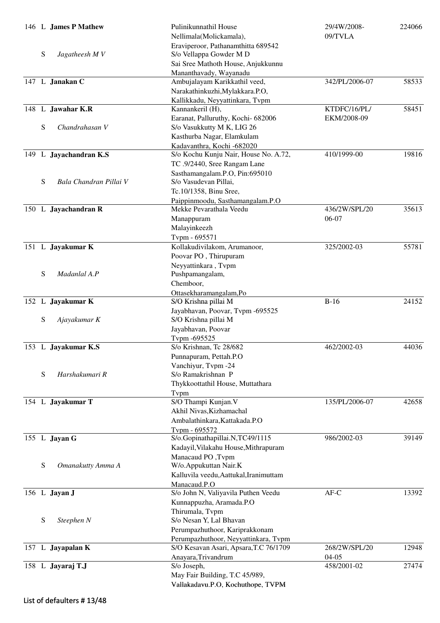|           | 146 L James P Mathew   | Pulinikunnathil House                  | 29/4W/2008-    | 224066 |
|-----------|------------------------|----------------------------------------|----------------|--------|
|           |                        | Nellimala(Molickamala),                | 09/TVLA        |        |
|           |                        | Eraviperoor, Pathanamthitta 689542     |                |        |
| ${\bf S}$ | Jagatheesh MV          | S/o Vellappa Gowder M D                |                |        |
|           |                        | Sai Sree Mathoth House, Anjukkunnu     |                |        |
|           |                        | Mananthavady, Wayanadu                 |                |        |
|           | 147 L Janakan C        | Ambujalayam Karikkathil veed,          | 342/PL/2006-07 | 58533  |
|           |                        | Narakathinkuzhi, Mylakkara.P.O,        |                |        |
|           |                        |                                        |                |        |
|           |                        | Kallikkadu, Neyyattinkara, Tvpm        |                |        |
|           | 148 L Jawahar K.R      | Kannankeril (H),                       | KTDFC/16/PL/   | 58451  |
|           |                        | Earanat, Palluruthy, Kochi- 682006     | EKM/2008-09    |        |
| ${\bf S}$ | Chandrahasan V         | S/o Vasukkutty M K, LIG 26             |                |        |
|           |                        | Kasthurba Nagar, Elamkulam             |                |        |
|           |                        | Kadavanthra, Kochi -682020             |                |        |
|           | 149 L Jayachandran K.S | S/o Kochu Kunju Nair, House No. A.72,  | 410/1999-00    | 19816  |
|           |                        | TC .9/2440, Sree Rangam Lane           |                |        |
|           |                        | Sasthamangalam.P.O, Pin:695010         |                |        |
| S         | Bala Chandran Pillai V | S/o Vasudevan Pillai,                  |                |        |
|           |                        |                                        |                |        |
|           |                        | Tc.10/1358, Binu Sree,                 |                |        |
|           |                        | Paippinmoodu, Sasthamangalam.P.O       |                |        |
|           | 150 L Jayachandran R   | Mekke Pevarathala Veedu                | 436/2W/SPL/20  | 35613  |
|           |                        | Manappuram                             | 06-07          |        |
|           |                        | Malayinkeezh                           |                |        |
|           |                        | Tvpm - 695571                          |                |        |
|           | 151 L Jayakumar K      | Kollakudivilakom, Arumanoor,           | 325/2002-03    | 55781  |
|           |                        | Poovar PO, Thirupuram                  |                |        |
|           |                        | Neyyattinkara, Tvpm                    |                |        |
| ${\bf S}$ | Madanlal A.P           | Pushpamangalam,                        |                |        |
|           |                        |                                        |                |        |
|           |                        | Chemboor,                              |                |        |
|           |                        | Ottasekharamangalam,Po                 |                |        |
|           | 152 L Jayakumar K      | S/O Krishna pillai M                   | $B-16$         | 24152  |
|           |                        | Jayabhavan, Poovar, Tvpm -695525       |                |        |
| ${\bf S}$ | Ajayakumar K           | S/O Krishna pillai M                   |                |        |
|           |                        | Jayabhavan, Poovar                     |                |        |
|           |                        | Tvpm -695525                           |                |        |
|           | 153 L Jayakumar K.S    | S/o Krishnan, Tc 28/682                | 462/2002-03    | 44036  |
|           |                        | Punnapuram, Pettah.P.O                 |                |        |
|           |                        | Vanchiyur, Tvpm -24                    |                |        |
| ${\bf S}$ | Harshakumari R         | S/o Ramakrishnan P                     |                |        |
|           |                        |                                        |                |        |
|           |                        | Thykkoottathil House, Muttathara       |                |        |
|           |                        | Typm                                   |                |        |
|           | 154 L Jayakumar T      | S/O Thampi Kunjan.V                    | 135/PL/2006-07 | 42658  |
|           |                        | Akhil Nivas, Kizhamachal               |                |        |
|           |                        | Ambalathinkara, Kattakada.P.O          |                |        |
|           |                        | Tvpm - 695572                          |                |        |
|           | 155 L Jayan G          | S/o.Gopinathapillai.N,TC49/1115        | 986/2002-03    | 39149  |
|           |                        | Kadayil, Vilakahu House, Mithrapuram   |                |        |
|           |                        | Manacaud PO, Tvpm                      |                |        |
| ${\bf S}$ |                        |                                        |                |        |
|           | Omanakutty Amma A      | W/o.Appukuttan Nair.K                  |                |        |
|           |                        | Kalluvila veedu, Aattukal, Iranimuttam |                |        |
|           |                        | Manacaud.P.O                           |                |        |
|           | 156 L Jayan J          | S/o John N, Valiyavila Puthen Veedu    | $AF-C$         | 13392  |
|           |                        | Kunnappuzha, Aramada.P.O               |                |        |
|           |                        | Thirumala, Tvpm                        |                |        |
| ${\bf S}$ | Steephen N             | S/o Nesan Y, Lal Bhavan                |                |        |
|           |                        | Perumpazhuthoor, Kariprakkonam         |                |        |
|           |                        |                                        |                |        |
|           |                        | Perumpazhuthoor, Neyyattinkara, Tvpm   |                |        |
|           | 157 L Jayapalan K      | S/O Kesavan Asari, Apsara, T.C 76/1709 | 268/2W/SPL/20  | 12948  |
|           |                        | Anayara, Trivandrum                    | $04-05$        |        |
|           | 158 L Jayaraj T.J      | S/o Joseph,                            | 458/2001-02    | 27474  |
|           |                        | May Fair Building, T.C 45/989,         |                |        |
|           |                        | Vallakadavu.P.O, Kochuthope, TVPM      |                |        |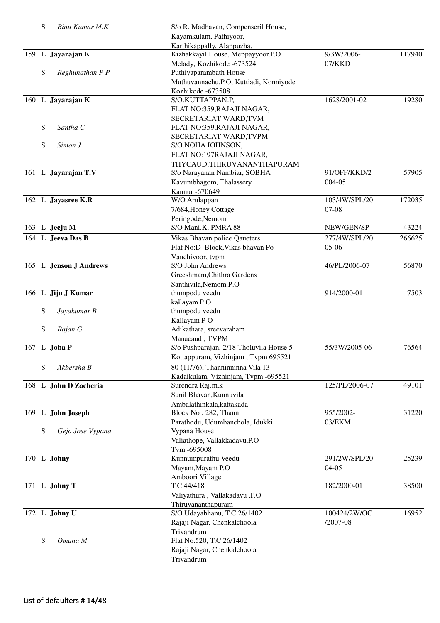| S | Binu Kumar M.K         | S/o R. Madhavan, Compenseril House,     |                |        |
|---|------------------------|-----------------------------------------|----------------|--------|
|   |                        | Kayamkulam, Pathiyoor,                  |                |        |
|   |                        | Karthikappally, Alappuzha.              |                |        |
|   | 159 L Jayarajan K      | Kizhakkayil House, Meppayyoor.P.O       | 9/3W/2006-     | 117940 |
|   |                        | Melady, Kozhikode -673524               | $07$ /KKD      |        |
| S | Reghunathan P P        | Puthiyaparambath House                  |                |        |
|   |                        | Muthuvannachu.P.O, Kuttiadi, Konniyode  |                |        |
|   |                        | Kozhikode -673508                       |                |        |
|   | 160 L Jayarajan K      | S/O.KUTTAPPAN.P,                        | 1628/2001-02   | 19280  |
|   |                        | FLAT NO:359, RAJAJI NAGAR,              |                |        |
|   |                        | SECRETARIAT WARD, TVM                   |                |        |
| S | Santha C               | FLAT NO:359, RAJAJI NAGAR,              |                |        |
|   |                        | SECRETARIAT WARD, TVPM                  |                |        |
| S | Simon J                | S/O.NOHA JOHNSON,                       |                |        |
|   |                        | FLAT NO:197RAJAJI NAGAR,                |                |        |
|   |                        |                                         |                |        |
|   |                        | THYCAUD, THIRUVANANTHAPURAM             |                |        |
|   | 161 L Jayarajan T.V    | S/o Narayanan Nambiar, SOBHA            | 91/OFF/KKD/2   | 57905  |
|   |                        | Kavumbhagom, Thalassery                 | 004-05         |        |
|   |                        | Kannur - 670649                         |                |        |
|   | 162 L Jayasree K.R     | W/O Arulappan                           | 103/4W/SPL/20  | 172035 |
|   |                        | 7/684, Honey Cottage                    | $07-08$        |        |
|   |                        | Peringode, Nemom                        |                |        |
|   | 163 L Jeeju M          | S/O Mani.K, PMRA 88                     | NEW/GEN/SP     | 43224  |
|   | 164 L Jeeva Das B      | Vikas Bhavan police Qaueters            | 277/4W/SPL/20  | 266625 |
|   |                        | Flat No:D Block, Vikas bhavan Po        | $05-06$        |        |
|   |                        | Vanchiyoor, tvpm                        |                |        |
|   | 165 L Jenson J Andrews | S/O John Andrews                        | 46/PL/2006-07  | 56870  |
|   |                        | Greeshmam, Chithra Gardens              |                |        |
|   |                        | Santhivila, Nemom.P.O                   |                |        |
|   | 166 L Jiju J Kumar     | thumpodu veedu                          | 914/2000-01    | 7503   |
|   |                        | kallayam PO                             |                |        |
| S | Jayakumar B            | thumpodu veedu                          |                |        |
|   |                        | Kallayam PO                             |                |        |
| S | Rajan G                | Adikathara, sreevaraham                 |                |        |
|   |                        |                                         |                |        |
|   | 167 L Joba P           | Manacaud, TVPM                          | 55/3W/2005-06  | 76564  |
|   |                        | S/o Pushparajan, 2/18 Tholuvila House 5 |                |        |
|   |                        | Kottappuram, Vizhinjam, Tvpm 695521     |                |        |
| S | Akbersha B             | 80 (11/76), Thanninninna Vila 13        |                |        |
|   |                        | Kadaikulam, Vizhinjam, Tvpm -695521     |                |        |
|   | 168 L John D Zacheria  | Surendra Raj.m.k                        | 125/PL/2006-07 | 49101  |
|   |                        | Sunil Bhavan, Kunnuvila                 |                |        |
|   |                        | Ambalathinkala, kattakada               |                |        |
|   | 169 L John Joseph      | Block No. 282, Thann                    | 955/2002-      | 31220  |
|   |                        | Parathodu, Udumbanchola, Idukki         | 03/EKM         |        |
| S | Gejo Jose Vypana       | Vypana House                            |                |        |
|   |                        | Valiathope, Vallakkadavu.P.O            |                |        |
|   |                        | Tvm-695008                              |                |        |
|   | 170 L Johny            | Kunnumpurathu Veedu                     | 291/2W/SPL/20  | 25239  |
|   |                        | Mayam, Mayam P.O                        | $04 - 05$      |        |
|   |                        | Amboori Village                         |                |        |
|   | 171 L Johny T          | T.C 44/418                              | 182/2000-01    | 38500  |
|   |                        |                                         |                |        |
|   |                        | Valiyathura, Vallakadavu .P.O           |                |        |
|   |                        | Thiruvananthapuram                      |                |        |
|   | 172 L Johny U          | S/O Udayabhanu, T.C 26/1402             | 100424/2W/OC   | 16952  |
|   |                        | Rajaji Nagar, Chenkalchoola             | $/2007 - 08$   |        |
|   |                        | Trivandrum                              |                |        |
| S | Omana M                | Flat No.520, T.C 26/1402                |                |        |
|   |                        | Rajaji Nagar, Chenkalchoola             |                |        |
|   |                        | Trivandrum                              |                |        |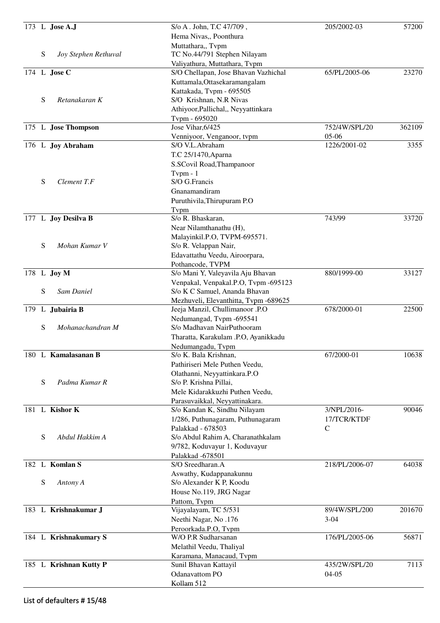| 173 L <b>Jose A.J</b>  |                      | S/o A. John, T.C 47/709,                    | 205/2002-03    | 57200  |
|------------------------|----------------------|---------------------------------------------|----------------|--------|
|                        |                      | Hema Nivas,, Poonthura                      |                |        |
|                        |                      | Muttathara,, Tvpm                           |                |        |
| S                      | Joy Stephen Rethuval | TC No.44/791 Stephen Nilayam                |                |        |
|                        |                      | Valiyathura, Muttathara, Tvpm               |                |        |
| 174 L Jose C           |                      | S/O Chellapan, Jose Bhavan Vazhichal        | 65/PL/2005-06  | 23270  |
|                        |                      | Kuttamala, Ottasekaramangalam               |                |        |
|                        |                      | Kattakada, Tvpm - 695505                    |                |        |
| S<br>Retanakaran K     |                      | S/O Krishnan, N.R Nivas                     |                |        |
|                        |                      | Athiyoor, Pallichal,, Neyyattinkara         |                |        |
|                        |                      | Tvpm - 695020                               |                |        |
| 175 L Jose Thompson    |                      | Jose Vihar, 6/425                           | 752/4W/SPL/20  | 362109 |
|                        |                      | Venniyoor, Venganoor, tvpm                  | $05-06$        |        |
| 176 L Joy Abraham      |                      | S/O V.L.Abraham                             | 1226/2001-02   | 3355   |
|                        |                      | T.C 25/1470, Aparna                         |                |        |
|                        |                      | S.SCovil Road, Thampanoor                   |                |        |
|                        |                      | $Tv$ pm - 1                                 |                |        |
| S<br>Clement T.F       |                      | S/O G.Francis                               |                |        |
|                        |                      | Gnanamandiram                               |                |        |
|                        |                      | Puruthivila, Thirupuram P.O                 |                |        |
|                        |                      | Typm                                        |                |        |
| 177 L Joy Desilva B    |                      | S/o R. Bhaskaran,                           | 743/99         | 33720  |
|                        |                      | Near Nilamthanathu (H),                     |                |        |
|                        |                      | Malayinkil.P.O, TVPM-695571.                |                |        |
| S<br>Mohan Kumar V     |                      | S/o R. Velappan Nair,                       |                |        |
|                        |                      | Edavattathu Veedu, Airoorpara,              |                |        |
|                        |                      | Pothancode, TVPM                            |                |        |
| 178 L Joy M            |                      | S/o Mani Y, Valeyavila Aju Bhavan           | 880/1999-00    | 33127  |
|                        |                      | Venpakal, Venpakal.P.O, Tvpm -695123        |                |        |
| S<br>Sam Daniel        |                      | S/o K C Samuel, Ananda Bhavan               |                |        |
|                        |                      | Mezhuveli, Elevanthitta, Tvpm -689625       |                |        |
| 179 L Jubairia B       |                      | Jeeja Manzil, Chullimanoor .P.O             | 678/2000-01    | 22500  |
|                        |                      | Nedumangad, Tvpm -695541                    |                |        |
| S                      | Mohanachandran M     | S/o Madhavan NairPuthooram                  |                |        |
|                        |                      | Tharatta, Karakulam .P.O, Ayanikkadu        |                |        |
|                        |                      | Nedumangadu, Tvpm                           |                |        |
| 180 L Kamalasanan B    |                      | S/o K. Bala Krishnan,                       | 67/2000-01     | 10638  |
|                        |                      | Pathiriseri Mele Puthen Veedu,              |                |        |
|                        |                      | Olathanni, Neyyattinkara.P.O                |                |        |
| S<br>Padma Kumar R     |                      | S/o P. Krishna Pillai,                      |                |        |
|                        |                      | Mele Kidarakkuzhi Puthen Veedu,             |                |        |
|                        |                      | Parasuvaikkal, Neyyattinakara.              |                |        |
| 181 L Kishor K         |                      | S/o Kandan K, Sindhu Nilayam                | 3/NPL/2016-    | 90046  |
|                        |                      | 1/286, Puthunagaram, Puthunagaram           | 17/TCR/KTDF    |        |
|                        |                      | Palakkad - 678503                           | $\mathsf{C}$   |        |
| S<br>Abdul Hakkim A    |                      | S/o Abdul Rahim A, Charanathkalam           |                |        |
|                        |                      | 9/782, Koduvayur 1, Koduvayur               |                |        |
|                        |                      | Palakkad -678501                            |                |        |
| 182 L Komlan S         |                      | S/O Sreedharan.A                            | 218/PL/2006-07 | 64038  |
|                        |                      | Aswathy, Kudappanakunnu                     |                |        |
| S<br>Antony A          |                      | S/o Alexander K P, Koodu                    |                |        |
|                        |                      |                                             |                |        |
|                        |                      | House No.119, JRG Nagar                     |                |        |
| 183 L Krishnakumar J   |                      | Pattom, Tvpm<br>Vijayalayam, TC 5/531       | 89/4W/SPL/200  | 201670 |
|                        |                      |                                             |                |        |
|                        |                      | Neethi Nagar, No.176                        | $3-04$         |        |
|                        |                      | Peroorkada.P.O, Tvpm<br>W/O P.R Sudharsanan |                | 56871  |
| 184 L Krishnakumary S  |                      |                                             | 176/PL/2005-06 |        |
|                        |                      | Melathil Veedu, Thaliyal                    |                |        |
|                        |                      | Karamana, Manacaud, Tvpm                    | 435/2W/SPL/20  | 7113   |
| 185 L Krishnan Kutty P |                      | Sunil Bhavan Kattayil                       |                |        |
|                        |                      | Odanavattom PO                              | $04 - 05$      |        |
|                        |                      | Kollam 512                                  |                |        |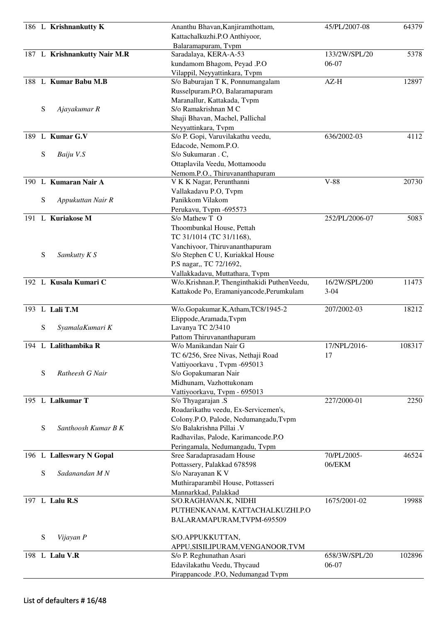|     |   | 186 L Krishnankutty K        | Ananthu Bhavan, Kanjiramthottam,<br>Kattachalkuzhi.P.O Anthiyoor, | 45/PL/2007-08  | 64379  |
|-----|---|------------------------------|-------------------------------------------------------------------|----------------|--------|
|     |   |                              | Balaramapuram, Tvpm                                               |                |        |
|     |   | 187 L Krishnankutty Nair M.R | Saradalaya, KERA-A-53                                             | 133/2W/SPL/20  | 5378   |
|     |   |                              | kundamom Bhagom, Peyad .P.O                                       | 06-07          |        |
|     |   |                              | Vilappil, Neyyattinkara, Tvpm                                     |                |        |
|     |   | 188 L Kumar Babu M.B         | S/o Baburajan T K, Ponnumangalam                                  | $AZ-H$         | 12897  |
|     |   |                              | Russelpuram.P.O, Balaramapuram                                    |                |        |
|     |   |                              | Maranallur, Kattakada, Tvpm                                       |                |        |
|     | S | Ajayakumar R                 | S/o Ramakrishnan M C                                              |                |        |
|     |   |                              |                                                                   |                |        |
|     |   |                              | Shaji Bhavan, Machel, Pallichal                                   |                |        |
|     |   | 189 L Kumar G.V              | Neyyattinkara, Typm                                               | 636/2002-03    | 4112   |
|     |   |                              | S/o P. Gopi, Varuvilakathu veedu,                                 |                |        |
|     |   |                              | Edacode, Nemom.P.O.                                               |                |        |
|     | S | Baiju V.S                    | S/o Sukumaran . C,                                                |                |        |
|     |   |                              | Ottaplavila Veedu, Mottamoodu                                     |                |        |
|     |   |                              | Nemom.P.O., Thiruvananthapuram                                    |                |        |
|     |   | 190 L Kumaran Nair A         | V K K Nagar, Perunthanni                                          | $V-88$         | 20730  |
|     |   |                              | Vallakadavu P.O, Tvpm                                             |                |        |
|     | S | Appukuttan Nair R            | Panikkom Vilakom                                                  |                |        |
|     |   |                              | Perukavu, Tvpm -695573                                            |                |        |
| 191 |   | L Kuriakose M                | S/o Mathew T O                                                    | 252/PL/2006-07 | 5083   |
|     |   |                              | Thoombunkal House, Pettah                                         |                |        |
|     |   |                              | TC 31/1014 (TC 31/1168),                                          |                |        |
|     |   |                              | Vanchiyoor, Thiruvananthapuram                                    |                |        |
|     | S | Samkutty K S                 | S/o Stephen C U, Kuriakkal House                                  |                |        |
|     |   |                              | P.S nagar, TC 72/1692,                                            |                |        |
|     |   |                              | Vallakkadavu, Muttathara, Tvpm                                    |                |        |
|     |   | 192 L Kusala Kumari C        | W/o.Krishnan.P, Thenginthakidi PuthenVeedu,                       | 16/2W/SPL/200  | 11473  |
|     |   |                              | Kattakode Po, Eramaniyancode, Perumkulam                          | $3 - 04$       |        |
|     |   |                              |                                                                   |                |        |
|     |   | 193 L Lali T.M               | W/o.Gopakumar.K,Atham,TC8/1945-2                                  | 207/2002-03    | 18212  |
|     |   |                              | Elippode, Aramada, Tvpm                                           |                |        |
|     | S | SyamalaKumari K              | Lavanya TC 2/3410                                                 |                |        |
|     |   |                              | Pattom Thiruvananthapuram                                         |                |        |
|     |   | 194 L Lalithambika R         | W/o Manikandan Nair G                                             | 17/NPL/2016-   | 108317 |
|     |   |                              | TC 6/256, Sree Nivas, Nethaji Road                                | 17             |        |
|     |   |                              | Vattiyoorkavu, Tvpm -695013                                       |                |        |
|     | S | Ratheesh G Nair              | S/o Gopakumaran Nair                                              |                |        |
|     |   |                              | Midhunam, Vazhottukonam                                           |                |        |
|     |   |                              | Vattiyoorkavu, Tvpm - 695013                                      |                |        |
|     |   | 195 L Lalkumar T             | S/o Thyagarajan .S                                                | 227/2000-01    | 2250   |
|     |   |                              | Roadarikathu veedu, Ex-Servicemen's,                              |                |        |
|     |   |                              | Colony.P.O, Palode, Nedumangadu,Tvpm                              |                |        |
|     | S | Santhoosh Kumar B K          | S/o Balakrishna Pillai .V                                         |                |        |
|     |   |                              | Radhavilas, Palode, Karimancode.P.O                               |                |        |
|     |   |                              | Peringamala, Nedumangadu, Tvpm                                    |                |        |
|     |   | 196 L Lalleswary N Gopal     | Sree Saradaprasadam House                                         | 70/PL/2005-    | 46524  |
|     |   |                              | Pottassery, Palakkad 678598                                       | 06/EKM         |        |
|     | S | Sadanandan M N               | S/o Narayanan K V                                                 |                |        |
|     |   |                              | Muthiraparambil House, Pottasseri                                 |                |        |
|     |   |                              | Mannarkkad, Palakkad                                              |                |        |
|     |   | 197 L Lalu R.S               | S/O.RAGHAVAN.K, NIDHI                                             | 1675/2001-02   | 19988  |
|     |   |                              | PUTHENKANAM, KATTACHALKUZHI.P.O                                   |                |        |
|     |   |                              | BALARAMAPURAM, TVPM-695509                                        |                |        |
|     |   |                              |                                                                   |                |        |
|     | S | Vijayan P                    | S/O.APPUKKUTTAN,                                                  |                |        |
|     |   |                              | APPU, SISILIPURAM, VENGANOOR, TVM                                 |                |        |
|     |   | 198 L Lalu V.R               | S/o P. Reghunathan Asari                                          | 658/3W/SPL/20  | 102896 |
|     |   |                              | Edavilakathu Veedu, Thycaud                                       | 06-07          |        |
|     |   |                              | Pirappancode .P.O, Nedumangad Tvpm                                |                |        |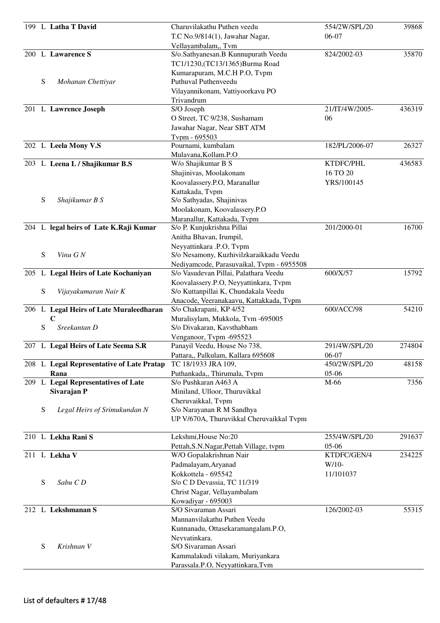|   | 199 L Latha T David                       | Charuvilakathu Puthen veedu               | 554/2W/SPL/20  | 39868  |
|---|-------------------------------------------|-------------------------------------------|----------------|--------|
|   |                                           | T.C No.9/814(1), Jawahar Nagar,           | 06-07          |        |
|   |                                           | Vellayambalam,, Tvm                       |                |        |
|   | 200 L Lawarence S                         | S/o.Sathyanesan.B Kunnupurath Veedu       | 824/2002-03    | 35870  |
|   |                                           | TC1/1230,(TC13/1365)Burma Road            |                |        |
|   |                                           | Kumarapuram, M.C.H P.O, Tvpm              |                |        |
| S | Mohanan Chettiyar                         | Puthuval Puthenveedu                      |                |        |
|   |                                           | Vilayannikonam, Vattiyoorkavu PO          |                |        |
|   |                                           | Trivandrum                                |                |        |
|   | 201 L Lawrence Joseph                     | S/O Joseph                                | 21/IT/4W/2005- | 436319 |
|   |                                           | O Street, TC 9/238, Sushamam              | 06             |        |
|   |                                           | Jawahar Nagar, Near SBT ATM               |                |        |
|   |                                           | Tvpm - 695503                             |                |        |
|   | 202 L Leela Mony V.S                      | Pournami, kumbalam                        | 182/PL/2006-07 | 26327  |
|   |                                           | Mulavana, Kollam.P.O                      |                |        |
|   | 203 L Leena L / Shajikumar B.S            | W/o Shajikumar B S                        | KTDFC/PHL      | 436583 |
|   |                                           | Shajinivas, Moolakonam                    | 16 TO 20       |        |
|   |                                           | Koovalassery.P.O, Maranallur              | YRS/100145     |        |
|   |                                           | Kattakada, Tvpm                           |                |        |
| S | Shajikumar B S                            | S/o Sathyadas, Shajinivas                 |                |        |
|   |                                           | Moolakonam, Koovalassery.P.O              |                |        |
|   |                                           | Maranallur, Kattakada, Tvpm               |                |        |
|   | 204 L legal heirs of Late K.Raji Kumar    | S/o P. Kunjukrishna Pillai                | 201/2000-01    | 16700  |
|   |                                           | Anitha Bhavan, Irumpil,                   |                |        |
|   |                                           | Neyyattinkara .P.O, Tvpm                  |                |        |
| S | Vinu GN                                   | S/o Nesamony, Kuzhivilzkaraikkadu Veedu   |                |        |
|   |                                           | Nediyamcode, Parasuvaikal, Tvpm - 6955508 |                |        |
|   | 205 L Legal Heirs of Late Kochaniyan      | S/o Vasudevan Pillai, Palathara Veedu     | 600/X/57       | 15792  |
|   |                                           | Koovalassery.P.O, Neyyattinkara, Tvpm     |                |        |
| S | Vijayakumaran Nair K                      | S/o Kuttanpillai K, Chundakala Veedu      |                |        |
|   |                                           | Anacode, Veeranakaavu, Kattakkada, Tvpm   |                |        |
|   | 206 L Legal Heirs of Late Muraleedharan   | S/o Chakrapani, KP 4/52                   | 600/ACC/98     | 54210  |
|   | $\mathbf C$                               | Muralisylam, Mukkola, Tvm -695005         |                |        |
| S | Sreekantan D                              | S/o Divakaran, Kavsthabham                |                |        |
|   |                                           | Venganoor, Tvpm -695523                   |                |        |
|   | 207 L Legal Heirs of Late Seema S.R       | Panayil Veedu, House No 738,              | 291/4W/SPL/20  | 274804 |
|   |                                           | Pattara,, Palkulam, Kallara 695608        | 06-07          |        |
|   | 208 L Legal Representative of Late Pratap | TC 18/1933 JRA 109,                       | 450/2W/SPL/20  | 48158  |
|   | Rana                                      | Puthankada,, Thirumala, Tvpm              | $05-06$        |        |
|   | 209 L Legal Representatives of Late       | S/o Pushkaran A463 A                      | M-66           | 7356   |
|   | Sivarajan P                               | Miniland, Ulloor, Thuruvikkal             |                |        |
|   |                                           | Cheruvaikkal, Tvpm                        |                |        |
| S | Legal Heirs of Srimukundan N              | S/o Narayanan R M Sandhya                 |                |        |
|   |                                           | UP V/670A, Thuruvikkal Cheruvaikkal Tvpm  |                |        |
|   |                                           |                                           |                |        |
|   | 210 L Lekha Rani S                        | Lekshmi, House No:20                      | 255/4W/SPL/20  | 291637 |
|   |                                           | Pettah, S.N. Nagar, Pettah Village, tvpm  | $05-06$        |        |
|   | 211 L Lekha V                             | W/O Gopalakrishnan Nair                   | KTDFC/GEN/4    | 234225 |
|   |                                           | Padmalayam, Aryanad                       | $W/10-$        |        |
|   |                                           | Kokkottela - 695542                       | 11/101037      |        |
| S | Sabu C D                                  | S/o C D Devassia, TC 11/319               |                |        |
|   |                                           | Christ Nagar, Vellayambalam               |                |        |
|   |                                           | Kowadiyar - 695003                        |                |        |
|   | 212 L Lekshmanan S                        | S/O Sivaraman Assari                      | 126/2002-03    | 55315  |
|   |                                           | Mannanvilakathu Puthen Veedu              |                |        |
|   |                                           | Kunnanadu, Ottasekaramangalam.P.O,        |                |        |
|   |                                           | Neyyatinkara.                             |                |        |
| S | Krishnan V                                | S/O Sivaraman Assari                      |                |        |
|   |                                           | Kammalakudi vilakam, Muriyankara          |                |        |
|   |                                           | Parassala.P.O, Neyyattinkara,Tvm          |                |        |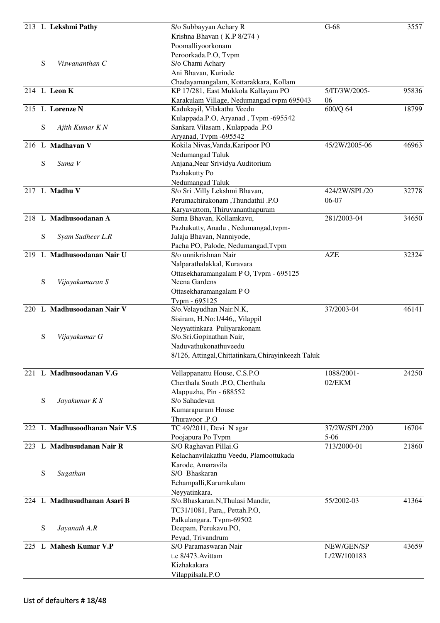|     |           | 213 L Lekshmi Pathy           | S/o Subbayyan Achary R                                                  | $G-68$        | 3557  |
|-----|-----------|-------------------------------|-------------------------------------------------------------------------|---------------|-------|
|     |           |                               | Krishna Bhavan (K.P 8/274)                                              |               |       |
|     |           |                               | Poomalliyoorkonam                                                       |               |       |
|     |           |                               | Peroorkada.P.O, Tvpm                                                    |               |       |
|     | S         | Viswananthan C                | S/o Chami Achary                                                        |               |       |
|     |           |                               | Ani Bhavan, Kuriode                                                     |               |       |
|     |           |                               | Chadayamangalam, Kottarakkara, Kollam                                   |               |       |
|     |           | 214 L Leon K                  | KP 17/281, East Mukkola Kallayam PO                                     | 5/IT/3W/2005- | 95836 |
|     |           |                               | Karakulam Village, Nedumangad tvpm 695043                               | 06            |       |
|     |           | 215 L Lorenze N               | Kadukayil, Vilakathu Veedu                                              | 600/Q 64      | 18799 |
|     | S         | Ajith Kumar K N               | Kulappada.P.O, Aryanad, Tvpm -695542<br>Sankara Vilasam, Kulappada .P.O |               |       |
|     |           |                               |                                                                         |               |       |
|     |           | 216 L Madhavan V              | Aryanad, Tvpm -695542<br>Kokila Nivas, Vanda, Karipoor PO               | 45/2W/2005-06 | 46963 |
|     |           |                               | Nedumangad Taluk                                                        |               |       |
|     | S         | Suma V                        | Anjana, Near Srividya Auditorium                                        |               |       |
|     |           |                               | Pazhakutty Po                                                           |               |       |
|     |           |                               | Nedumangad Taluk                                                        |               |       |
|     |           | 217 L Madhu V                 | S/o Sri . Villy Lekshmi Bhavan,                                         | 424/2W/SPL/20 | 32778 |
|     |           |                               | Perumachirakonam ,Thundathil .P.O                                       | 06-07         |       |
|     |           |                               | Karyavattom, Thiruvananthapuram                                         |               |       |
|     |           | 218 L Madhusoodanan A         | Suma Bhavan, Kollamkavu,                                                | 281/2003-04   | 34650 |
|     |           |                               | Pazhakutty, Anadu, Nedumangad, tvpm-                                    |               |       |
|     | ${\bf S}$ | Syam Sudheer L.R              | Jalaja Bhavan, Nanniyode,                                               |               |       |
|     |           |                               | Pacha PO, Palode, Nedumangad, Tvpm                                      |               |       |
| 219 |           | L Madhusoodanan Nair U        | S/o unnikrishnan Nair                                                   | <b>AZE</b>    | 32324 |
|     |           |                               | Nalparathalakkal, Kuravara                                              |               |       |
|     |           |                               | Ottasekharamangalam PO, Tvpm - 695125                                   |               |       |
|     | ${\bf S}$ | Vijayakumaran S               | Neena Gardens                                                           |               |       |
|     |           |                               | Ottasekharamangalam PO                                                  |               |       |
|     |           |                               | Tvpm - 695125                                                           |               |       |
|     |           | 220 L Madhusoodanan Nair V    | S/o.Velayudhan Nair.N.K,                                                | 37/2003-04    | 46141 |
|     |           |                               | Sisiram, H.No:1/446,, Vilappil                                          |               |       |
|     |           |                               | Neyyattinkara Puliyarakonam                                             |               |       |
|     | S         | Vijayakumar G                 | S/o.Sri.Gopinathan Nair,                                                |               |       |
|     |           |                               | Naduvathukonathuveedu                                                   |               |       |
|     |           |                               | 8/126, Attingal, Chittatinkara, Chirayinkeezh Taluk                     |               |       |
|     |           | 221 L Madhusoodanan V.G       | Vellappanattu House, C.S.P.O                                            | 1088/2001-    | 24250 |
|     |           |                               | Cherthala South .P.O, Cherthala                                         | 02/EKM        |       |
|     |           |                               | Alappuzha, Pin - 688552                                                 |               |       |
|     | ${\bf S}$ | Jayakumar K S                 | S/o Sahadevan                                                           |               |       |
|     |           |                               | Kumarapuram House                                                       |               |       |
|     |           |                               | Thuravoor .P.O                                                          |               |       |
|     |           | 222 L Madhusoodhanan Nair V.S | TC 49/2011, Devi N agar                                                 | 37/2W/SPL/200 | 16704 |
|     |           |                               | Poojapura Po Tvpm                                                       | $5 - 06$      |       |
|     |           | 223 L Madhusudanan Nair R     | S/O Raghavan Pillai.G                                                   | 713/2000-01   | 21860 |
|     |           |                               | Kelachanvilakathu Veedu, Plamoottukada                                  |               |       |
|     |           |                               | Karode, Amaravila                                                       |               |       |
|     | S         | Sugathan                      | S/O Bhaskaran                                                           |               |       |
|     |           |                               | Echampalli, Karumkulam                                                  |               |       |
|     |           |                               | Neyyatinkara.                                                           |               |       |
|     |           | 224 L Madhusudhanan Asari B   | S/o.Bhaskaran.N,Thulasi Mandir,                                         | 55/2002-03    | 41364 |
|     |           |                               | TC31/1081, Para,, Pettah.P.O,                                           |               |       |
|     |           |                               | Palkulangara. Tvpm-69502                                                |               |       |
|     | S         | Jayanath A.R                  | Deepam, Perukavu.PO,                                                    |               |       |
|     |           |                               | Peyad, Trivandrum                                                       |               |       |
|     |           | 225 L Mahesh Kumar V.P        | S/O Paramaswaran Nair                                                   | NEW/GEN/SP    | 43659 |
|     |           |                               | t.c 8/473. Avittam                                                      | L/2W/100183   |       |
|     |           |                               | Kizhakakara                                                             |               |       |
|     |           |                               | Vilappilsala.P.O                                                        |               |       |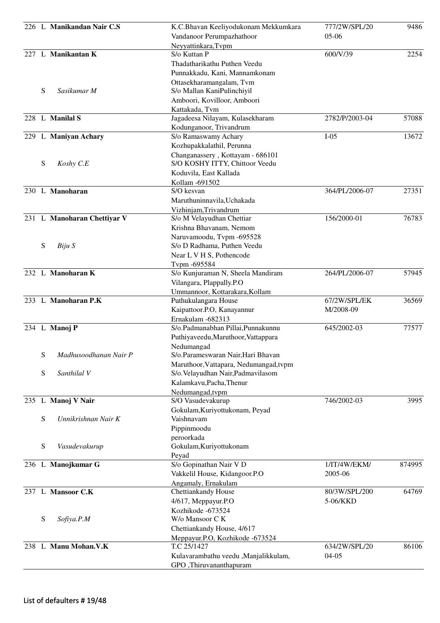|   | 226 L Manikandan Nair C.S   | K.C.Bhavan Keeliyodukonam Mekkumkara                       | 777/2W/SPL/20  | 9486   |
|---|-----------------------------|------------------------------------------------------------|----------------|--------|
|   |                             | Vandanoor Perumpazhathoor                                  | $05-06$        |        |
|   |                             | Neyyattinkara, Tvpm                                        |                |        |
|   | 227 L Manikantan K          | S/o Kuttan P                                               | 600/V/39       | 2254   |
|   |                             | Thadatharikathu Puthen Veedu                               |                |        |
|   |                             | Punnakkadu, Kani, Mannamkonam                              |                |        |
|   |                             | Ottasekharamangalam, Tvm                                   |                |        |
| S | Sasikumar M                 | S/o Mallan KaniPulinchiyil                                 |                |        |
|   |                             | Amboori, Kovilloor, Amboori                                |                |        |
|   | 228 L Manilal S             | Kattakada, Tvm                                             | 2782/P/2003-04 | 57088  |
|   |                             | Jagadeesa Nilayam, Kulasekharam<br>Kodunganoor, Trivandrum |                |        |
|   | 229 L Maniyan Achary        | S/o Ramaswamy Achary                                       | $I-05$         | 13672  |
|   |                             | Kozhupakkalathil, Perunna                                  |                |        |
|   |                             | Changanassery, Kottayam - 686101                           |                |        |
| S | Koshy C.E                   | S/O KOSHY ITTY, Chittoor Veedu                             |                |        |
|   |                             | Koduvila, East Kallada                                     |                |        |
|   |                             | Kollam - 691502                                            |                |        |
|   | 230 L Manoharan             | S/O kesvan                                                 | 364/PL/2006-07 | 27351  |
|   |                             | Maruthuninnavila, Uchakada                                 |                |        |
|   |                             | Vizhinjam, Trivandrum                                      |                |        |
|   | 231 L Manoharan Chettiyar V | S/o M Velayudhan Chettiar                                  | 156/2000-01    | 76783  |
|   |                             | Krishna Bhavanam, Nemom                                    |                |        |
|   |                             | Naruvamoodu, Tvpm -695528                                  |                |        |
| S | Biju S                      | S/o D Radhama, Puthen Veedu                                |                |        |
|   |                             | Near L V H S, Pothencode                                   |                |        |
|   |                             | Tvpm -695584                                               |                |        |
|   | 232 L Manoharan K           | S/o Kunjuraman N, Sheela Mandiram                          | 264/PL/2006-07 | 57945  |
|   |                             | Vilangara, Plappally.P.O                                   |                |        |
|   |                             | Ummannoor, Kottarakara, Kollam                             |                |        |
|   | 233 L Manoharan P.K         | Puthukulangara House                                       | 67/2W/SPL/EK   | 36569  |
|   |                             | Kaipattoor.P.O, Kanayannur                                 | M/2008-09      |        |
|   | 234 L Manoj P               | Ernakulam -682313<br>S/o.Padmanabhan Pillai, Punnakunnu    | 645/2002-03    | 77577  |
|   |                             | Puthiyaveedu, Maruthoor, Vattappara                        |                |        |
|   |                             | Nedumangad                                                 |                |        |
| S | Madhusoodhanan Nair P       | S/o.Parameswaran Nair, Hari Bhavan                         |                |        |
|   |                             | Maruthoor, Vattapara, Nedumangad, tvpm                     |                |        |
| S | Santhilal V                 | S/o. Velayudhan Nair, Padmavilasom                         |                |        |
|   |                             | Kalamkavu, Pacha, Thenur                                   |                |        |
|   |                             | Nedumangad, tvpm                                           |                |        |
|   | 235 L Manoj V Nair          | S/O Vasudevakurup                                          | 746/2002-03    | 3995   |
|   |                             | Gokulam, Kuriyottukonam, Peyad                             |                |        |
| S | Unnikrishnan Nair K         | Vaishnavam                                                 |                |        |
|   |                             | Pippinmoodu                                                |                |        |
|   |                             | peroorkada                                                 |                |        |
| S | Vasudevakurup               | Gokulam, Kuriyottukonam                                    |                |        |
|   |                             | Peyad                                                      |                |        |
|   | 236 L Manojkumar G          | S/o Gopinathan Nair V D                                    | 1/IT/4W/EKM/   | 874995 |
|   |                             | Vakkelil House, Kidangoor.P.O                              | 2005-06        |        |
|   | 237 L Mansoor C.K           | Angamaly, Ernakulam                                        | 80/3W/SPL/200  | 64769  |
|   |                             | Chettiankandy House<br>4/617, Meppayur.P.O                 | 5-06/KKD       |        |
|   |                             | Kozhikode -673524                                          |                |        |
| S | Sofiya.P.M                  | W/o Mansoor C K                                            |                |        |
|   |                             | Chettiankandy House, 4/617                                 |                |        |
|   |                             | Meppayur.P.O, Kozhikode -673524                            |                |        |
|   | 238 L Manu Mohan.V.K        | T.C 25/1427                                                | 634/2W/SPL/20  | 86106  |
|   |                             | Kulavarambathu veedu ,Manjalikkulam,                       | $04 - 05$      |        |
|   |                             | GPO, Thiruvananthapuram                                    |                |        |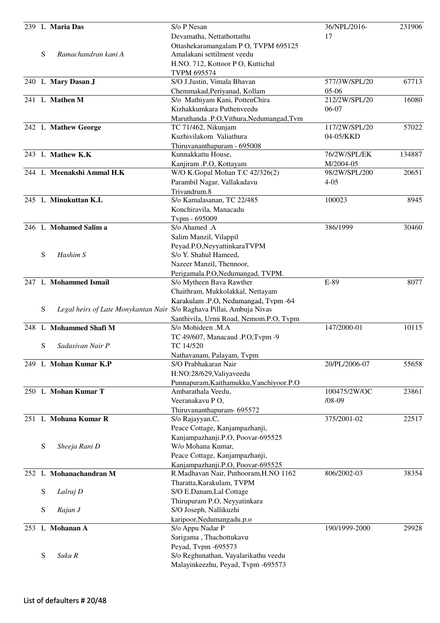|     |   | 239 L Maria Das                                                      | S/o P Nesan<br>Devamatha, Nettathottathu                            | 36/NPL/2016-<br>17       | 231906 |
|-----|---|----------------------------------------------------------------------|---------------------------------------------------------------------|--------------------------|--------|
|     |   |                                                                      | Ottashekaramangalam P O, TVPM 695125                                |                          |        |
|     | S | Ramachandran kani A                                                  | Amalakani settilment veedu                                          |                          |        |
|     |   |                                                                      | H.NO. 712, Kottoor P O, Kuttichal                                   |                          |        |
|     |   |                                                                      | <b>TVPM 695574</b>                                                  |                          |        |
|     |   | 240 L Mary Dasan J                                                   | S/O J.Justin, Vimala Bhavan                                         | 577/3W/SPL/20            | 67713  |
|     |   | 241 L Mathen M                                                       | Chemmakad, Periyanad, Kollam                                        | $05-06$<br>212/2W/SPL/20 | 16080  |
|     |   |                                                                      | S/o Mathiyam Kani, PottenChira<br>Kizhakkumkara Puthenveedu         | 06-07                    |        |
|     |   |                                                                      | Maruthanda .P.O, Vithura, Nedumangad, Tvm                           |                          |        |
|     |   | 242 L Mathew George                                                  | TC 71/462, Nikunjam                                                 | 117/2W/SPL/20            | 57022  |
|     |   |                                                                      | Kuzhivilakom Valiathura                                             | 04-05/KKD                |        |
|     |   |                                                                      | Thiruvananthapuram - 695008                                         |                          |        |
|     |   | 243 L Mathew K.K                                                     | Kunnakkattu House,                                                  | 76/2W/SPL/EK             | 134887 |
|     |   |                                                                      | Kanjiram .P.O, Kottayam                                             | M/2004-05                |        |
|     |   | 244 L Meenakshi Ammal H.K                                            | W/O K.Gopal Mohan T.C 42/326(2)                                     | 98/2W/SPL/200            | 20651  |
|     |   |                                                                      | Parambil Nagar, Vallakadavu                                         | $4 - 05$                 |        |
|     |   |                                                                      | Trivandrum.8                                                        |                          |        |
|     |   | 245 L Minukuttan K.L                                                 | S/o Kamalasanan, TC 22/485                                          | 100023                   | 8945   |
|     |   |                                                                      | Konchiravila, Manacadu                                              |                          |        |
|     |   | 246 L Mohamed Salim a                                                | Tvpm - 695009<br>S/o Ahamed .A                                      | 386/1999                 | 30460  |
|     |   |                                                                      | Salim Manzil, Vilappil                                              |                          |        |
|     |   |                                                                      | Peyad.P.O, NeyyattinkaraTVPM                                        |                          |        |
|     | S | Hashim S                                                             | S/o Y. Shahul Hameed,                                               |                          |        |
|     |   |                                                                      | Nazeer Manzil, Thennoor,                                            |                          |        |
|     |   |                                                                      | Perigamala.P.O, Nedumangad, TVPM.                                   |                          |        |
|     |   | 247 L Mohammed Ismail                                                | S/o Mytheen Bava Rawther                                            | E-89                     | 8077   |
|     |   |                                                                      | Chaithram, Mukkolakkal, Nettayam                                    |                          |        |
|     |   |                                                                      | Karakulam .P.O, Nedumangad, Tvpm -64                                |                          |        |
|     | S | Legal heirs of Late Monykantan Nair S/o Raghava Pillai, Ambuja Nivas |                                                                     |                          |        |
|     |   |                                                                      | Santhivila, Urmi Road, Nemom.P.O, Tvpm                              |                          |        |
|     |   | 248 L Mohammed Shafi M                                               | S/o Mohideen .M.A                                                   | 147/2000-01              | 10115  |
|     | S | Sadasivan Nair P                                                     | TC 49/607, Manacaud .P.O, Tvpm -9<br>TC 14/520                      |                          |        |
|     |   |                                                                      | Nathavanam, Palayam, Tvpm                                           |                          |        |
|     |   | 249 L Mohan Kumar K.P                                                | S/O Prabhakaran Nair                                                | 20/PL/2006-07            | 55658  |
|     |   |                                                                      | H:NO:28/629, Valiyaveedu                                            |                          |        |
|     |   |                                                                      | Punnapuram, Kaithamukku, Vanchiyoor.P.O                             |                          |        |
|     |   | 250 L Mohan Kumar T                                                  | Ambarathala Veedu,                                                  | 100475/2W/OC             | 23861  |
|     |   |                                                                      | Veeranakavu PO,                                                     | $/08 - 09$               |        |
|     |   |                                                                      | Thiruvananthapuram- 695572                                          |                          |        |
|     |   | 251 L Mohana Kumar R                                                 | S/o Rajayyan.C,                                                     | 375/2001-02              | 22517  |
|     |   |                                                                      | Peace Cottage, Kanjampazhanji,                                      |                          |        |
|     |   |                                                                      | Kanjampazhanji.P.O, Poovar-695525                                   |                          |        |
|     | S | Sheeja Rani D                                                        | W/o Mohana Kumar,                                                   |                          |        |
|     |   |                                                                      | Peace Cottage, Kanjampazhanji,<br>Kanjampazhanji.P.O, Poovar-695525 |                          |        |
| 252 |   | L Mohanachandran M                                                   | R.Madhavan Nair, Puthooram, H.NO 1162                               | 806/2002-03              | 38354  |
|     |   |                                                                      | Tharatta, Karakulam, TVPM                                           |                          |        |
|     | S | Lalraj D                                                             | S/O E.Danam, Lal Cottage                                            |                          |        |
|     |   |                                                                      | Thirupuram P.O, Neyyatinkara                                        |                          |        |
|     | S | Rajan J                                                              | S/O Joseph, Nallikuzhi                                              |                          |        |
|     |   |                                                                      | karipoor, Nedumangadu.p.o                                           |                          |        |
|     |   | 253 L Mohanan A                                                      | S/o Appu Nadar P                                                    | 190/1999-2000            | 29928  |
|     |   |                                                                      | Sarigama, Thachottukavu                                             |                          |        |
|     |   |                                                                      | Peyad, Tvpm -695573                                                 |                          |        |
|     | S | Suku R                                                               | S/o Reghunathan, Vayalarikathu veedu                                |                          |        |
|     |   |                                                                      | Malayinkeezhu, Peyad, Tvpm -695573                                  |                          |        |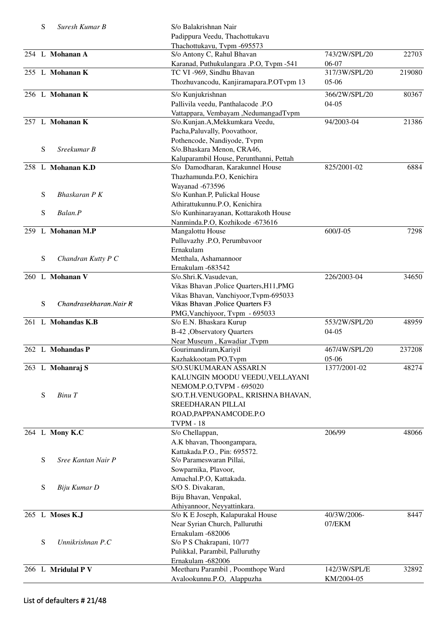|     | S         | Suresh Kumar B         | S/o Balakrishnan Nair                    |               |        |
|-----|-----------|------------------------|------------------------------------------|---------------|--------|
|     |           |                        | Padippura Veedu, Thachottukavu           |               |        |
|     |           |                        | Thachottukavu, Tvpm -695573              |               |        |
|     |           | 254 L Mohanan A        | S/o Antony C, Rahul Bhavan               | 743/2W/SPL/20 | 22703  |
|     |           |                        | Karanad, Puthukulangara .P.O, Tvpm -541  | 06-07         |        |
|     |           | 255 L Mohanan K        | TC VI -969, Sindhu Bhavan                | 317/3W/SPL/20 | 219080 |
|     |           |                        | Thozhuvancodu, Kanjiramapara.P.OTvpm 13  | $05-06$       |        |
|     |           |                        |                                          |               |        |
|     |           | 256 L Mohanan K        | S/o Kunjukrishnan                        | 366/2W/SPL/20 | 80367  |
|     |           |                        | Pallivila veedu, Panthalacode .P.O       | $04-05$       |        |
|     |           |                        | Vattappara, Vembayam ,NedumangadTvpm     |               |        |
|     |           | 257 L Mohanan K        | S/o.Kunjan.A, Mekkumkara Veedu,          | 94/2003-04    | 21386  |
|     |           |                        | Pacha, Paluvally, Poovathoor,            |               |        |
|     |           |                        | Pothencode, Nandiyode, Tvpm              |               |        |
|     | S         | Sreekumar B            | S/o.Bhaskara Menon, CRA46,               |               |        |
|     |           |                        | Kaluparambil House, Perunthanni, Pettah  |               |        |
|     |           | 258 L Mohanan K.D      | S/o Damodharan, Karakunnel House         | 825/2001-02   | 6884   |
|     |           |                        | Thazhamunda.P.O, Kenichira               |               |        |
|     |           |                        | Wayanad -673596                          |               |        |
|     | S         | Bhaskaran P K          | S/o Kunhan.P, Pulickal House             |               |        |
|     |           |                        | Athirattukunnu.P.O, Kenichira            |               |        |
|     | S         | Balan.P                | S/o Kunhinarayanan, Kottarakoth House    |               |        |
|     |           |                        |                                          |               |        |
|     |           |                        | Nanminda.P.O, Kozhikode -673616          |               |        |
| 259 |           | L Mohanan M.P          | Mangalottu House                         | 600/J-05      | 7298   |
|     |           |                        | Pulluvazhy .P.O, Perumbavoor             |               |        |
|     |           |                        | Ernakulam                                |               |        |
|     | S         | Chandran Kutty P C     | Metthala, Ashamannoor                    |               |        |
|     |           |                        | Ernakulam -683542                        |               |        |
|     |           | 260 L Mohanan V        | S/o.Shri.K.Vasudevan,                    | 226/2003-04   | 34650  |
|     |           |                        | Vikas Bhavan , Police Quarters, H11, PMG |               |        |
|     |           |                        | Vikas Bhavan, Vanchiyoor, Tvpm-695033    |               |        |
|     | ${\bf S}$ | Chandrasekharan.Nair R | Vikas Bhavan , Police Quarters F3        |               |        |
|     |           |                        | PMG, Vanchiyoor, Tvpm - 695033           |               |        |
|     |           | 261 L Mohandas K.B     | S/o E.N. Bhaskara Kurup                  | 553/2W/SPL/20 | 48959  |
|     |           |                        | <b>B-42</b> , Observatory Quarters       | $04-05$       |        |
|     |           |                        | Near Museum, Kawadiar, Tvpm              |               |        |
|     |           | 262 L Mohandas P       | Gourimandiram, Kariyil                   | 467/4W/SPL/20 | 237208 |
|     |           |                        | Kazhakkootam PO, Tvpm                    | 05-06         |        |
|     |           | 263 L Mohanraj S       | S/O.SUKUMARAN ASSARI.N                   | 1377/2001-02  | 48274  |
|     |           |                        |                                          |               |        |
|     |           |                        | KALUNGIN MOODU VEEDU, VELLAYANI          |               |        |
|     |           |                        | NEMOM.P.O,TVPM - 695020                  |               |        |
|     | S         | Binu T                 | S/O.T.H.VENUGOPAL, KRISHNA BHAVAN,       |               |        |
|     |           |                        | SREEDHARAN PILLAI                        |               |        |
|     |           |                        | ROAD, PAPPANAMCODE.P.O                   |               |        |
|     |           |                        | <b>TVPM - 18</b>                         |               |        |
|     |           | 264 L Mony K.C         | S/o Chellappan,                          | 206/99        | 48066  |
|     |           |                        | A.K bhavan, Thoongampara,                |               |        |
|     |           |                        | Kattakada.P.O., Pin: 695572.             |               |        |
|     | ${\bf S}$ | Sree Kantan Nair P     | S/o Parameswaran Pillai,                 |               |        |
|     |           |                        | Sowparnika, Plavoor,                     |               |        |
|     |           |                        | Amachal.P.O, Kattakada.                  |               |        |
|     | S         | Biju Kumar D           | S/O S. Divakaran,                        |               |        |
|     |           |                        | Biju Bhavan, Venpakal,                   |               |        |
|     |           |                        |                                          |               |        |
|     |           |                        | Athiyannoor, Neyyattinkara.              |               |        |
|     |           | 265 L Moses K.J        | S/o K E Joseph, Kalapurakal House        | 40/3W/2006-   | 8447   |
|     |           |                        | Near Syrian Church, Palluruthi           | 07/EKM        |        |
|     |           |                        | Ernakulam -682006                        |               |        |
|     | S         | Unnikrishnan P.C       | S/o P S Chakrapani, 10/77                |               |        |
|     |           |                        | Pulikkal, Parambil, Palluruthy           |               |        |
|     |           |                        | Ernakulam -682006                        |               |        |
|     |           | 266 L Mridulal P V     | Meetharu Parambil, Poomthope Ward        | 142/3W/SPL/E  | 32892  |
|     |           |                        | Avalookunnu.P.O, Alappuzha               | KM/2004-05    |        |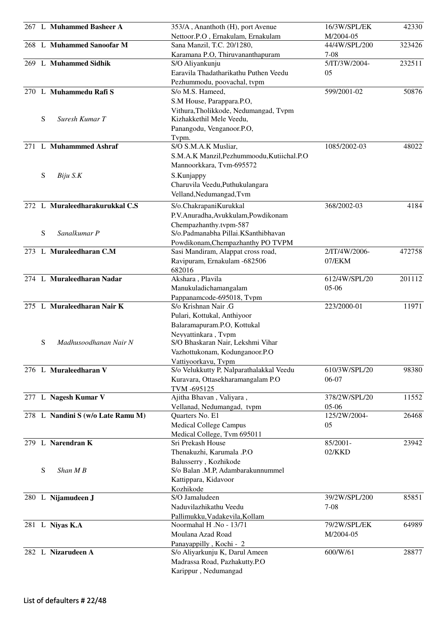|   | 267 L Muhammed Basheer A          | 353/A, Ananthoth (H), port Avenue          | 16/3W/SPL/EK  | 42330  |
|---|-----------------------------------|--------------------------------------------|---------------|--------|
|   |                                   | Nettoor.P.O, Ernakulam, Ernakulam          | M/2004-05     |        |
|   | 268 L Muhammed Sanoofar M         | Sana Manzil, T.C. 20/1280,                 | 44/4W/SPL/200 | 323426 |
|   |                                   | Karamana P.O, Thiruvananthapuram           | $7-08$        |        |
|   | 269 L Muhammed Sidhik             | S/O Aliyankunju                            | 5/IT/3W/2004- | 232511 |
|   |                                   | Earavila Thadatharikathu Puthen Veedu      | 05            |        |
|   |                                   | Pezhummodu, poovachal, tvpm                |               |        |
|   | 270 L Muhammedu Rafi S            | S/o M.S. Hameed,                           | 599/2001-02   | 50876  |
|   |                                   |                                            |               |        |
|   |                                   | S.M House, Parappara.P.O,                  |               |        |
| S | Suresh Kumar T                    | Vithura, Tholikkode, Nedumangad, Tvpm      |               |        |
|   |                                   | Kizhakkethil Mele Veedu,                   |               |        |
|   |                                   | Panangodu, Venganoor.P.O,                  |               |        |
|   |                                   | Tvpm.                                      |               |        |
|   | 271 L Muhammmed Ashraf            | S/O S.M.A.K Musliar,                       | 1085/2002-03  | 48022  |
|   |                                   | S.M.A.K Manzil, Pezhummoodu, Kutiichal.P.O |               |        |
|   |                                   | Mannoorkkara, Tvm-695572                   |               |        |
| S | Biju S.K                          | S.Kunjappy                                 |               |        |
|   |                                   | Charuvila Veedu, Puthukulangara            |               |        |
|   |                                   | Velland, Nedumangad, Tvm                   |               |        |
|   | 272 L Muraleedharakurukkal C.S    | S/o.ChakrapaniKurukkal                     | 368/2002-03   | 4184   |
|   |                                   | P.V.Anuradha,Avukkulam,Powdikonam          |               |        |
|   |                                   | Chempazhanthy.tvpm-587                     |               |        |
| S | Sanalkumar P                      | S/o.Padmanabha Pillai.KSanthibhavan        |               |        |
|   |                                   | Powdikonam, Chempazhanthy PO TVPM          |               |        |
|   | 273 L Muraleedharan C.M           | Sasi Mandiram, Alappat cross road,         | 2/IT/4W/2006- | 472758 |
|   |                                   | Ravipuram, Ernakulam -682506               | 07/EKM        |        |
|   |                                   |                                            |               |        |
|   | 274 L Muraleedharan Nadar         | 682016                                     | 612/4W/SPL/20 | 201112 |
|   |                                   | Akshara, Plavila                           |               |        |
|   |                                   | Manukuladichamangalam                      | $05-06$       |        |
|   |                                   | Pappanamcode-695018, Tvpm                  |               |        |
|   | 275 L Muraleedharan Nair K        | S/o Krishnan Nair .G                       | 223/2000-01   | 11971  |
|   |                                   | Pulari, Kottukal, Anthiyoor                |               |        |
|   |                                   | Balaramapuram.P.O, Kottukal                |               |        |
|   |                                   | Neyyattinkara, Tvpm                        |               |        |
| S | Madhusoodhanan Nair N             | S/O Bhaskaran Nair, Lekshmi Vihar          |               |        |
|   |                                   | Vazhottukonam, Kodunganoor.P.O             |               |        |
|   |                                   | Vattiyoorkavu, Tvpm                        |               |        |
|   | 276 L Muraleedharan V             | S/o Velukkutty P, Nalparathalakkal Veedu   | 610/3W/SPL/20 | 98380  |
|   |                                   | Kuravara, Ottasekharamangalam P.O          | 06-07         |        |
|   |                                   | TVM -695125                                |               |        |
|   | 277 L Nagesh Kumar V              | Ajitha Bhavan, Valiyara,                   | 378/2W/SPL/20 | 11552  |
|   |                                   | Vellanad, Nedumangad, tvpm                 | $05-06$       |        |
|   | 278 L Nandini S (w/o Late Ramu M) | Quarters No. E1                            | 125/2W/2004-  | 26468  |
|   |                                   | <b>Medical College Campus</b>              | 05            |        |
|   |                                   | Medical College, Tvm 695011                |               |        |
|   | 279 L Narendran K                 | Sri Prekash House                          | 85/2001-      | 23942  |
|   |                                   | Thenakuzhi, Karumala .P.O                  | $02$ /KKD     |        |
|   |                                   | Balusserry, Kozhikode                      |               |        |
| S | $Shan \, M \, B$                  | S/o Balan .M.P, Adambarakunnummel          |               |        |
|   |                                   | Kattippara, Kidavoor                       |               |        |
|   |                                   | Kozhikode                                  |               |        |
|   | 280 L Nijamudeen J                | S/O Jamaludeen                             | 39/2W/SPL/200 | 85851  |
|   |                                   | Naduvilazhikathu Veedu                     | $7 - 08$      |        |
|   |                                   | Pallimukku, Vadakevila, Kollam             |               |        |
|   | 281 L Niyas K.A                   | Noormahal H .No - 13/71                    | 79/2W/SPL/EK  | 64989  |
|   |                                   | Moulana Azad Road                          | M/2004-05     |        |
|   |                                   | Panayappilly, Kochi - 2                    |               |        |
|   | 282 L Nizarudeen A                | S/o Aliyarkunju K, Darul Ameen             | 600/W/61      | 28877  |
|   |                                   | Madrassa Road, Pazhakutty.P.O              |               |        |
|   |                                   | Karippur, Nedumangad                       |               |        |
|   |                                   |                                            |               |        |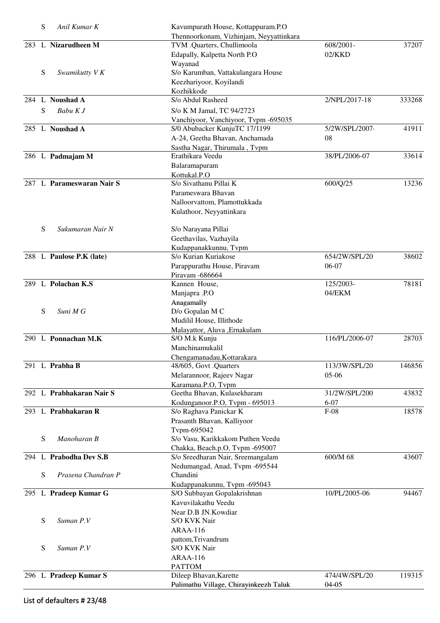|     | S | Anil Kumar K              | Kavumpurath House, Kottappuram.P.O      |                |        |
|-----|---|---------------------------|-----------------------------------------|----------------|--------|
|     |   |                           | Thennoorkonam, Vizhinjam, Neyyattinkara |                |        |
|     |   | 283 L Nizarudheen M       | TVM .Quarters, Chullimoola              | 608/2001-      | 37207  |
|     |   |                           | Edapally, Kalpetta North P.O            | $02$ /KKD      |        |
|     |   |                           | Wayanad                                 |                |        |
|     | S | Swamikutty V K            | S/o Karumban, Vattakulangara House      |                |        |
|     |   |                           | Keezhariyoor, Koyilandi                 |                |        |
|     |   |                           | Kozhikkode                              |                |        |
| 284 |   | L Noushad A               | S/o Abdul Rasheed                       | 2/NPL/2017-18  | 333268 |
|     | S | Babu K J                  | S/o K M Jamal, TC 94/2723               |                |        |
|     |   |                           | Vanchiyoor, Vanchiyoor, Tvpm -695035    |                |        |
|     |   | 285 L Noushad A           | S/0 Abubacker KunjuTC 17/1199           | 5/2W/SPL/2007- | 41911  |
|     |   |                           | A-24, Geetha Bhavan, Anchamada          | 08             |        |
|     |   |                           | Sastha Nagar, Thirumala, Tvpm           |                |        |
|     |   | 286 L Padmajam M          | Erathikara Veedu                        | 38/PL/2006-07  | 33614  |
|     |   |                           | Balaramapuram                           |                |        |
|     |   |                           | Kottukal.P.O                            |                |        |
|     |   | 287 L Parameswaran Nair S | S/o Sivathanu Pillai K                  | 600/Q/25       | 13236  |
|     |   |                           | Parameswara Bhavan                      |                |        |
|     |   |                           | Nalloorvattom, Plamottukkada            |                |        |
|     |   |                           | Kulathoor, Neyyattinkara                |                |        |
|     |   |                           |                                         |                |        |
|     | S | Sukumaran Nair N          | S/o Narayana Pillai                     |                |        |
|     |   |                           | Geethavilas, Vazhayila                  |                |        |
|     |   |                           | Kudappanakkunnu, Tvpm                   |                |        |
|     |   | 288 L Paulose P.K (late)  | S/o Kurian Kuriakose                    | 654/2W/SPL/20  | 38602  |
|     |   |                           | Parappurathu House, Piravam             | 06-07          |        |
|     |   |                           | Piravam -686664                         |                |        |
|     |   | 289 L Polachan K.S        | Kannen House,                           | 125/2003-      | 78181  |
|     |   |                           | Manjapra .P.O                           | 04/EKM         |        |
|     |   |                           | Anagamally                              |                |        |
|     | S | Suni M G                  | D/o Gopalan M C                         |                |        |
|     |   |                           | Mudilil House, Illithode                |                |        |
|     |   |                           | Malayattor, Aluva , Ernakulam           |                |        |
|     |   | 290 L Ponnachan M.K       | S/O M.k Kunju                           | 116/PL/2006-07 | 28703  |
|     |   |                           | Manchinamukalil                         |                |        |
|     |   |                           | Chengamanadau, Kottarakara              |                |        |
|     |   | 291 L Prabha B            | 48/605, Govt .Quarters                  | 113/3W/SPL/20  | 146856 |
|     |   |                           | Melarannoor, Rajeev Nagar               | $05-06$        |        |
|     |   |                           | Karamana.P.O, Tvpm                      |                |        |
|     |   | 292 L Prabhakaran Nair S  | Geetha Bhavan, Kulasekharam             | 31/2W/SPL/200  | 43832  |
|     |   |                           | Kodunganoor.P.O, Tvpm - 695013          | $6 - 07$       |        |
|     |   | 293 L Prabhakaran R       | S/o Raghava Panickar K                  | $F-08$         | 18578  |
|     |   |                           | Prasanth Bhavan, Kalliyoor              |                |        |
|     |   |                           | Tvpm-695042                             |                |        |
|     | S | Manoharan B               | S/o Vasu, Karikkakom Puthen Veedu       |                |        |
|     |   |                           | Chakka, Beach.p.O, Tvpm -695007         |                |        |
| 294 |   | L Prabodha Dev S.B        | S/o Sreedharan Nair, Sreemangalam       | 600/M 68       | 43607  |
|     |   |                           | Nedumangad, Anad, Tvpm -695544          |                |        |
|     | S | Prasena Chandran P        | Chandini                                |                |        |
|     |   |                           | Kudappanakunnu, Tvpm -695043            |                |        |
|     |   | 295 L Pradeep Kumar G     | S/O Subbayan Gopalakrishnan             | 10/PL/2005-06  | 94467  |
|     |   |                           | Kavuvilakathu Veedu                     |                |        |
|     |   |                           | Near D.B JN.Kowdiar                     |                |        |
|     | S | Suman P.V                 | S/O KVK Nair                            |                |        |
|     |   |                           | ARAA-116                                |                |        |
|     |   |                           | pattom, Trivandrum                      |                |        |
|     | S | Suman P.V                 | S/O KVK Nair                            |                |        |
|     |   |                           | ARAA-116                                |                |        |
|     |   |                           | <b>PATTOM</b>                           |                |        |
|     |   | 296 L Pradeep Kumar S     | Dileep Bhavan, Karette                  | 474/4W/SPL/20  | 119315 |
|     |   |                           | Pulimathu Village, Chirayinkeezh Taluk  | $04-05$        |        |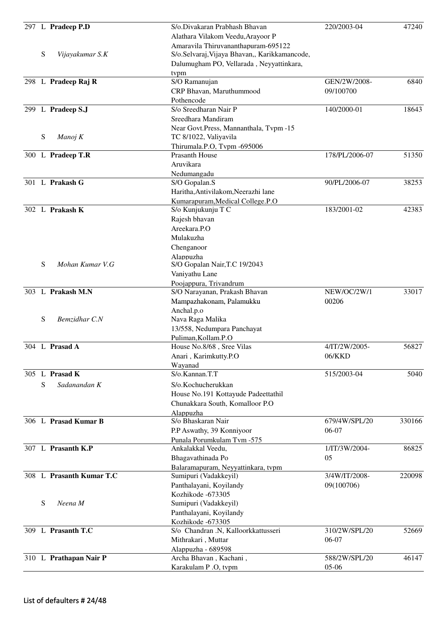|   | 297 L Pradeep P.D        | S/o.Divakaran Prabhash Bhavan<br>Alathara Vilakom Veedu, Arayoor P                                                               | 220/2003-04    | 47240  |
|---|--------------------------|----------------------------------------------------------------------------------------------------------------------------------|----------------|--------|
| S | Vijayakumar S.K          | Amaravila Thiruvananthapuram-695122<br>S/o.Selvaraj, Vijaya Bhavan,, Karikkamancode,<br>Dalumugham PO, Vellarada, Neyyattinkara, |                |        |
|   | 298 L Pradeep Raj R      | tvpm<br>S/O Ramanujan                                                                                                            | GEN/2W/2008-   | 6840   |
|   |                          | CRP Bhavan, Maruthummood                                                                                                         | 09/100700      |        |
|   |                          | Pothencode                                                                                                                       |                |        |
|   | 299 L Pradeep S.J        | S/o Sreedharan Nair P                                                                                                            | 140/2000-01    | 18643  |
|   |                          | Sreedhara Mandiram                                                                                                               |                |        |
|   |                          | Near Govt. Press, Mannanthala, Tvpm -15                                                                                          |                |        |
| S | Manoj K                  | TC 8/1022, Valiyavila                                                                                                            |                |        |
|   |                          | Thirumala.P.O, Tvpm -695006                                                                                                      |                |        |
|   | 300 L Pradeep T.R        | <b>Prasanth House</b>                                                                                                            | 178/PL/2006-07 | 51350  |
|   |                          | Aruvikara                                                                                                                        |                |        |
|   |                          | Nedumangadu                                                                                                                      |                |        |
|   | 301 L Prakash G          | S/O Gopalan.S                                                                                                                    | 90/PL/2006-07  | 38253  |
|   |                          | Haritha, Antivilakom, Neerazhi lane                                                                                              |                |        |
|   |                          | Kumarapuram, Medical College.P.O                                                                                                 |                |        |
|   | 302 L Prakash K          | S/o Kunjukunju T C                                                                                                               | 183/2001-02    | 42383  |
|   |                          | Rajesh bhavan                                                                                                                    |                |        |
|   |                          | Areekara.P.O                                                                                                                     |                |        |
|   |                          | Mulakuzha                                                                                                                        |                |        |
|   |                          | Chenganoor                                                                                                                       |                |        |
|   |                          | Alappuzha                                                                                                                        |                |        |
| S | Mohan Kumar V.G          | S/O Gopalan Nair, T.C 19/2043                                                                                                    |                |        |
|   |                          | Vaniyathu Lane                                                                                                                   |                |        |
|   |                          | Poojappura, Trivandrum                                                                                                           |                |        |
|   | 303 L Prakash M.N        | S/O Narayanan, Prakash Bhavan                                                                                                    | NEW/OC/2W/1    | 33017  |
|   |                          | Mampazhakonam, Palamukku                                                                                                         | 00206          |        |
| S | Bemzidhar C.N            | Anchal.p.o                                                                                                                       |                |        |
|   |                          | Nava Raga Malika                                                                                                                 |                |        |
|   |                          | 13/558, Nedumpara Panchayat<br>Puliman, Kollam.P.O                                                                               |                |        |
|   | 304 L Prasad A           | House No.8/68, Sree Vilas                                                                                                        | 4/IT/2W/2005-  | 56827  |
|   |                          | Anari, Karimkutty.P.O                                                                                                            | 06/KKD         |        |
|   |                          | Wayanad                                                                                                                          |                |        |
|   | 305 L Prasad K           | S/o.Kannan.T.T                                                                                                                   | 515/2003-04    | 5040   |
| S | Sadanandan K             | S/o.Kochucherukkan                                                                                                               |                |        |
|   |                          | House No.191 Kottayude Padeettathil                                                                                              |                |        |
|   |                          | Chunakkara South, Komalloor P.O                                                                                                  |                |        |
|   |                          | Alappuzha                                                                                                                        |                |        |
|   | 306 L Prasad Kumar B     | S/o Bhaskaran Nair                                                                                                               | 679/4W/SPL/20  | 330166 |
|   |                          | P.P Aswathy, 39 Konniyoor                                                                                                        | 06-07          |        |
|   |                          | Punala Porumkulam Tvm -575                                                                                                       |                |        |
|   | 307 L Prasanth K.P       | Ankalakkal Veedu,                                                                                                                | 1/IT/3W/2004-  | 86825  |
|   |                          | Bhagavathinada Po                                                                                                                | 05             |        |
|   |                          | Balaramapuram, Neyyattinkara, tvpm                                                                                               |                |        |
|   | 308 L Prasanth Kumar T.C | Sumipuri (Vadakkeyil)                                                                                                            | 3/4W/IT/2008-  | 220098 |
|   |                          | Panthalayani, Koyilandy                                                                                                          | 09(100706)     |        |
|   |                          | Kozhikode -673305                                                                                                                |                |        |
| S | Neena M                  | Sumipuri (Vadakkeyil)                                                                                                            |                |        |
|   |                          | Panthalayani, Koyilandy                                                                                                          |                |        |
|   |                          | Kozhikode -673305                                                                                                                |                |        |
|   | 309 L Prasanth T.C       | S/o Chandran .N, Kalloorkkattusseri                                                                                              | 310/2W/SPL/20  | 52669  |
|   |                          | Mithrakari, Muttar                                                                                                               | 06-07          |        |
|   | 310 L Prathapan Nair P   | Alappuzha - 689598<br>Archa Bhavan, Kachani,                                                                                     | 588/2W/SPL/20  | 46147  |
|   |                          | Karakulam P .O, tvpm                                                                                                             | 05-06          |        |
|   |                          |                                                                                                                                  |                |        |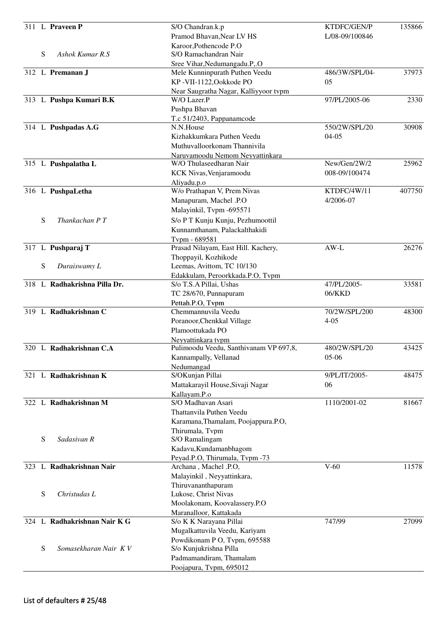| Pramod Bhavan, Near LV HS<br>L/08-09/100846<br>Karoor, Pothencode P.O<br>${\bf S}$<br>S/O Ramachandran Nair<br>Ashok Kumar R.S<br>Sree Vihar, Nedumangadu.P,.O<br>312 L Premanan J<br>Mele Kunninpurath Puthen Veedu<br>486/3W/SPL/04-<br>KP-VII-1122, Ookkode PO<br>05<br>Near Saugratha Nagar, Kalliyyoor tvpm<br>313 L Pushpa Kumari B.K<br>W/O Lazer.P<br>97/PL/2005-06<br>Pushpa Bhavan<br>T.c 51/2403, Pappanamcode<br>550/2W/SPL/20<br>314 L Pushpadas A.G<br>N.N.House<br>Kizhakkumkara Puthen Veedu<br>$04 - 05$<br>Muthuvalloorkonam Thannivila<br>Naruvamoodu Nemom Neyyattinkara<br>New/Gen/2W/2<br>315 L Pushpalatha L<br>W/O Thulaseedharan Nair<br>KCK Nivas, Venjaramoodu<br>008-09/100474<br>Aliyadu.p.o<br>W/o Prathapan V, Prem Nivas<br>KTDFC/4W/11<br>407750<br>316 L PushpaLetha<br>Manapuram, Machel .P.O<br>4/2006-07<br>Malayinkil, Tvpm -695571<br>S<br>Thankachan P T<br>S/o P T Kunju Kunju, Pezhumoottil<br>Kunnamthanam, Palackalthakidi<br>Tvpm - 689581<br>Prasad Nilayam, East Hill. Kachery,<br>$AW-L$<br>317 L Pushparaj T<br>Thoppayil, Kozhikode<br>S<br>Leemas, Avittom, TC 10/130<br>Duraiswamy L<br>Edakkulam, Peroorkkada.P.O, Tvpm<br>318 L Radhakrishna Pilla Dr.<br>47/PL/2005-<br>S/o T.S.A Pillai, Ushas<br>33581<br>06/KKD<br>TC 28/670, Punnapuram<br>Pettah.P.O, Tvpm<br>319 L Radhakrishnan C<br>70/2W/SPL/200<br>Chemmannuvila Veedu<br>Poranoor, Chenkkal Village<br>$4 - 05$<br>Plamoottukada PO<br>Neyyattinkara tvpm<br>320 L Radhakrishnan C.A<br>480/2W/SPL/20<br>Pulimoodu Veedu, Santhivanam VP 697,8,<br>43425<br>05-06<br>Kannampally, Vellanad<br>Nedumangad<br>321 L Radhakrishnan K<br>9/PL/IT/2005-<br>S/OKunjan Pillai<br>Mattakarayil House, Sivaji Nagar<br>06<br>Kallayam.P.o<br>322 L Radhakrishnan M<br>S/O Madhavan Asari<br>1110/2001-02<br>81667<br>Thattanvila Puthen Veedu<br>Karamana, Thamalam, Poojappura.P.O,<br>Thirumala, Tvpm<br>S<br>Sadasivan R<br>S/O Ramalingam<br>Kadavu, Kundamanbhagom<br>Peyad.P.O, Thirumala, Tvpm -73<br>L Radhakrishnan Nair<br>$V-60$<br>11578<br>Archana, Machel .P.O,<br>323<br>Malayinkil, Neyyattinkara,<br>Thiruvananthapuram<br>S<br>Christudas L<br>Lukose, Christ Nivas<br>Moolakonam, Koovalassery.P.O<br>Maranalloor, Kattakada<br>324 L Radhakrishnan Nair K G<br>S/o K K Narayana Pillai<br>747/99<br>27099<br>Mugalkattuvila Veedu, Kariyam<br>Powdikonam P O, Tvpm, 695588<br>S<br>Somasekharan Nair KV<br>S/o Kunjukrishna Pilla<br>Padmamandiram, Thamalam<br>Poojapura, Tvpm, 695012 |  | 311 L Praveen P | S/O Chandran.k.p | KTDFC/GEN/P | 135866 |
|----------------------------------------------------------------------------------------------------------------------------------------------------------------------------------------------------------------------------------------------------------------------------------------------------------------------------------------------------------------------------------------------------------------------------------------------------------------------------------------------------------------------------------------------------------------------------------------------------------------------------------------------------------------------------------------------------------------------------------------------------------------------------------------------------------------------------------------------------------------------------------------------------------------------------------------------------------------------------------------------------------------------------------------------------------------------------------------------------------------------------------------------------------------------------------------------------------------------------------------------------------------------------------------------------------------------------------------------------------------------------------------------------------------------------------------------------------------------------------------------------------------------------------------------------------------------------------------------------------------------------------------------------------------------------------------------------------------------------------------------------------------------------------------------------------------------------------------------------------------------------------------------------------------------------------------------------------------------------------------------------------------------------------------------------------------------------------------------------------------------------------------------------------------------------------------------------------------------------------------------------------------------------------------------------------------------------------------------------------------------------------------------------------------------------------------------------------------------------------------------------------------------|--|-----------------|------------------|-------------|--------|
| 37973<br>2330<br>30908<br>25962<br>26276<br>48300<br>48475                                                                                                                                                                                                                                                                                                                                                                                                                                                                                                                                                                                                                                                                                                                                                                                                                                                                                                                                                                                                                                                                                                                                                                                                                                                                                                                                                                                                                                                                                                                                                                                                                                                                                                                                                                                                                                                                                                                                                                                                                                                                                                                                                                                                                                                                                                                                                                                                                                                           |  |                 |                  |             |        |
|                                                                                                                                                                                                                                                                                                                                                                                                                                                                                                                                                                                                                                                                                                                                                                                                                                                                                                                                                                                                                                                                                                                                                                                                                                                                                                                                                                                                                                                                                                                                                                                                                                                                                                                                                                                                                                                                                                                                                                                                                                                                                                                                                                                                                                                                                                                                                                                                                                                                                                                      |  |                 |                  |             |        |
|                                                                                                                                                                                                                                                                                                                                                                                                                                                                                                                                                                                                                                                                                                                                                                                                                                                                                                                                                                                                                                                                                                                                                                                                                                                                                                                                                                                                                                                                                                                                                                                                                                                                                                                                                                                                                                                                                                                                                                                                                                                                                                                                                                                                                                                                                                                                                                                                                                                                                                                      |  |                 |                  |             |        |
|                                                                                                                                                                                                                                                                                                                                                                                                                                                                                                                                                                                                                                                                                                                                                                                                                                                                                                                                                                                                                                                                                                                                                                                                                                                                                                                                                                                                                                                                                                                                                                                                                                                                                                                                                                                                                                                                                                                                                                                                                                                                                                                                                                                                                                                                                                                                                                                                                                                                                                                      |  |                 |                  |             |        |
|                                                                                                                                                                                                                                                                                                                                                                                                                                                                                                                                                                                                                                                                                                                                                                                                                                                                                                                                                                                                                                                                                                                                                                                                                                                                                                                                                                                                                                                                                                                                                                                                                                                                                                                                                                                                                                                                                                                                                                                                                                                                                                                                                                                                                                                                                                                                                                                                                                                                                                                      |  |                 |                  |             |        |
|                                                                                                                                                                                                                                                                                                                                                                                                                                                                                                                                                                                                                                                                                                                                                                                                                                                                                                                                                                                                                                                                                                                                                                                                                                                                                                                                                                                                                                                                                                                                                                                                                                                                                                                                                                                                                                                                                                                                                                                                                                                                                                                                                                                                                                                                                                                                                                                                                                                                                                                      |  |                 |                  |             |        |
|                                                                                                                                                                                                                                                                                                                                                                                                                                                                                                                                                                                                                                                                                                                                                                                                                                                                                                                                                                                                                                                                                                                                                                                                                                                                                                                                                                                                                                                                                                                                                                                                                                                                                                                                                                                                                                                                                                                                                                                                                                                                                                                                                                                                                                                                                                                                                                                                                                                                                                                      |  |                 |                  |             |        |
|                                                                                                                                                                                                                                                                                                                                                                                                                                                                                                                                                                                                                                                                                                                                                                                                                                                                                                                                                                                                                                                                                                                                                                                                                                                                                                                                                                                                                                                                                                                                                                                                                                                                                                                                                                                                                                                                                                                                                                                                                                                                                                                                                                                                                                                                                                                                                                                                                                                                                                                      |  |                 |                  |             |        |
|                                                                                                                                                                                                                                                                                                                                                                                                                                                                                                                                                                                                                                                                                                                                                                                                                                                                                                                                                                                                                                                                                                                                                                                                                                                                                                                                                                                                                                                                                                                                                                                                                                                                                                                                                                                                                                                                                                                                                                                                                                                                                                                                                                                                                                                                                                                                                                                                                                                                                                                      |  |                 |                  |             |        |
|                                                                                                                                                                                                                                                                                                                                                                                                                                                                                                                                                                                                                                                                                                                                                                                                                                                                                                                                                                                                                                                                                                                                                                                                                                                                                                                                                                                                                                                                                                                                                                                                                                                                                                                                                                                                                                                                                                                                                                                                                                                                                                                                                                                                                                                                                                                                                                                                                                                                                                                      |  |                 |                  |             |        |
|                                                                                                                                                                                                                                                                                                                                                                                                                                                                                                                                                                                                                                                                                                                                                                                                                                                                                                                                                                                                                                                                                                                                                                                                                                                                                                                                                                                                                                                                                                                                                                                                                                                                                                                                                                                                                                                                                                                                                                                                                                                                                                                                                                                                                                                                                                                                                                                                                                                                                                                      |  |                 |                  |             |        |
|                                                                                                                                                                                                                                                                                                                                                                                                                                                                                                                                                                                                                                                                                                                                                                                                                                                                                                                                                                                                                                                                                                                                                                                                                                                                                                                                                                                                                                                                                                                                                                                                                                                                                                                                                                                                                                                                                                                                                                                                                                                                                                                                                                                                                                                                                                                                                                                                                                                                                                                      |  |                 |                  |             |        |
|                                                                                                                                                                                                                                                                                                                                                                                                                                                                                                                                                                                                                                                                                                                                                                                                                                                                                                                                                                                                                                                                                                                                                                                                                                                                                                                                                                                                                                                                                                                                                                                                                                                                                                                                                                                                                                                                                                                                                                                                                                                                                                                                                                                                                                                                                                                                                                                                                                                                                                                      |  |                 |                  |             |        |
|                                                                                                                                                                                                                                                                                                                                                                                                                                                                                                                                                                                                                                                                                                                                                                                                                                                                                                                                                                                                                                                                                                                                                                                                                                                                                                                                                                                                                                                                                                                                                                                                                                                                                                                                                                                                                                                                                                                                                                                                                                                                                                                                                                                                                                                                                                                                                                                                                                                                                                                      |  |                 |                  |             |        |
|                                                                                                                                                                                                                                                                                                                                                                                                                                                                                                                                                                                                                                                                                                                                                                                                                                                                                                                                                                                                                                                                                                                                                                                                                                                                                                                                                                                                                                                                                                                                                                                                                                                                                                                                                                                                                                                                                                                                                                                                                                                                                                                                                                                                                                                                                                                                                                                                                                                                                                                      |  |                 |                  |             |        |
|                                                                                                                                                                                                                                                                                                                                                                                                                                                                                                                                                                                                                                                                                                                                                                                                                                                                                                                                                                                                                                                                                                                                                                                                                                                                                                                                                                                                                                                                                                                                                                                                                                                                                                                                                                                                                                                                                                                                                                                                                                                                                                                                                                                                                                                                                                                                                                                                                                                                                                                      |  |                 |                  |             |        |
|                                                                                                                                                                                                                                                                                                                                                                                                                                                                                                                                                                                                                                                                                                                                                                                                                                                                                                                                                                                                                                                                                                                                                                                                                                                                                                                                                                                                                                                                                                                                                                                                                                                                                                                                                                                                                                                                                                                                                                                                                                                                                                                                                                                                                                                                                                                                                                                                                                                                                                                      |  |                 |                  |             |        |
|                                                                                                                                                                                                                                                                                                                                                                                                                                                                                                                                                                                                                                                                                                                                                                                                                                                                                                                                                                                                                                                                                                                                                                                                                                                                                                                                                                                                                                                                                                                                                                                                                                                                                                                                                                                                                                                                                                                                                                                                                                                                                                                                                                                                                                                                                                                                                                                                                                                                                                                      |  |                 |                  |             |        |
|                                                                                                                                                                                                                                                                                                                                                                                                                                                                                                                                                                                                                                                                                                                                                                                                                                                                                                                                                                                                                                                                                                                                                                                                                                                                                                                                                                                                                                                                                                                                                                                                                                                                                                                                                                                                                                                                                                                                                                                                                                                                                                                                                                                                                                                                                                                                                                                                                                                                                                                      |  |                 |                  |             |        |
|                                                                                                                                                                                                                                                                                                                                                                                                                                                                                                                                                                                                                                                                                                                                                                                                                                                                                                                                                                                                                                                                                                                                                                                                                                                                                                                                                                                                                                                                                                                                                                                                                                                                                                                                                                                                                                                                                                                                                                                                                                                                                                                                                                                                                                                                                                                                                                                                                                                                                                                      |  |                 |                  |             |        |
|                                                                                                                                                                                                                                                                                                                                                                                                                                                                                                                                                                                                                                                                                                                                                                                                                                                                                                                                                                                                                                                                                                                                                                                                                                                                                                                                                                                                                                                                                                                                                                                                                                                                                                                                                                                                                                                                                                                                                                                                                                                                                                                                                                                                                                                                                                                                                                                                                                                                                                                      |  |                 |                  |             |        |
|                                                                                                                                                                                                                                                                                                                                                                                                                                                                                                                                                                                                                                                                                                                                                                                                                                                                                                                                                                                                                                                                                                                                                                                                                                                                                                                                                                                                                                                                                                                                                                                                                                                                                                                                                                                                                                                                                                                                                                                                                                                                                                                                                                                                                                                                                                                                                                                                                                                                                                                      |  |                 |                  |             |        |
|                                                                                                                                                                                                                                                                                                                                                                                                                                                                                                                                                                                                                                                                                                                                                                                                                                                                                                                                                                                                                                                                                                                                                                                                                                                                                                                                                                                                                                                                                                                                                                                                                                                                                                                                                                                                                                                                                                                                                                                                                                                                                                                                                                                                                                                                                                                                                                                                                                                                                                                      |  |                 |                  |             |        |
|                                                                                                                                                                                                                                                                                                                                                                                                                                                                                                                                                                                                                                                                                                                                                                                                                                                                                                                                                                                                                                                                                                                                                                                                                                                                                                                                                                                                                                                                                                                                                                                                                                                                                                                                                                                                                                                                                                                                                                                                                                                                                                                                                                                                                                                                                                                                                                                                                                                                                                                      |  |                 |                  |             |        |
|                                                                                                                                                                                                                                                                                                                                                                                                                                                                                                                                                                                                                                                                                                                                                                                                                                                                                                                                                                                                                                                                                                                                                                                                                                                                                                                                                                                                                                                                                                                                                                                                                                                                                                                                                                                                                                                                                                                                                                                                                                                                                                                                                                                                                                                                                                                                                                                                                                                                                                                      |  |                 |                  |             |        |
|                                                                                                                                                                                                                                                                                                                                                                                                                                                                                                                                                                                                                                                                                                                                                                                                                                                                                                                                                                                                                                                                                                                                                                                                                                                                                                                                                                                                                                                                                                                                                                                                                                                                                                                                                                                                                                                                                                                                                                                                                                                                                                                                                                                                                                                                                                                                                                                                                                                                                                                      |  |                 |                  |             |        |
|                                                                                                                                                                                                                                                                                                                                                                                                                                                                                                                                                                                                                                                                                                                                                                                                                                                                                                                                                                                                                                                                                                                                                                                                                                                                                                                                                                                                                                                                                                                                                                                                                                                                                                                                                                                                                                                                                                                                                                                                                                                                                                                                                                                                                                                                                                                                                                                                                                                                                                                      |  |                 |                  |             |        |
|                                                                                                                                                                                                                                                                                                                                                                                                                                                                                                                                                                                                                                                                                                                                                                                                                                                                                                                                                                                                                                                                                                                                                                                                                                                                                                                                                                                                                                                                                                                                                                                                                                                                                                                                                                                                                                                                                                                                                                                                                                                                                                                                                                                                                                                                                                                                                                                                                                                                                                                      |  |                 |                  |             |        |
|                                                                                                                                                                                                                                                                                                                                                                                                                                                                                                                                                                                                                                                                                                                                                                                                                                                                                                                                                                                                                                                                                                                                                                                                                                                                                                                                                                                                                                                                                                                                                                                                                                                                                                                                                                                                                                                                                                                                                                                                                                                                                                                                                                                                                                                                                                                                                                                                                                                                                                                      |  |                 |                  |             |        |
|                                                                                                                                                                                                                                                                                                                                                                                                                                                                                                                                                                                                                                                                                                                                                                                                                                                                                                                                                                                                                                                                                                                                                                                                                                                                                                                                                                                                                                                                                                                                                                                                                                                                                                                                                                                                                                                                                                                                                                                                                                                                                                                                                                                                                                                                                                                                                                                                                                                                                                                      |  |                 |                  |             |        |
|                                                                                                                                                                                                                                                                                                                                                                                                                                                                                                                                                                                                                                                                                                                                                                                                                                                                                                                                                                                                                                                                                                                                                                                                                                                                                                                                                                                                                                                                                                                                                                                                                                                                                                                                                                                                                                                                                                                                                                                                                                                                                                                                                                                                                                                                                                                                                                                                                                                                                                                      |  |                 |                  |             |        |
|                                                                                                                                                                                                                                                                                                                                                                                                                                                                                                                                                                                                                                                                                                                                                                                                                                                                                                                                                                                                                                                                                                                                                                                                                                                                                                                                                                                                                                                                                                                                                                                                                                                                                                                                                                                                                                                                                                                                                                                                                                                                                                                                                                                                                                                                                                                                                                                                                                                                                                                      |  |                 |                  |             |        |
|                                                                                                                                                                                                                                                                                                                                                                                                                                                                                                                                                                                                                                                                                                                                                                                                                                                                                                                                                                                                                                                                                                                                                                                                                                                                                                                                                                                                                                                                                                                                                                                                                                                                                                                                                                                                                                                                                                                                                                                                                                                                                                                                                                                                                                                                                                                                                                                                                                                                                                                      |  |                 |                  |             |        |
|                                                                                                                                                                                                                                                                                                                                                                                                                                                                                                                                                                                                                                                                                                                                                                                                                                                                                                                                                                                                                                                                                                                                                                                                                                                                                                                                                                                                                                                                                                                                                                                                                                                                                                                                                                                                                                                                                                                                                                                                                                                                                                                                                                                                                                                                                                                                                                                                                                                                                                                      |  |                 |                  |             |        |
|                                                                                                                                                                                                                                                                                                                                                                                                                                                                                                                                                                                                                                                                                                                                                                                                                                                                                                                                                                                                                                                                                                                                                                                                                                                                                                                                                                                                                                                                                                                                                                                                                                                                                                                                                                                                                                                                                                                                                                                                                                                                                                                                                                                                                                                                                                                                                                                                                                                                                                                      |  |                 |                  |             |        |
|                                                                                                                                                                                                                                                                                                                                                                                                                                                                                                                                                                                                                                                                                                                                                                                                                                                                                                                                                                                                                                                                                                                                                                                                                                                                                                                                                                                                                                                                                                                                                                                                                                                                                                                                                                                                                                                                                                                                                                                                                                                                                                                                                                                                                                                                                                                                                                                                                                                                                                                      |  |                 |                  |             |        |
|                                                                                                                                                                                                                                                                                                                                                                                                                                                                                                                                                                                                                                                                                                                                                                                                                                                                                                                                                                                                                                                                                                                                                                                                                                                                                                                                                                                                                                                                                                                                                                                                                                                                                                                                                                                                                                                                                                                                                                                                                                                                                                                                                                                                                                                                                                                                                                                                                                                                                                                      |  |                 |                  |             |        |
|                                                                                                                                                                                                                                                                                                                                                                                                                                                                                                                                                                                                                                                                                                                                                                                                                                                                                                                                                                                                                                                                                                                                                                                                                                                                                                                                                                                                                                                                                                                                                                                                                                                                                                                                                                                                                                                                                                                                                                                                                                                                                                                                                                                                                                                                                                                                                                                                                                                                                                                      |  |                 |                  |             |        |
|                                                                                                                                                                                                                                                                                                                                                                                                                                                                                                                                                                                                                                                                                                                                                                                                                                                                                                                                                                                                                                                                                                                                                                                                                                                                                                                                                                                                                                                                                                                                                                                                                                                                                                                                                                                                                                                                                                                                                                                                                                                                                                                                                                                                                                                                                                                                                                                                                                                                                                                      |  |                 |                  |             |        |
|                                                                                                                                                                                                                                                                                                                                                                                                                                                                                                                                                                                                                                                                                                                                                                                                                                                                                                                                                                                                                                                                                                                                                                                                                                                                                                                                                                                                                                                                                                                                                                                                                                                                                                                                                                                                                                                                                                                                                                                                                                                                                                                                                                                                                                                                                                                                                                                                                                                                                                                      |  |                 |                  |             |        |
|                                                                                                                                                                                                                                                                                                                                                                                                                                                                                                                                                                                                                                                                                                                                                                                                                                                                                                                                                                                                                                                                                                                                                                                                                                                                                                                                                                                                                                                                                                                                                                                                                                                                                                                                                                                                                                                                                                                                                                                                                                                                                                                                                                                                                                                                                                                                                                                                                                                                                                                      |  |                 |                  |             |        |
|                                                                                                                                                                                                                                                                                                                                                                                                                                                                                                                                                                                                                                                                                                                                                                                                                                                                                                                                                                                                                                                                                                                                                                                                                                                                                                                                                                                                                                                                                                                                                                                                                                                                                                                                                                                                                                                                                                                                                                                                                                                                                                                                                                                                                                                                                                                                                                                                                                                                                                                      |  |                 |                  |             |        |
|                                                                                                                                                                                                                                                                                                                                                                                                                                                                                                                                                                                                                                                                                                                                                                                                                                                                                                                                                                                                                                                                                                                                                                                                                                                                                                                                                                                                                                                                                                                                                                                                                                                                                                                                                                                                                                                                                                                                                                                                                                                                                                                                                                                                                                                                                                                                                                                                                                                                                                                      |  |                 |                  |             |        |
|                                                                                                                                                                                                                                                                                                                                                                                                                                                                                                                                                                                                                                                                                                                                                                                                                                                                                                                                                                                                                                                                                                                                                                                                                                                                                                                                                                                                                                                                                                                                                                                                                                                                                                                                                                                                                                                                                                                                                                                                                                                                                                                                                                                                                                                                                                                                                                                                                                                                                                                      |  |                 |                  |             |        |
|                                                                                                                                                                                                                                                                                                                                                                                                                                                                                                                                                                                                                                                                                                                                                                                                                                                                                                                                                                                                                                                                                                                                                                                                                                                                                                                                                                                                                                                                                                                                                                                                                                                                                                                                                                                                                                                                                                                                                                                                                                                                                                                                                                                                                                                                                                                                                                                                                                                                                                                      |  |                 |                  |             |        |
|                                                                                                                                                                                                                                                                                                                                                                                                                                                                                                                                                                                                                                                                                                                                                                                                                                                                                                                                                                                                                                                                                                                                                                                                                                                                                                                                                                                                                                                                                                                                                                                                                                                                                                                                                                                                                                                                                                                                                                                                                                                                                                                                                                                                                                                                                                                                                                                                                                                                                                                      |  |                 |                  |             |        |
|                                                                                                                                                                                                                                                                                                                                                                                                                                                                                                                                                                                                                                                                                                                                                                                                                                                                                                                                                                                                                                                                                                                                                                                                                                                                                                                                                                                                                                                                                                                                                                                                                                                                                                                                                                                                                                                                                                                                                                                                                                                                                                                                                                                                                                                                                                                                                                                                                                                                                                                      |  |                 |                  |             |        |
|                                                                                                                                                                                                                                                                                                                                                                                                                                                                                                                                                                                                                                                                                                                                                                                                                                                                                                                                                                                                                                                                                                                                                                                                                                                                                                                                                                                                                                                                                                                                                                                                                                                                                                                                                                                                                                                                                                                                                                                                                                                                                                                                                                                                                                                                                                                                                                                                                                                                                                                      |  |                 |                  |             |        |
|                                                                                                                                                                                                                                                                                                                                                                                                                                                                                                                                                                                                                                                                                                                                                                                                                                                                                                                                                                                                                                                                                                                                                                                                                                                                                                                                                                                                                                                                                                                                                                                                                                                                                                                                                                                                                                                                                                                                                                                                                                                                                                                                                                                                                                                                                                                                                                                                                                                                                                                      |  |                 |                  |             |        |
|                                                                                                                                                                                                                                                                                                                                                                                                                                                                                                                                                                                                                                                                                                                                                                                                                                                                                                                                                                                                                                                                                                                                                                                                                                                                                                                                                                                                                                                                                                                                                                                                                                                                                                                                                                                                                                                                                                                                                                                                                                                                                                                                                                                                                                                                                                                                                                                                                                                                                                                      |  |                 |                  |             |        |
|                                                                                                                                                                                                                                                                                                                                                                                                                                                                                                                                                                                                                                                                                                                                                                                                                                                                                                                                                                                                                                                                                                                                                                                                                                                                                                                                                                                                                                                                                                                                                                                                                                                                                                                                                                                                                                                                                                                                                                                                                                                                                                                                                                                                                                                                                                                                                                                                                                                                                                                      |  |                 |                  |             |        |
|                                                                                                                                                                                                                                                                                                                                                                                                                                                                                                                                                                                                                                                                                                                                                                                                                                                                                                                                                                                                                                                                                                                                                                                                                                                                                                                                                                                                                                                                                                                                                                                                                                                                                                                                                                                                                                                                                                                                                                                                                                                                                                                                                                                                                                                                                                                                                                                                                                                                                                                      |  |                 |                  |             |        |
|                                                                                                                                                                                                                                                                                                                                                                                                                                                                                                                                                                                                                                                                                                                                                                                                                                                                                                                                                                                                                                                                                                                                                                                                                                                                                                                                                                                                                                                                                                                                                                                                                                                                                                                                                                                                                                                                                                                                                                                                                                                                                                                                                                                                                                                                                                                                                                                                                                                                                                                      |  |                 |                  |             |        |
|                                                                                                                                                                                                                                                                                                                                                                                                                                                                                                                                                                                                                                                                                                                                                                                                                                                                                                                                                                                                                                                                                                                                                                                                                                                                                                                                                                                                                                                                                                                                                                                                                                                                                                                                                                                                                                                                                                                                                                                                                                                                                                                                                                                                                                                                                                                                                                                                                                                                                                                      |  |                 |                  |             |        |
|                                                                                                                                                                                                                                                                                                                                                                                                                                                                                                                                                                                                                                                                                                                                                                                                                                                                                                                                                                                                                                                                                                                                                                                                                                                                                                                                                                                                                                                                                                                                                                                                                                                                                                                                                                                                                                                                                                                                                                                                                                                                                                                                                                                                                                                                                                                                                                                                                                                                                                                      |  |                 |                  |             |        |
|                                                                                                                                                                                                                                                                                                                                                                                                                                                                                                                                                                                                                                                                                                                                                                                                                                                                                                                                                                                                                                                                                                                                                                                                                                                                                                                                                                                                                                                                                                                                                                                                                                                                                                                                                                                                                                                                                                                                                                                                                                                                                                                                                                                                                                                                                                                                                                                                                                                                                                                      |  |                 |                  |             |        |
|                                                                                                                                                                                                                                                                                                                                                                                                                                                                                                                                                                                                                                                                                                                                                                                                                                                                                                                                                                                                                                                                                                                                                                                                                                                                                                                                                                                                                                                                                                                                                                                                                                                                                                                                                                                                                                                                                                                                                                                                                                                                                                                                                                                                                                                                                                                                                                                                                                                                                                                      |  |                 |                  |             |        |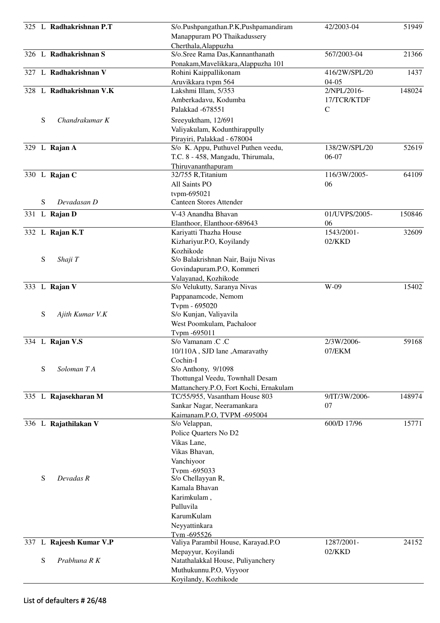|   | 325 L Radhakrishnan P.T | S/o.Pushpangathan.P.K,Pushpamandiram<br>Manappuram PO Thaikadussery | 42/2003-04    | 51949  |
|---|-------------------------|---------------------------------------------------------------------|---------------|--------|
|   |                         | Cherthala, Alappuzha                                                |               |        |
|   | 326 L Radhakrishnan S   | S/o.Sree Rama Das, Kannanthanath                                    | 567/2003-04   | 21366  |
|   |                         | Ponakam, Mavelikkara, Alappuzha 101                                 |               |        |
|   | 327 L Radhakrishnan V   | Rohini Kaippallikonam                                               | 416/2W/SPL/20 | 1437   |
|   |                         | Aruvikkara tvpm 564                                                 | $04 - 05$     |        |
|   | 328 L Radhakrishnan V.K | Lakshmi Illam, 5/353                                                | 2/NPL/2016-   | 148024 |
|   |                         | Amberkadavu, Kodumba                                                | 17/TCR/KTDF   |        |
|   |                         | Palakkad -678551                                                    | $\mathsf{C}$  |        |
| S | Chandrakumar K          | Sreeyuktham, 12/691                                                 |               |        |
|   |                         | Valiyakulam, Kodunthirappully                                       |               |        |
|   |                         | Pirayiri, Palakkad - 678004                                         |               |        |
|   | 329 L Rajan A           | S/o K. Appu, Puthuvel Puthen veedu,                                 | 138/2W/SPL/20 | 52619  |
|   |                         | T.C. 8 - 458, Mangadu, Thirumala,                                   | 06-07         |        |
|   |                         | Thiruvananthapuram                                                  |               |        |
|   | 330 L Rajan C           | 32/755 R, Titanium                                                  | 116/3W/2005-  | 64109  |
|   |                         | All Saints PO                                                       | 06            |        |
|   |                         | tvpm-695021                                                         |               |        |
| S | Devadasan D             | <b>Canteen Stores Attender</b>                                      |               |        |
|   | 331 L Rajan D           | V-43 Anandha Bhavan                                                 | 01/UVPS/2005- | 150846 |
|   |                         | Elanthoor, Elanthoor-689643                                         | 06            |        |
|   | 332 L Rajan K.T         | Kariyatti Thazha House                                              | 1543/2001-    | 32609  |
|   |                         | Kizhariyur.P.O, Koyilandy                                           | $02$ /KKD     |        |
|   |                         | Kozhikode                                                           |               |        |
| S | Shaji T                 | S/o Balakrishnan Nair, Baiju Nivas                                  |               |        |
|   |                         | Govindapuram.P.O, Kommeri                                           |               |        |
|   |                         | Valayanad, Kozhikode                                                |               |        |
|   | 333 L Rajan V           | S/o Velukutty, Saranya Nivas                                        | W-09          | 15402  |
|   |                         | Pappanamcode, Nemom                                                 |               |        |
|   |                         | Tvpm - 695020                                                       |               |        |
| S | Ajith Kumar V.K         | S/o Kunjan, Valiyavila                                              |               |        |
|   |                         | West Poomkulam, Pachaloor                                           |               |        |
|   |                         | Tvpm -695011                                                        |               |        |
|   | 334 L Rajan V.S         | S/o Vamanam .C .C                                                   | 2/3W/2006-    | 59168  |
|   |                         | 10/110A, SJD lane, Amaravathy                                       | 07/EKM        |        |
|   |                         | Cochin-I                                                            |               |        |
| S | Soloman TA              | S/o Anthony, 9/1098                                                 |               |        |
|   |                         | Thottungal Veedu, Townhall Desam                                    |               |        |
|   |                         | Mattanchery.P.O, Fort Kochi, Ernakulam                              |               |        |
|   | 335 L Rajasekharan M    | TC/55/955, Vasantham House 803                                      | 9/IT/3W/2006- | 148974 |
|   |                         | Sankar Nagar, Neeramankara                                          | 07            |        |
|   |                         | Kaimanam.P.O, TVPM -695004                                          |               |        |
|   | 336 L Rajathilakan V    | S/o Velappan,                                                       | 600/D 17/96   | 15771  |
|   |                         | Police Quarters No D2                                               |               |        |
|   |                         | Vikas Lane,                                                         |               |        |
|   |                         | Vikas Bhavan,                                                       |               |        |
|   |                         | Vanchiyoor                                                          |               |        |
|   |                         | Tvpm -695033                                                        |               |        |
| S | Devadas R               | S/o Chellayyan R,                                                   |               |        |
|   |                         | Kamala Bhavan                                                       |               |        |
|   |                         | Karimkulam,                                                         |               |        |
|   |                         | Pulluvila                                                           |               |        |
|   |                         | KarumKulam                                                          |               |        |
|   |                         | Neyyattinkara                                                       |               |        |
|   |                         | Tvm-695526                                                          |               |        |
|   | 337 L Rajeesh Kumar V.P | Valiya Parambil House, Karayad.P.O                                  | 1287/2001-    | 24152  |
|   |                         | Mepayyur, Koyilandi                                                 | $02$ /KKD     |        |
| S | Prabhuna R K            | Natathalakkal House, Puliyanchery                                   |               |        |
|   |                         | Muthukunnu.P.O, Viyyoor                                             |               |        |
|   |                         | Koyilandy, Kozhikode                                                |               |        |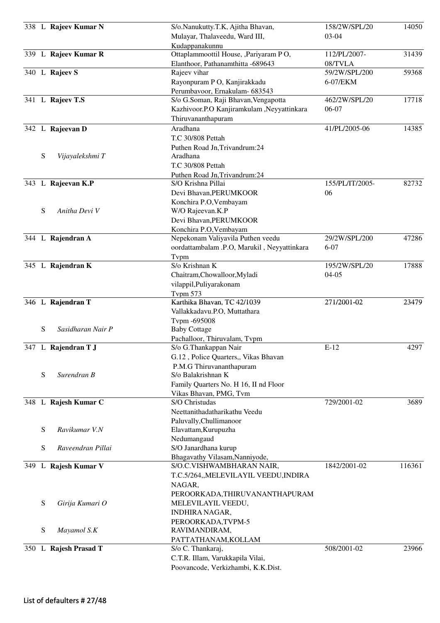|     |           | 338 L Rajeev Kumar N  | S/o.Nanukutty.T.K, Ajitha Bhavan,           | 158/2W/SPL/20   | 14050  |
|-----|-----------|-----------------------|---------------------------------------------|-----------------|--------|
|     |           |                       | Mulayar, Thalaveedu, Ward III,              | $03-04$         |        |
|     |           |                       | Kudappanakunnu                              |                 |        |
|     |           | 339 L Rajeev Kumar R  | Ottaplammoottil House, ,Pariyaram PO,       | 112/PL/2007-    | 31439  |
|     |           |                       | Elanthoor, Pathanamthitta -689643           | 08/TVLA         |        |
|     |           | 340 L Rajeev S        | Rajeev vihar                                | 59/2W/SPL/200   | 59368  |
|     |           |                       | Rayonpuram PO, Kanjirakkadu                 | 6-07/EKM        |        |
|     |           |                       | Perumbavoor, Ernakulam- 683543              |                 |        |
|     |           | 341 L Rajeev T.S      | S/o G.Soman, Raji Bhavan, Vengapotta        | 462/2W/SPL/20   | 17718  |
|     |           |                       | Kazhivoor.P.O Kanjiramkulam ,Neyyattinkara  | 06-07           |        |
|     |           |                       | Thiruvananthapuram                          |                 |        |
|     |           | 342 L Rajeevan D      | Aradhana                                    | 41/PL/2005-06   | 14385  |
|     |           |                       | T.C 30/808 Pettah                           |                 |        |
|     |           |                       | Puthen Road Jn, Trivandrum: 24              |                 |        |
|     | ${\bf S}$ | Vijayalekshmi T       | Aradhana                                    |                 |        |
|     |           |                       | T.C 30/808 Pettah                           |                 |        |
|     |           |                       | Puthen Road Jn, Trivandrum: 24              |                 |        |
|     |           | 343 L Rajeevan K.P    | S/O Krishna Pillai                          | 155/PL/IT/2005- | 82732  |
|     |           |                       | Devi Bhavan, PERUMKOOR                      | 06              |        |
|     |           |                       | Konchira P.O, Vembayam                      |                 |        |
|     | S         | Anitha Devi V         | W/O Rajeevan.K.P                            |                 |        |
|     |           |                       | Devi Bhavan, PERUMKOOR                      |                 |        |
|     |           |                       | Konchira P.O, Vembayam                      |                 |        |
|     |           | 344 L Rajendran A     | Nepekonam Valiyavila Puthen veedu           | 29/2W/SPL/200   | 47286  |
|     |           |                       | oordattambalam .P.O, Marukil, Neyyattinkara | $6 - 07$        |        |
|     |           |                       | Tvpm                                        |                 |        |
|     |           | 345 L Rajendran K     | S/o Krishnan K                              | 195/2W/SPL/20   | 17888  |
|     |           |                       | Chaitram, Chowalloor, Myladi                | $04 - 05$       |        |
|     |           |                       | vilappil, Puliyarakonam                     |                 |        |
|     |           |                       | <b>Typm 573</b>                             |                 |        |
|     |           | 346 L Rajendran T     | Karthika Bhavan, TC 42/1039                 | 271/2001-02     | 23479  |
|     |           |                       | Vallakkadavu.P.O, Muttathara                |                 |        |
|     |           |                       | Tvpm -695008                                |                 |        |
|     | ${\bf S}$ | Sasidharan Nair P     | <b>Baby Cottage</b>                         |                 |        |
|     |           |                       | Pachalloor, Thiruvalam, Tvpm                |                 |        |
|     |           | 347 L Rajendran T J   | S/o G.Thankappan Nair                       | $E-12$          | 4297   |
|     |           |                       | G.12, Police Quarters,, Vikas Bhavan        |                 |        |
|     |           |                       | P.M.G Thiruvananthapuram                    |                 |        |
|     | S         | Surendran B           | S/o Balakrishnan K                          |                 |        |
|     |           |                       | Family Quarters No. H 16, II nd Floor       |                 |        |
|     |           |                       | Vikas Bhavan, PMG, Tvm                      |                 |        |
|     |           | 348 L Rajesh Kumar C  | S/O Christudas                              | 729/2001-02     | 3689   |
|     |           |                       | Neettanithadatharikathu Veedu               |                 |        |
|     |           |                       | Paluvally, Chullimanoor                     |                 |        |
|     | S         | Ravikumar V.N         | Elavattam, Kurupuzha                        |                 |        |
|     |           |                       | Nedumangaud                                 |                 |        |
|     | S         | Raveendran Pillai     | S/O Janardhana kurup                        |                 |        |
|     |           |                       | Bhagavathy Vilasam, Nanniyode,              |                 |        |
| 349 |           | L Rajesh Kumar V      | S/O.C.VISHWAMBHARAN NAIR,                   | 1842/2001-02    | 116361 |
|     |           |                       | T.C.5/264,,MELEVILAYIL VEEDU,INDIRA         |                 |        |
|     |           |                       | NAGAR,                                      |                 |        |
|     |           |                       | PEROORKADA, THIRUVANANTHAPURAM              |                 |        |
|     | S         | Girija Kumari O       | MELEVILAYIL VEEDU,                          |                 |        |
|     |           |                       | <b>INDHIRA NAGAR,</b>                       |                 |        |
|     |           |                       | PEROORKADA, TVPM-5                          |                 |        |
|     | S         | Mayamol S.K           | RAVIMANDIRAM,                               |                 |        |
|     |           |                       | PATTATHANAM, KOLLAM                         |                 |        |
|     |           | 350 L Rajesh Prasad T | S/o C. Thankaraj,                           | 508/2001-02     | 23966  |
|     |           |                       | C.T.R. Illam, Varukkapila Vilai,            |                 |        |
|     |           |                       | Poovancode, Verkizhambi, K.K.Dist.          |                 |        |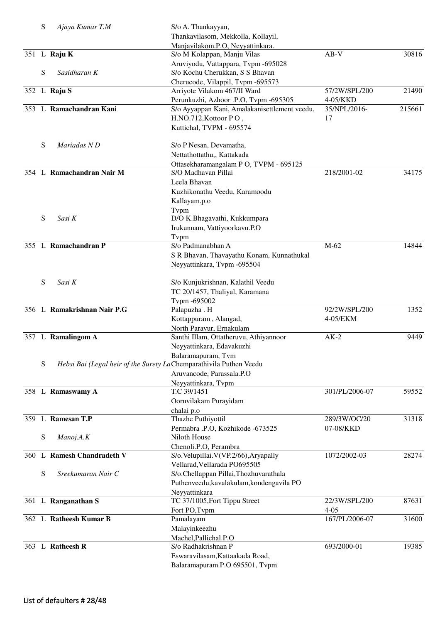| S | Ajaya Kumar T.M                                                     | S/o A. Thankayyan,                            |                |        |
|---|---------------------------------------------------------------------|-----------------------------------------------|----------------|--------|
|   |                                                                     | Thankavilasom, Mekkolla, Kollayil,            |                |        |
|   |                                                                     | Manjavilakom.P.O, Neyyattinkara.              |                |        |
|   | 351 L Raju K                                                        | S/o M Kolappan, Manju Vilas                   | $AB-V$         | 30816  |
|   |                                                                     | Aruviyodu, Vattappara, Tvpm -695028           |                |        |
| S | Sasidharan K                                                        | S/o Kochu Cherukkan, S S Bhavan               |                |        |
|   |                                                                     | Cherucode, Vilappil, Tvpm -695573             |                |        |
|   | 352 L Raju S                                                        | Arriyote Vilakom 467/II Ward                  | 57/2W/SPL/200  | 21490  |
|   |                                                                     | Perunkuzhi, Azhoor .P.O, Tvpm -695305         | 4-05/KKD       |        |
|   | 353 L Ramachandran Kani                                             | S/o Ayyappan Kani, Amalakanisettlement veedu, | 35/NPL/2016-   | 215661 |
|   |                                                                     | H.NO.712, Kottoor PO,                         | 17             |        |
|   |                                                                     | Kuttichal, TVPM - 695574                      |                |        |
|   |                                                                     |                                               |                |        |
| S | Mariadas N D                                                        | S/o P Nesan, Devamatha,                       |                |        |
|   |                                                                     | Nettathottathu,, Kattakada                    |                |        |
|   |                                                                     | Ottasekharamangalam P O, TVPM - 695125        |                |        |
|   | 354 L Ramachandran Nair M                                           | S/O Madhavan Pillai                           | 218/2001-02    | 34175  |
|   |                                                                     | Leela Bhavan                                  |                |        |
|   |                                                                     |                                               |                |        |
|   |                                                                     | Kuzhikonathu Veedu, Karamoodu                 |                |        |
|   |                                                                     | Kallayam.p.o                                  |                |        |
|   |                                                                     | Typm                                          |                |        |
| S | Sasi K                                                              | D/O K.Bhagavathi, Kukkumpara                  |                |        |
|   |                                                                     | Irukunnam, Vattiyoorkavu.P.O                  |                |        |
|   |                                                                     | Typm                                          |                |        |
|   | 355 L Ramachandran P                                                | S/o Padmanabhan A                             | M-62           | 14844  |
|   |                                                                     | S R Bhavan, Thavayathu Konam, Kunnathukal     |                |        |
|   |                                                                     | Neyyattinkara, Tvpm -695504                   |                |        |
|   |                                                                     |                                               |                |        |
| S | Sasi K                                                              | S/o Kunjukrishnan, Kalathil Veedu             |                |        |
|   |                                                                     | TC 20/1457, Thaliyal, Karamana                |                |        |
|   |                                                                     | Tvpm -695002                                  |                |        |
|   | 356 L Ramakrishnan Nair P.G                                         | Palapuzha . H                                 | 92/2W/SPL/200  | 1352   |
|   |                                                                     | Kottappuram, Alangad,                         | 4-05/EKM       |        |
|   |                                                                     | North Paravur, Ernakulam                      |                |        |
|   | 357 L Ramalingom A                                                  | Santhi Illam, Ottatheruvu, Athiyannoor        | $AK-2$         | 9449   |
|   |                                                                     | Neyyattinkara, Edavakuzhi                     |                |        |
|   |                                                                     | Balaramapuram, Tvm                            |                |        |
| S | Hebsi Bai (Legal heir of the Surety La Chemparathivila Puthen Veedu |                                               |                |        |
|   |                                                                     | Aruvancode, Parassala.P.O                     |                |        |
|   |                                                                     | Neyyattinkara, Tvpm                           |                |        |
|   | 358 L Ramaswamy A                                                   | T.C 39/1451                                   | 301/PL/2006-07 | 59552  |
|   |                                                                     | Ooruvilakam Purayidam                         |                |        |
|   |                                                                     | chalai p.o                                    |                |        |
|   | 359 L Ramesan T.P                                                   | Thazhe Puthiyottil                            | 289/3W/OC/20   | 31318  |
|   |                                                                     | Permabra .P.O, Kozhikode -673525              | 07-08/KKD      |        |
| S | Manoj.A.K                                                           | Niloth House                                  |                |        |
|   |                                                                     | Chenoli.P.O, Perambra                         |                |        |
|   | 360 L Ramesh Chandradeth V                                          | S/o.Velupillai.V(VP.2/66), Aryapally          | 1072/2002-03   | 28274  |
|   |                                                                     | Vellarad, Vellarada PO695505                  |                |        |
| S | Sreekumaran Nair C                                                  | S/o.Chellappan Pillai, Thozhuvarathala        |                |        |
|   |                                                                     | Puthenveedu, kavalakulam, kondengavila PO     |                |        |
|   |                                                                     | Neyyattinkara                                 |                |        |
|   | 361 L Ranganathan S                                                 | TC 37/1005, Fort Tippu Street                 | 22/3W/SPL/200  | 87631  |
|   |                                                                     | Fort PO, Tvpm                                 | $4 - 05$       |        |
|   | 362 L Ratheesh Kumar B                                              | Pamalayam                                     | 167/PL/2006-07 | 31600  |
|   |                                                                     | Malayinkeezhu                                 |                |        |
|   |                                                                     | Machel, Pallichal.P.O                         |                |        |
|   | 363 L Ratheesh R                                                    | S/o Radhakrishnan P                           | 693/2000-01    | 19385  |
|   |                                                                     | Eswaravilasam, Kattaakada Road,               |                |        |
|   |                                                                     | Balaramapuram.P.O 695501, Tvpm                |                |        |
|   |                                                                     |                                               |                |        |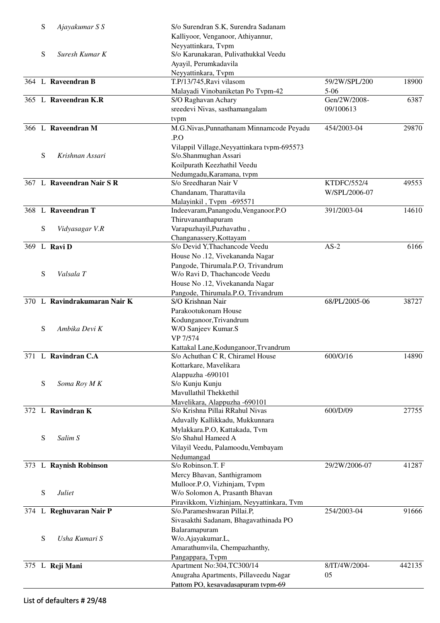| S | Ajayakumar S S               | S/o Surendran S.K, Surendra Sadanam                               |                    |        |
|---|------------------------------|-------------------------------------------------------------------|--------------------|--------|
|   |                              | Kalliyoor, Venganoor, Athiyannur,                                 |                    |        |
|   |                              | Neyyattinkara, Tvpm                                               |                    |        |
| S | Suresh Kumar K               | S/o Karunakaran, Pulivathukkal Veedu                              |                    |        |
|   |                              | Ayayil, Perumkadavila                                             |                    |        |
|   |                              | Neyyattinkara, Tvpm                                               |                    |        |
|   | 364 L Raveendran B           | T.P/13/745, Ravi vilasom                                          | 59/2W/SPL/200      | 18900  |
|   |                              | Malayadi Vinobaniketan Po Tvpm-42                                 | $5 - 06$           |        |
|   | 365 L Raveendran K.R         | S/O Raghavan Achary                                               | Gen/2W/2008-       | 6387   |
|   |                              | sreedevi Nivas, sasthamangalam                                    | 09/100613          |        |
|   |                              | tvpm                                                              |                    |        |
|   | 366 L Raveendran M           | M.G.Nivas, Punnathanam Minnamcode Peyadu                          | 454/2003-04        | 29870  |
|   |                              | .P.O                                                              |                    |        |
|   |                              | Vilappil Village, Neyyattinkara tvpm-695573                       |                    |        |
| S | Krishnan Assari              | S/o.Shanmughan Assari                                             |                    |        |
|   |                              | Koilpurath Keezhathil Veedu                                       |                    |        |
|   |                              | Nedumgadu, Karamana, tvpm<br>S/o Sreedharan Nair V                |                    |        |
|   | 367 L Raveendran Nair S R    |                                                                   | <b>KTDFC/552/4</b> | 49553  |
|   |                              | Chandanam, Tharattavila                                           | W/SPL/2006-07      |        |
|   | 368 L Raveendran T           | Malayinkil, Tvpm -695571<br>Indeevaram, Panangodu, Venganoor. P.O | 391/2003-04        | 14610  |
|   |                              | Thiruvananthapuram                                                |                    |        |
| S | Vidyasagar V.R               | Varapuzhayil, Puzhavathu,                                         |                    |        |
|   |                              | Changanassery, Kottayam                                           |                    |        |
|   | 369 L Ravi D                 | S/o Devid Y, Thachancode Veedu                                    | $AS-2$             | 6166   |
|   |                              | House No.12, Vivekananda Nagar                                    |                    |        |
|   |                              | Pangode, Thirumala.P.O, Trivandrum                                |                    |        |
| S | Valsala T                    | W/o Ravi D, Thachancode Veedu                                     |                    |        |
|   |                              | House No.12, Vivekananda Nagar                                    |                    |        |
|   |                              | Pangode, Thirumala.P.O, Trivandrum                                |                    |        |
|   | 370 L Ravindrakumaran Nair K | S/O Krishnan Nair                                                 | 68/PL/2005-06      | 38727  |
|   |                              | Parakootukonam House                                              |                    |        |
|   |                              | Kodunganoor, Trivandrum                                           |                    |        |
| S | Ambika Devi K                | W/O Sanjeev Kumar.S                                               |                    |        |
|   |                              | VP 7/574                                                          |                    |        |
|   |                              | Kattakal Lane, Kodunganoor, Trvandrum                             |                    |        |
|   | 371 L Ravindran C.A          | S/o Achuthan C R, Chiramel House                                  | 600/O/16           | 14890  |
|   |                              | Kottarkare, Mavelikara                                            |                    |        |
|   |                              | Alappuzha -690101                                                 |                    |        |
| S | Soma Roy M K                 | S/o Kunju Kunju                                                   |                    |        |
|   |                              | Mavullathil Thekkethil                                            |                    |        |
|   | 372 L Ravindran K            | Mavelikara, Alappuzha -690101<br>S/o Krishna Pillai RRahul Nivas  | 600/D/09           | 27755  |
|   |                              |                                                                   |                    |        |
|   |                              | Aduvally Kallikkadu, Mukkunnara<br>Mylakkara.P.O, Kattakada, Tvm  |                    |        |
| S | Salim S                      | S/o Shahul Hameed A                                               |                    |        |
|   |                              | Vilayil Veedu, Palamoodu, Vembayam                                |                    |        |
|   |                              | Nedumangad                                                        |                    |        |
|   | 373 L Raynish Robinson       | S/o Robinson.T. F                                                 | 29/2W/2006-07      | 41287  |
|   |                              | Mercy Bhavan, Santhigramom                                        |                    |        |
|   |                              | Mulloor.P.O, Vizhinjam, Tvpm                                      |                    |        |
| S | Juliet                       | W/o Solomon A, Prasanth Bhavan                                    |                    |        |
|   |                              | Piravikkom, Vizhinjam, Neyyattinkara, Tvm                         |                    |        |
|   | 374 L Reghuvaran Nair P      | S/o.Parameshwaran Pillai.P,                                       | 254/2003-04        | 91666  |
|   |                              | Sivasakthi Sadanam, Bhagavathinada PO                             |                    |        |
|   |                              | Balaramapuram                                                     |                    |        |
| S | Usha Kumari S                | W/o.Ajayakumar.L,                                                 |                    |        |
|   |                              | Amarathumvila, Chempazhanthy,                                     |                    |        |
|   |                              | Pangappara, Tvpm                                                  |                    |        |
|   | 375 L Reji Mani              | Apartment No:304,TC300/14                                         | 8/IT/4W/2004-      | 442135 |
|   |                              | Anugraha Apartments, Pillaveedu Nagar                             | 05                 |        |
|   |                              | Pattom PO, kesavadasapuram tvpm-69                                |                    |        |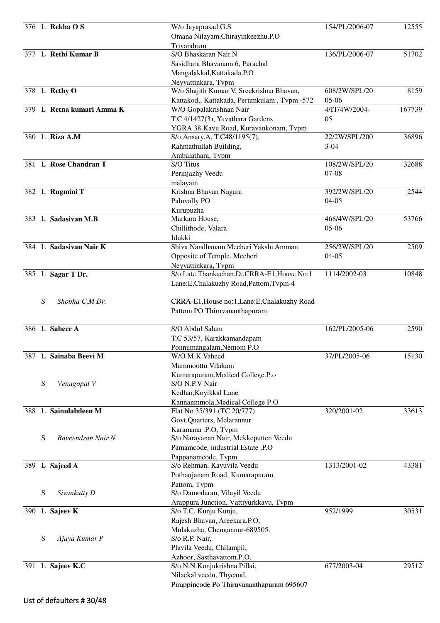|   | 376 L Rekha OS            | W/o Jayaprasad.G.S                               | 154/PL/2006-07 | 12555  |
|---|---------------------------|--------------------------------------------------|----------------|--------|
|   |                           | Omana Nilayam, Chirayinkeezhu.P.O                |                |        |
|   |                           | Trivandrum                                       |                |        |
|   | 377 L Rethi Kumar B       | S/O Bhaskaran Nair.N                             | 136/PL/2006-07 | 51702  |
|   |                           | Sasidhara Bhavanam 6, Parachal                   |                |        |
|   |                           | Mangalakkal, Kattakada.P.O                       |                |        |
|   |                           | Neyyattinkara, Tvpm                              |                |        |
|   | 378 L Rethy O             | W/o Shajith Kumar V, Sreekrishna Bhavan,         | 608/2W/SPL/20  | 8159   |
|   |                           | Kattakod,, Kattakada, Perumkulam, Tvpm -572      | $05-06$        |        |
|   | 379 L Retna kumari Amma K | W/O Gopalakrishnan Nair                          | 4/IT/4W/2004-  | 167739 |
|   |                           | T.C 4/1427(3), Yuvathara Gardens                 | 05             |        |
|   |                           | YGRA 38.Kavu Road, Kuravankonam, Tvpm            |                |        |
|   | 380 L Riza A.M            | S/o.Ansary.A, T.C48/1195(7),                     | 22/2W/SPL/200  | 36896  |
|   |                           | Rahmathullah Building,                           | $3 - 04$       |        |
|   | 381 L Rose Chandran T     | Ambalathara, Tvpm                                |                |        |
|   |                           | S/O Titus                                        | 108/2W/SPL/20  | 32688  |
|   |                           | Perinjazhy Veedu                                 | $07 - 08$      |        |
|   |                           | malayam<br>Krishna Bhavan Nagara                 | 392/2W/SPL/20  | 2544   |
|   | 382 L Rugmini T           |                                                  | $04-05$        |        |
|   |                           | Paluvally PO<br>Kurupuzha                        |                |        |
|   | 383 L Sadasivan M.B       | Markara House,                                   | 468/4W/SPL/20  | 53766  |
|   |                           | Chillithode, Valara                              | $05-06$        |        |
|   |                           | Idukki                                           |                |        |
|   | 384 L Sadasivan Nair K    | Shiva Nandhanam Mecheri Yakshi Amman             | 256/2W/SPL/20  | 2509   |
|   |                           | Opposite of Temple, Mecheri                      | $04 - 05$      |        |
|   |                           | Neyyattinkara, Tvpm                              |                |        |
|   | 385 L Sagar T Dr.         | S/o.Late.Thankachan.D.,CRRA-E1,House No:1        | 1114/2002-03   | 10848  |
|   |                           | Lane:E,Chalakuzhy Road,Pattom,Tvpm-4             |                |        |
|   |                           |                                                  |                |        |
| S | Shobha C.M Dr.            | CRRA-E1, House no:1, Lane: E, Chalakuzhy Road    |                |        |
|   |                           | Pattom PO Thiruvananthapuram                     |                |        |
|   |                           |                                                  |                |        |
|   | 386 L Saheer A            | S/O Abdul Salam                                  | 162/PL/2005-06 | 2590   |
|   |                           | T.C 53/57, Karakkamandapam                       |                |        |
|   |                           | Ponnumangalam, Nemom P.O                         |                |        |
|   | 387 L Sainaba Beevi M     | W/O M.K Vaheed                                   | 37/PL/2005-06  | 15130  |
|   |                           | Mammoottu Vilakam                                |                |        |
|   |                           | Kumarapuram, Medical College.P.o                 |                |        |
| S | Venugopal V               | S/O N.P.V Nair                                   |                |        |
|   |                           | Kedhar, Koyikkal Lane                            |                |        |
|   |                           | Kannanmmola, Medical College P.O                 |                |        |
|   | 388 L Sainulabdeen M      | Flat No 35/391 (TC 20/777)                       | 320/2001-02    | 33613  |
|   |                           | Govt.Quarters, Melarannur                        |                |        |
|   |                           | Karamana .P.O, Tvpm                              |                |        |
| S | Raveendran Nair N         | S/o Narayanan Nair, Mekkeputten Veedu            |                |        |
|   |                           | Pamamcode, industrial Estate .P.O                |                |        |
|   |                           | Pappanamcode, Tvpm<br>S/o Rehman, Kavuvila Veedu | 1313/2001-02   | 43381  |
|   | 389 L Sajeed A            |                                                  |                |        |
|   |                           | Pothaujanam Road, Kumarapuram<br>Pattom, Tvpm    |                |        |
| S | Sivankutty D              | S/o Damodaran, Vilayil Veedu                     |                |        |
|   |                           | Arappura Junction, Vattiyurkkavu, Tvpm           |                |        |
|   | 390 L Sajeev K            | S/o T.C. Kunju Kunju,                            | 952/1999       | 30531  |
|   |                           | Rajesh Bhavan, Areekara.P.O,                     |                |        |
|   |                           | Mulakuzha, Chengannur-689505.                    |                |        |
| S | Ajaya Kumar P             | S/o R.P. Nair,                                   |                |        |
|   |                           | Plavila Veedu, Chilampil,                        |                |        |
|   |                           | Azhoor, Sasthavattom.P.O.                        |                |        |
|   | 391 L Sajeev K.C          | S/o.N.N.Kunjukrishna Pillai,                     | 677/2003-04    | 29512  |
|   |                           | Nilackal veedu, Thycaud,                         |                |        |
|   |                           | Pirappincode Po Thiruvananthapuram 695607        |                |        |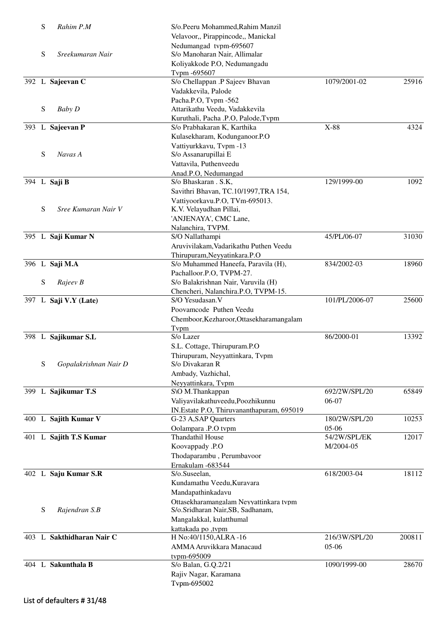| S | Rahim P.M                 | S/o.Peeru Mohammed, Rahim Manzil             |                |        |
|---|---------------------------|----------------------------------------------|----------------|--------|
|   |                           | Velavoor,, Pirappincode,, Manickal           |                |        |
|   |                           | Nedumangad tvpm-695607                       |                |        |
| S | Sreekumaran Nair          | S/o Manoharan Nair, Allimalar                |                |        |
|   |                           | Koliyakkode P.O, Nedumangadu<br>Tvpm -695607 |                |        |
|   | 392 L Sajeevan C          | S/o Chellappan .P Sajeev Bhavan              | 1079/2001-02   | 25916  |
|   |                           | Vadakkevila, Palode                          |                |        |
|   |                           | Pacha.P.O, Tvpm -562                         |                |        |
| S | <b>Baby D</b>             | Attarikathu Veedu, Vadakkevila               |                |        |
|   |                           | Kuruthali, Pacha .P.O, Palode, Tvpm          |                |        |
|   | 393 L Sajeevan P          | S/o Prabhakaran K, Karthika                  | X-88           | 4324   |
|   |                           | Kulasekharam, Kodunganoor.P.O                |                |        |
|   |                           | Vattiyurkkavu, Tvpm -13                      |                |        |
| S | Navas A                   | S/o Assanarupillai E                         |                |        |
|   |                           | Vattavila, Puthenveedu                       |                |        |
|   |                           | Anad.P.O, Nedumangad                         |                |        |
|   | 394 L Saji B              | S/o Bhaskaran . S.K,                         | 129/1999-00    | 1092   |
|   |                           | Savithri Bhavan, TC.10/1997, TRA 154,        |                |        |
|   |                           | Vattiyoorkavu.P.O, TVm-695013.               |                |        |
| S | Sree Kumaran Nair V       | K.V. Velayudhan Pillai,                      |                |        |
|   |                           | 'ANJENAYA', CMC Lane,                        |                |        |
|   | 395 L Saji Kumar N        | Nalanchira, TVPM.<br>S/O Nallathampi         | 45/PL/06-07    | 31030  |
|   |                           | Aruvivilakam, Vadarikathu Puthen Veedu       |                |        |
|   |                           | Thirupuram, Neyyatinkara.P.O                 |                |        |
|   | 396 L Saji M.A            | S/o Muhammed Haneefa, Paravila (H),          | 834/2002-03    | 18960  |
|   |                           | Pachalloor.P.O, TVPM-27.                     |                |        |
| S | Rajeev B                  | S/o Balakrishnan Nair, Varuvila (H)          |                |        |
|   |                           | Chencheri, Nalanchira.P.O, TVPM-15.          |                |        |
|   | 397 L Saji V.Y (Late)     | S/O Yesudasan.V                              | 101/PL/2006-07 | 25600  |
|   |                           | Poovamcode Puthen Veedu                      |                |        |
|   |                           | Chemboor, Kezharoor, Ottasekharamangalam     |                |        |
|   |                           | Tvpm                                         |                |        |
|   | 398 L Sajikumar S.L       | S/o Lazer                                    | 86/2000-01     | 13392  |
|   |                           | S.L. Cottage, Thirupuram.P.O                 |                |        |
|   |                           | Thirupuram, Neyyattinkara, Tvpm              |                |        |
| S | Gopalakrishnan Nair D     | S/o Divakaran R                              |                |        |
|   |                           | Ambady, Vazhichal,                           |                |        |
|   |                           | Neyyattinkara, Tvpm                          |                |        |
|   | 399 L Sajikumar T.S       | S\O M.Thankappan                             | 692/2W/SPL/20  | 65849  |
|   |                           | Valiyavilakathuveedu, Poozhikunnu            | 06-07          |        |
|   | 400 L Sajith Kumar V      | IN.Estate P.O., Thiruvananthapuram, 695019   | 180/2W/SPL/20  | 10253  |
|   |                           | G-23 A, SAP Quarters<br>Oolampara .P.O tvpm  | 05-06          |        |
|   | 401 L Sajith T.S Kumar    | <b>Thandathil House</b>                      | 54/2W/SPL/EK   | 12017  |
|   |                           | Koovappady .P.O                              | M/2004-05      |        |
|   |                           | Thodaparambu, Perumbavoor                    |                |        |
|   |                           | Ernakulam -683544                            |                |        |
|   | 402 L Saju Kumar S.R      | S/o.Suseelan,                                | 618/2003-04    | 18112  |
|   |                           | Kundamathu Veedu, Kuravara                   |                |        |
|   |                           | Mandapathinkadavu                            |                |        |
|   |                           | Ottasekharamangalam Neyyattinkara tvpm       |                |        |
| S | Rajendran S.B             | S/o.Sridharan Nair, SB, Sadhanam,            |                |        |
|   |                           | Mangalakkal, kulatthumal                     |                |        |
|   |                           | kattakada po ,tvpm                           |                |        |
|   | 403 L Sakthidharan Nair C | H No:40/1150, ALRA -16                       | 216/3W/SPL/20  | 200811 |
|   |                           | AMMA Aruvikkara Manacaud                     | $05-06$        |        |
|   |                           | tvpm-695009                                  |                |        |
|   | 404 L Sakunthala B        | S/o Balan, G.Q.2/21                          | 1090/1999-00   | 28670  |
|   |                           | Rajiv Nagar, Karamana                        |                |        |
|   |                           | Tvpm-695002                                  |                |        |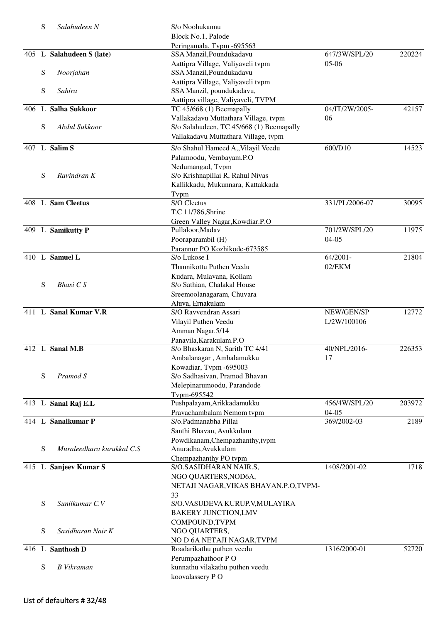| S         | Salahudeen N              | S/o Noohukannu                                          |                |        |
|-----------|---------------------------|---------------------------------------------------------|----------------|--------|
|           |                           | Block No.1, Palode                                      |                |        |
|           |                           | Peringamala, Tvpm -695563                               |                |        |
|           | 405 L Salahudeen S (late) | SSA Manzil, Poundukadavu                                | 647/3W/SPL/20  | 220224 |
|           |                           | Aattipra Village, Valiyaveli tvpm                       | $05-06$        |        |
| ${\bf S}$ | Noorjahan                 | SSA Manzil, Poundukadavu                                |                |        |
|           |                           | Aattipra Village, Valiyaveli tvpm                       |                |        |
| S         | Sahira                    | SSA Manzil, poundukadavu,                               |                |        |
|           |                           | Aattipra village, Valiyaveli, TVPM                      |                |        |
|           | 406 L Salha Sukkoor       | TC 45/668 (1) Beemapally                                | 04/IT/2W/2005- | 42157  |
|           |                           | Vallakadavu Muttathara Village, tvpm                    | 06             |        |
| S         | Abdul Sukkoor             | S/o Salahudeen, TC 45/668 (1) Beemapally                |                |        |
|           |                           | Vallakadavu Muttathara Village, tvpm                    |                |        |
|           | 407 L Salim S             | S/o Shahul Hameed A,, Vilayil Veedu                     | 600/D10        | 14523  |
|           |                           | Palamoodu, Vembayam.P.O                                 |                |        |
|           |                           | Nedumangad, Tvpm                                        |                |        |
| S         | Ravindran K               | S/o Krishnapillai R, Rahul Nivas                        |                |        |
|           |                           | Kallikkadu, Mukunnara, Kattakkada                       |                |        |
|           |                           | Tvpm                                                    |                |        |
|           | 408 L Sam Cleetus         | S/O Cleetus                                             | 331/PL/2006-07 | 30095  |
|           |                           | T.C 11/786, Shrine                                      |                |        |
|           |                           | Green Valley Nagar, Kowdiar.P.O                         |                |        |
|           | 409 L Samikutty P         | Pullaloor, Madav                                        | 701/2W/SPL/20  | 11975  |
|           |                           | Pooraparambil (H)                                       | $04 - 05$      |        |
|           |                           | Parannur PO Kozhikode-673585                            |                |        |
|           | 410 L Samuel L            | S/o Lukose I                                            | 64/2001-       | 21804  |
|           |                           | Thannikottu Puthen Veedu                                | 02/EKM         |        |
|           |                           | Kudara, Mulavana, Kollam                                |                |        |
| S         | Bhasi C S                 | S/o Sathian, Chalakal House                             |                |        |
|           |                           | Sreemoolanagaram, Chuvara                               |                |        |
|           |                           | Aluva, Ernakulam                                        |                |        |
|           | 411 L Sanal Kumar V.R     | S/O Ravvendran Assari                                   | NEW/GEN/SP     | 12772  |
|           |                           | Vilayil Puthen Veedu                                    | L/2W/100106    |        |
|           |                           | Amman Nagar.5/14                                        |                |        |
|           | 412 L Sanal M.B           | Panavila, Karakulam.P.O                                 | 40/NPL/2016-   |        |
|           |                           | S/o Bhaskaran N, Sarith TC 4/41                         |                | 226353 |
|           |                           | Ambalanagar, Ambalamukku                                | 17             |        |
| S         | Pramod S                  | Kowadiar, Tvpm -695003<br>S/o Sadhasivan, Pramod Bhavan |                |        |
|           |                           | Melepinarumoodu, Parandode                              |                |        |
|           |                           | Tvpm-695542                                             |                |        |
|           | 413 L Sanal Raj E.L       | Pushpalayam, Arikkadamukku                              | 456/4W/SPL/20  | 203972 |
|           |                           | Pravachambalam Nemom tvpm                               | $04-05$        |        |
|           | 414 L Sanalkumar P        | S/o.Padmanabha Pillai                                   | 369/2002-03    | 2189   |
|           |                           | Santhi Bhavan, Avukkulam                                |                |        |
|           |                           | Powdikanam, Chempazhanthy, tvpm                         |                |        |
| S         | Muraleedhara kurukkal C.S | Anuradha, Avukkulam                                     |                |        |
|           |                           | Chempazhanthy PO tvpm                                   |                |        |
|           | 415 L Sanjeev Kumar S     | S/O.SASIDHARAN NAIR.S,                                  | 1408/2001-02   | 1718   |
|           |                           | NGO QUARTERS, NOD6A,                                    |                |        |
|           |                           | NETAJI NAGAR, VIKAS BHAVAN.P.O, TVPM-                   |                |        |
|           |                           | 33                                                      |                |        |
| S         | Sunilkumar C.V            | S/O.VASUDEVA KURUP.V, MULAYIRA                          |                |        |
|           |                           | <b>BAKERY JUNCTION, LMV</b>                             |                |        |
|           |                           | COMPOUND, TVPM                                          |                |        |
| S         | Sasidharan Nair K         | NGO QUARTERS,                                           |                |        |
|           |                           | NO D 6A NETAJI NAGAR, TVPM                              |                |        |
|           | 416 L Santhosh D          | Roadarikathu puthen veedu                               | 1316/2000-01   | 52720  |
|           |                           | Perumpazhathoor PO                                      |                |        |
| S         | <b>B</b> Vikraman         | kunnathu vilakathu puthen veedu                         |                |        |
|           |                           | koovalassery PO                                         |                |        |
|           |                           |                                                         |                |        |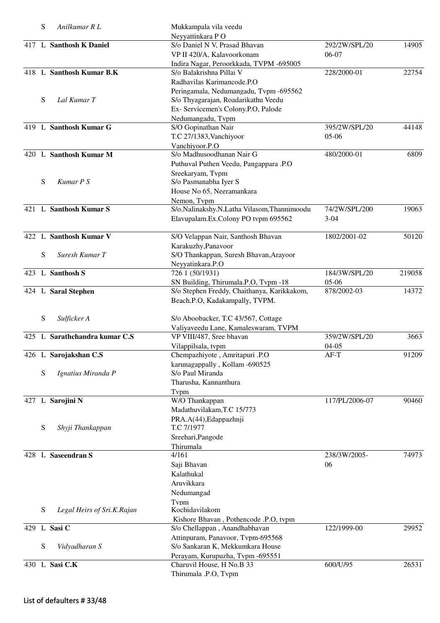|     | S | Anilkumar R L                 | Mukkampala vila veedu                       |                |        |
|-----|---|-------------------------------|---------------------------------------------|----------------|--------|
|     |   |                               | Neyyattinkara PO                            |                |        |
|     |   | 417 L Santhosh K Daniel       | S/o Daniel N V, Prasad Bhavan               | 292/2W/SPL/20  | 14905  |
|     |   |                               | VP II 420/A, Kalavoorkonam                  | 06-07          |        |
|     |   |                               | Indira Nagar, Peroorkkada, TVPM -695005     |                |        |
|     |   | 418 L Santhosh Kumar B.K      | S/o Balakrishna Pillai V                    | 228/2000-01    | 22754  |
|     |   |                               | Radhavilas Karimancode.P.O                  |                |        |
|     |   |                               | Peringamala, Nedumangadu, Tvpm -695562      |                |        |
|     | S | Lal Kumar T                   | S/o Thyagarajan, Roadarikathu Veedu         |                |        |
|     |   |                               | Ex- Servicemen's Colony.P.O, Palode         |                |        |
|     |   |                               | Nedumangadu, Tvpm                           |                |        |
|     |   | 419 L Santhosh Kumar G        | S/O Gopinathan Nair                         | 395/2W/SPL/20  | 44148  |
|     |   |                               | T.C 27/1383, Vanchiyoor                     | $05-06$        |        |
|     |   |                               | Vanchiyoor.P.O                              |                |        |
|     |   | 420 L Santhosh Kumar M        | S/o Madhusoodhanan Nair G                   | 480/2000-01    | 6809   |
|     |   |                               |                                             |                |        |
|     |   |                               | Puthuval Puthen Veedu, Pangappara .P.O      |                |        |
|     |   |                               | Sreekaryam, Tvpm                            |                |        |
|     | S | Kumar P S                     | S/o Pasmanabha Iyer S                       |                |        |
|     |   |                               | House No 65, Neeramankara                   |                |        |
|     |   |                               | Nemon, Tvpm                                 |                |        |
|     |   | 421 L Santhosh Kumar S        | S/o.Nalinakshy.N,Latha Vilasom,Thannimoodu  | 74/2W/SPL/200  | 19063  |
|     |   |                               | Elavupalam.Ex.Colony PO tvpm 695562         | $3-04$         |        |
|     |   |                               |                                             |                |        |
|     |   | 422 L Santhosh Kumar V        | S/O Velappan Nair, Santhosh Bhavan          | 1802/2001-02   | 50120  |
|     |   |                               | Karakuzhy, Panavoor                         |                |        |
|     | S | Suresh Kumar T                | S/O Thankappan, Suresh Bhavan, Arayoor      |                |        |
|     |   |                               | Neyyatinkara.P.O                            |                |        |
| 423 |   | L Santhosh S                  | 726 1 (50/1931)                             | 184/3W/SPL/20  | 219058 |
|     |   |                               | SN Building, Thirumala.P.O, Tvpm -18        | 05-06          |        |
|     |   | 424 L Saral Stephen           | S/o Stephen Freddy, Chaithanya, Karikkakom, | 878/2002-03    | 14372  |
|     |   |                               | Beach.P.O, Kadakampally, TVPM.              |                |        |
|     |   |                               |                                             |                |        |
|     | S | Sulficker A                   | S/o Aboobacker, T.C 43/567, Cottage         |                |        |
|     |   |                               | Valiyaveedu Lane, Kamaleswaram, TVPM        |                |        |
|     |   | 425 L Sarathchandra kumar C.S | VP VIII/487, Sree bhavan                    | 359/2W/SPL/20  | 3663   |
|     |   |                               | Vilappilsala, tvpm                          | $04-05$        |        |
|     |   | 426 L Sarojakshan C.S         | Chempazhiyote, Amritapuri .P.O              | $AF-T$         | 91209  |
|     |   |                               | karunagappally, Kollam -690525              |                |        |
|     | S | Ignatius Miranda P            | S/o Paul Miranda                            |                |        |
|     |   |                               | Tharusha, Kannanthura                       |                |        |
|     |   |                               | Typm                                        |                |        |
|     |   | 427 L Sarojini N              | W/O Thankappan                              | 117/PL/2006-07 | 90460  |
|     |   |                               | Madathuvilakam, T.C 15/773                  |                |        |
|     |   |                               |                                             |                |        |
|     |   |                               | PRA.A(44), Edappazhnji                      |                |        |
|     | S | Shyji Thankappan              | T.C 7/1977                                  |                |        |
|     |   |                               | Sreehari, Pangode                           |                |        |
|     |   |                               | Thirumala                                   |                |        |
|     |   | 428 L Saseendran S            | 4/161                                       | 238/3W/2005-   | 74973  |
|     |   |                               | Saji Bhavan                                 | 06             |        |
|     |   |                               | Kalathukal                                  |                |        |
|     |   |                               | Aruvikkara                                  |                |        |
|     |   |                               | Nedumangad                                  |                |        |
|     |   |                               | Tvpm                                        |                |        |
|     | S | Legal Heirs of Sri.K.Rajan    | Kochidavilakom                              |                |        |
|     |   |                               | Kishore Bhavan, Pothencode .P.O, tvpm       |                |        |
|     |   | 429 L Sasi C                  | S/o Chellappan, Anandhabhavan               | 122/1999-00    | 29952  |
|     |   |                               | Attinpuram, Panavoor, Tvpm-695568           |                |        |
|     | S | Vidyadharan S                 | S/o Sankaran K, Mekkumkara House            |                |        |
|     |   |                               | Perayam, Kurupuzha, Tvpm -695551            |                |        |
|     |   | 430 L Sasi C.K                | Charuvil House, H No.B 33                   | 600/U/95       | 26531  |
|     |   |                               | Thirumala .P.O, Tvpm                        |                |        |
|     |   |                               |                                             |                |        |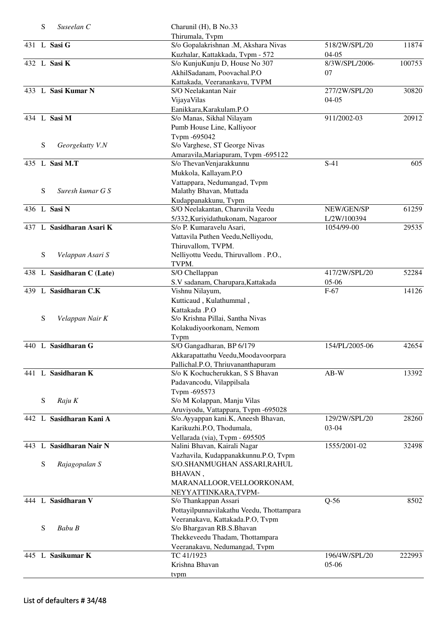|       | S         | Suseelan C                | Charunil (H), B No.33                     |                |        |
|-------|-----------|---------------------------|-------------------------------------------|----------------|--------|
|       |           |                           | Thirumala, Tvpm                           |                |        |
|       |           | 431 L Sasi G              | S/o Gopalakrishnan .M, Akshara Nivas      | 518/2W/SPL/20  | 11874  |
|       |           |                           | Kuzhalar, Kattakkada, Tvpm - 572          | $04 - 05$      |        |
|       |           | 432 L Sasi K              | S/o KunjuKunju D, House No 307            | 8/3W/SPL/2006- | 100753 |
|       |           |                           | AkhilSadanam, Poovachal.P.O               | 07             |        |
|       |           |                           | Kattakada, Veeranankavu, TVPM             |                |        |
|       |           | 433 L Sasi Kumar N        | S/O Neelakantan Nair                      | 277/2W/SPL/20  | 30820  |
|       |           |                           | VijayaVilas                               | $04 - 05$      |        |
|       |           |                           | Eanikkara, Karakulam.P.O                  |                |        |
|       |           | 434 L Sasi M              | S/o Manas, Sikhal Nilayam                 | 911/2002-03    | 20912  |
|       |           |                           | Pumb House Line, Kalliyoor                |                |        |
|       |           |                           | Tvpm -695042                              |                |        |
|       | S         | Georgekutty V.N           | S/o Varghese, ST George Nivas             |                |        |
|       |           |                           | Amaravila, Mariapuram, Tvpm -695122       |                |        |
|       |           | 435 L Sasi M.T            | S/o ThevanVenjarakkunnu                   | $S-41$         | 605    |
|       |           |                           | Mukkola, Kallayam.P.O                     |                |        |
|       |           |                           | Vattappara, Nedumangad, Tvpm              |                |        |
|       | S         | Suresh kumar G S          | Malathy Bhavan, Muttada                   |                |        |
|       |           |                           | Kudappanakkunu, Tvpm                      |                |        |
|       |           | 436 L Sasi N              | S/O Neelakantan, Charuvila Veedu          | NEW/GEN/SP     | 61259  |
|       |           |                           | 5/332, Kuriyidathukonam, Nagaroor         | L/2W/100394    |        |
| 437   |           | L Sasidharan Asari K      | S/o P. Kumaravelu Asari,                  | 1054/99-00     | 29535  |
|       |           |                           | Vattavila Puthen Veedu, Nelliyodu,        |                |        |
|       |           |                           | Thiruvallom, TVPM.                        |                |        |
|       |           |                           | Nelliyottu Veedu, Thiruvallom . P.O.,     |                |        |
|       | S         | Velappan Asari S          |                                           |                |        |
|       |           |                           | TVPM.                                     |                |        |
|       |           | 438 L Sasidharan C (Late) | S/O Chellappan                            | 417/2W/SPL/20  | 52284  |
|       |           |                           | S.V sadanam, Charupara, Kattakada         | 05-06          |        |
| 439   |           | L Sasidharan C.K          | Vishnu Nilayum,                           | $F-67$         | 14126  |
|       |           |                           | Kutticaud, Kulathummal,                   |                |        |
|       |           |                           | Kattakada .P.O                            |                |        |
|       | ${\bf S}$ | Velappan Nair K           | S/o Krishna Pillai, Santha Nivas          |                |        |
|       |           |                           | Kolakudiyoorkonam, Nemom                  |                |        |
|       |           |                           | Tvpm                                      |                |        |
|       |           | 440 L Sasidharan G        | S/O Gangadharan, BP 6/179                 | 154/PL/2005-06 | 42654  |
|       |           |                           | Akkarapattathu Veedu, Moodavoorpara       |                |        |
|       |           |                           | Pallichal.P.O, Thriuvananthapuram         |                |        |
|       |           | 441 L Sasidharan K        | S/o K Kochucherukkan, S S Bhavan          | $AB-W$         | 13392  |
|       |           |                           | Padavancodu, Vilappilsala                 |                |        |
|       |           |                           | Tvpm -695573                              |                |        |
|       | S         | Raju K                    | S/o M Kolappan, Manju Vilas               |                |        |
|       |           |                           | Aruviyodu, Vattappara, Tvpm -695028       |                |        |
|       |           | 442 L Sasidharan Kani A   | S/o. Ayyappan kani.K, Aneesh Bhavan,      | 129/2W/SPL/20  | 28260  |
|       |           |                           | Karikuzhi.P.O, Thodumala,                 | 03-04          |        |
|       |           |                           | Vellarada (via), Tvpm - 695505            |                |        |
| 443   | L         | <b>Sasidharan Nair N</b>  | Nalini Bhavan, Kairali Nagar              | 1555/2001-02   | 32498  |
|       |           |                           | Vazhavila, Kudappanakkunnu.P.O, Tvpm      |                |        |
|       | S         | Rajagopalan S             | S/O.SHANMUGHAN ASSARI, RAHUL              |                |        |
|       |           |                           | BHAVAN,                                   |                |        |
|       |           |                           | MARANALLOOR, VELLOORKONAM,                |                |        |
|       |           |                           | NEYYATTINKARA, TVPM-                      |                |        |
|       |           | 444 L Sasidharan V        | S/o Thankappan Assari                     | $Q-56$         | 8502   |
|       |           |                           | Pottayilpunnavilakathu Veedu, Thottampara |                |        |
|       |           |                           | Veeranakavu, Kattakada.P.O, Tvpm          |                |        |
|       | S         | Babu B                    | S/o Bhargavan RB.S.Bhavan                 |                |        |
|       |           |                           | Thekkeveedu Thadam, Thottampara           |                |        |
|       |           |                           | Veeranakavu, Nedumangad, Tvpm             |                |        |
| 445 L |           | Sasikumar K               | TC 41/1923                                | 196/4W/SPL/20  | 222993 |
|       |           |                           | Krishna Bhavan                            | $05-06$        |        |
|       |           |                           | tvpm                                      |                |        |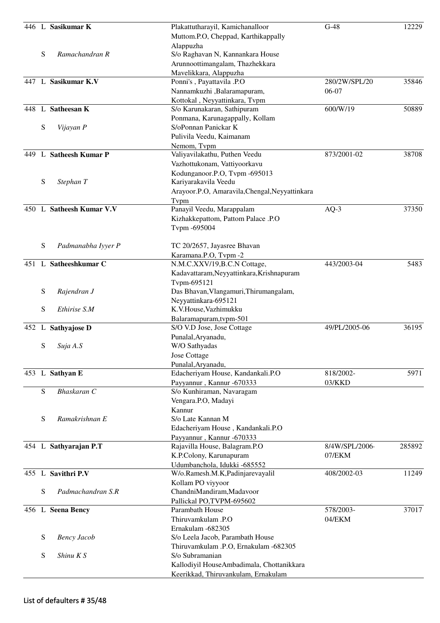|      |   | 446 L Sasikumar K         | Plakattutharayil, Kamichanalloor               | $G-48$         | 12229  |
|------|---|---------------------------|------------------------------------------------|----------------|--------|
|      |   |                           | Muttom.P.O, Cheppad, Karthikappally            |                |        |
|      |   |                           | Alappuzha                                      |                |        |
|      | S | Ramachandran R            | S/o Raghavan N, Kannankara House               |                |        |
|      |   |                           | Arunnoottimangalam, Thazhekkara                |                |        |
|      |   |                           | Mavelikkara, Alappuzha                         |                |        |
| 447  |   | L Sasikumar K.V           | Ponni's, Payattavila .P.O                      | 280/2W/SPL/20  | 35846  |
|      |   |                           |                                                |                |        |
|      |   |                           | Nannamkuzhi ,Balaramapuram,                    | 06-07          |        |
|      |   |                           | Kottokal, Neyyattinkara, Tvpm                  |                |        |
|      |   | 448 L Satheesan K         | S/o Karunakaran, Sathipuram                    | 600/W/19       | 50889  |
|      |   |                           | Ponmana, Karunagappally, Kollam                |                |        |
|      | S | Vijayan P                 | S/oPonnan Panickar K                           |                |        |
|      |   |                           | Pulivila Veedu, Kaimanam                       |                |        |
|      |   |                           | Nemom, Tvpm                                    |                |        |
| 449. |   | L Satheesh Kumar P        | Valiyavilakathu, Puthen Veedu                  | 873/2001-02    | 38708  |
|      |   |                           | Vazhottukonam, Vattiyoorkavu                   |                |        |
|      |   |                           | Kodunganoor.P.O. Typm -695013                  |                |        |
|      |   |                           |                                                |                |        |
|      | S | Stephan T                 | Kariyarakavila Veedu                           |                |        |
|      |   |                           | Arayoor.P.O, Amaravila, Chengal, Neyyattinkara |                |        |
|      |   |                           | Typm                                           |                |        |
| 450  | L | <b>Satheesh Kumar V.V</b> | Panayil Veedu, Marappalam                      | $AQ-3$         | 37350  |
|      |   |                           | Kizhakkepattom, Pattom Palace .P.O             |                |        |
|      |   |                           | Tvpm -695004                                   |                |        |
|      |   |                           |                                                |                |        |
|      | S | Padmanabha Iyyer P        | TC 20/2657, Jayasree Bhavan                    |                |        |
|      |   |                           | Karamana.P.O, Tvpm -2                          |                |        |
|      |   | 451 L Satheeshkumar C     | N.M.C.XXV/19,B.C.N Cottage,                    | 443/2003-04    | 5483   |
|      |   |                           |                                                |                |        |
|      |   |                           | Kadavattaram, Neyyattinkara, Krishnapuram      |                |        |
|      |   |                           | Tvpm-695121                                    |                |        |
|      | S | Rajendran J               | Das Bhavan, Vlangamuri, Thirumangalam,         |                |        |
|      |   |                           | Neyyattinkara-695121                           |                |        |
|      | S | Ethirise S.M              | K.V.House, Vazhimukku                          |                |        |
|      |   |                           | Balaramapuram, tvpm-501                        |                |        |
|      |   | 452 L Sathyajose D        | S/O V.D Jose, Jose Cottage                     | 49/PL/2005-06  | 36195  |
|      |   |                           | Punalal, Aryanadu,                             |                |        |
|      | S | Suja A.S                  | W/O Sathyadas                                  |                |        |
|      |   |                           | <b>Jose Cottage</b>                            |                |        |
|      |   |                           | Punalal, Aryanadu,                             |                |        |
|      |   | 453 L Sathyan E           | Edacheriyam House, Kandankali.P.O              | 818/2002-      | 5971   |
|      |   |                           | Payyannur, Kannur -670333                      | 03/KKD         |        |
|      | S | Bhaskaran C               |                                                |                |        |
|      |   |                           | S/o Kunhiraman, Navaragam                      |                |        |
|      |   |                           | Vengara.P.O, Madayi                            |                |        |
|      |   |                           | Kannur                                         |                |        |
|      | S | Ramakrishnan E            | S/o Late Kannan M                              |                |        |
|      |   |                           | Edacheriyam House, Kandankali.P.O              |                |        |
|      |   |                           | Payyannur, Kannur -670333                      |                |        |
|      |   | 454 L Sathyarajan P.T     | Rajavilla House, Balagram.P.O                  | 8/4W/SPL/2006- | 285892 |
|      |   |                           | K.P.Colony, Karunapuram                        | 07/EKM         |        |
|      |   |                           | Udumbanchola, Idukki -685552                   |                |        |
|      |   | 455 L Savithri P.V        | W/o.Ramesh.M.K,Padinjarevayalil                | 408/2002-03    | 11249  |
|      |   |                           | Kollam PO viyyoor                              |                |        |
|      | S | Padmachandran S.R         | ChandniMandiram,Madavoor                       |                |        |
|      |   |                           |                                                |                |        |
|      |   |                           | Pallickal PO,TVPM-695602                       |                |        |
|      |   | 456 L Seena Bency         | Parambath House                                | 578/2003-      | 37017  |
|      |   |                           | Thiruvamkulam .P.O                             | 04/EKM         |        |
|      |   |                           | Ernakulam -682305                              |                |        |
|      | S | <b>Bency Jacob</b>        | S/o Leela Jacob, Parambath House               |                |        |
|      |   |                           | Thiruvamkulam .P.O, Ernakulam -682305          |                |        |
|      | S | Shinu K S                 | S/o Subramanian                                |                |        |
|      |   |                           | Kallodiyil HouseAmbadimala, Chottanikkara      |                |        |
|      |   |                           | Keerikkad, Thiruvankulam, Ernakulam            |                |        |
|      |   |                           |                                                |                |        |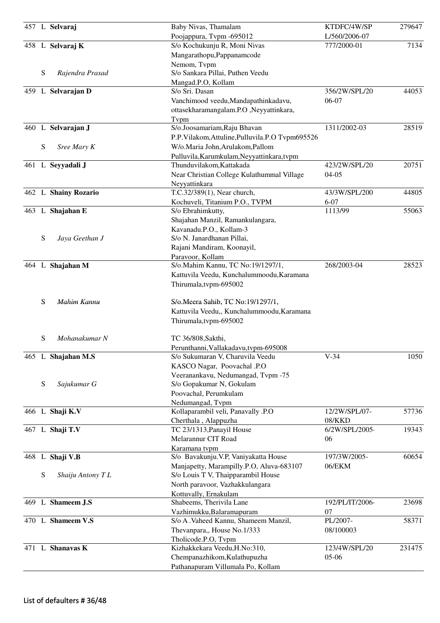|           | 457 L Selvaraj       | Baby Nivas, Thamalam<br>Poojappura, Tvpm -695012 | KTDFC/4W/SP<br>L/560/2006-07 | 279647 |
|-----------|----------------------|--------------------------------------------------|------------------------------|--------|
|           | 458 L Selvaraj K     | S/o Kochukunju R, Moni Nivas                     | 777/2000-01                  | 7134   |
|           |                      | Mangarathopu, Pappanamcode                       |                              |        |
|           |                      | Nemom, Tvpm                                      |                              |        |
| S         | Rajendra Prasad      | S/o Sankara Pillai, Puthen Veedu                 |                              |        |
|           |                      | Mangad.P.O, Kollam                               |                              |        |
|           | 459 L Selvarajan D   | S/o Sri. Dasan                                   | 356/2W/SPL/20                | 44053  |
|           |                      | Vanchimood veedu, Mandapathinkadavu,             | 06-07                        |        |
|           |                      | ottasekharamangalam.P.O ,Neyyattinkara,          |                              |        |
|           |                      | Tvpm                                             |                              |        |
|           | 460 L Selvarajan J   | S/o.Joosamariam, Raju Bhavan                     | 1311/2002-03                 | 28519  |
|           |                      | P.P.Vilakom, Attuline, Pulluvila.P.O Tvpm695526  |                              |        |
| ${\bf S}$ | Sree Mary K          | W/o.Maria John, Arulakom, Pallom                 |                              |        |
|           |                      | Pulluvila, Karumkulam, Neyyattinkara, tvpm       |                              |        |
|           | 461 L Seyyadali J    | Thunduvilakom, Kattakada                         | 423/2W/SPL/20                | 20751  |
|           |                      | Near Christian College Kulathummal Village       | $04 - 05$                    |        |
|           |                      | Neyyattinkara                                    |                              |        |
|           | 462 L Shainy Rozario | T.C.32/389(1), Near church,                      | 43/3W/SPL/200                | 44805  |
|           |                      | Kochuveli, Titanium P.O., TVPM                   | $6 - 07$                     |        |
|           | 463 L Shajahan E     | S/o Ebrahimkutty,                                | 1113/99                      | 55063  |
|           |                      | Shajahan Manzil, Ramankulangara,                 |                              |        |
|           |                      | Kavanadu.P.O., Kollam-3                          |                              |        |
| ${\bf S}$ | Jaya Geethan J       | S/o N. Janardhanan Pillai,                       |                              |        |
|           |                      | Rajani Mandiram, Koonayil,                       |                              |        |
|           |                      | Paravoor, Kollam                                 |                              |        |
|           | 464 L Shajahan M     | S/o.Mahim Kannu, TC No:19/1297/1,                | 268/2003-04                  | 28523  |
|           |                      | Kattuvila Veedu, Kunchalummoodu, Karamana        |                              |        |
|           |                      | Thirumala, tvpm-695002                           |                              |        |
|           |                      |                                                  |                              |        |
| ${\bf S}$ | Mahim Kannu          | S/o.Meera Sahib, TC No:19/1297/1,                |                              |        |
|           |                      | Kattuvila Veedu,, Kunchalummoodu, Karamana       |                              |        |
|           |                      |                                                  |                              |        |
|           |                      | Thirumala, tvpm-695002                           |                              |        |
| S         | Mohanakumar N        | TC 36/808, Sakthi,                               |                              |        |
|           |                      | Perunthanni, Vallakadavu, tvpm-695008            |                              |        |
|           | 465 L Shajahan M.S   | S/o Sukumaran V, Charuvila Veedu                 | $V-34$                       | 1050   |
|           |                      | KASCO Nagar, Poovachal .P.O                      |                              |        |
|           |                      | Veeranankavu, Nedumangad, Tvpm -75               |                              |        |
| ${\bf S}$ | Sajukumar G          | S/o Gopakumar N, Gokulam                         |                              |        |
|           |                      | Poovachal, Perumkulam                            |                              |        |
|           |                      |                                                  |                              |        |
|           |                      | Nedumangad, Tvpm                                 | 12/2W/SPL/07-                | 57736  |
|           | 466 L Shaji K.V      | Kollaparambil veli, Panavally .P.O               |                              |        |
|           |                      | Cherthala, Alappuzha                             | 08/KKD<br>6/2W/SPL/2005-     | 19343  |
|           | 467 L Shaji T.V      | TC 23/1313, Panayil House                        |                              |        |
|           |                      | Melarannur CIT Road                              | 06                           |        |
|           |                      | Karamana tvpm                                    |                              |        |
|           | 468 L Shaji V.B      | S/o Bavakunju. V.P, Vaniyakatta House            | 197/3W/2005-                 | 60654  |
|           |                      | Manjapetty, Marampilly.P.O, Aluva-683107         | 06/EKM                       |        |
| S         | Shaiju Antony TL     | S/o Louis T V, Thaipparambil House               |                              |        |
|           |                      | North paravoor, Vazhakkulangara                  |                              |        |
|           |                      | Kottuvally, Ernakulam                            |                              |        |
|           | 469 L Shameem J.S    | Shabeems, Therivila Lane                         | 192/PL/IT/2006-              | 23698  |
|           |                      | Vazhimukku, Balaramapuram                        | 07                           |        |
|           | 470 L Shameem V.S    | S/o A . Vaheed Kannu, Shameem Manzil,            | PL/2007-                     | 58371  |
|           |                      | Thevanpara,, House No.1/333                      | 08/100003                    |        |
|           |                      | Tholicode.P.O, Tvpm                              |                              |        |
|           | 471 L Shanavas K     | Kizhakkekara Veedu, H.No:310,                    | 123/4W/SPL/20                | 231475 |
|           |                      | Chempanazhikom, Kulathupuzha                     | 05-06                        |        |
|           |                      | Pathanapuram Villumala Po, Kollam                |                              |        |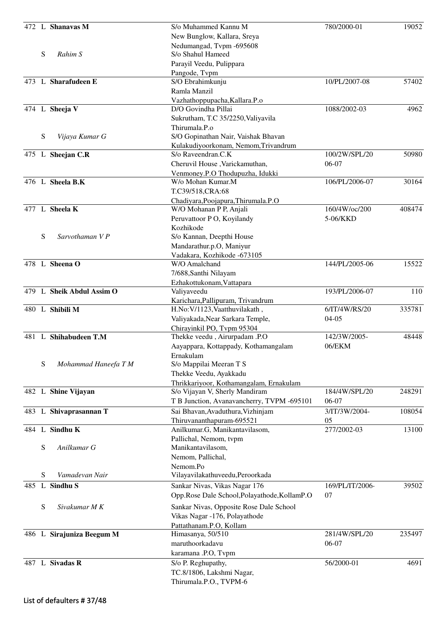|     |   | 472 L Shanavas M          | S/o Muhammed Kannu M                                        | 780/2000-01     | 19052  |
|-----|---|---------------------------|-------------------------------------------------------------|-----------------|--------|
|     |   |                           | New Bunglow, Kallara, Sreya                                 |                 |        |
|     |   |                           | Nedumangad, Tvpm -695608                                    |                 |        |
|     | S | Rahim S                   | S/o Shahul Hameed                                           |                 |        |
|     |   |                           | Parayil Veedu, Pulippara                                    |                 |        |
|     |   | 473 L Sharafudeen E       | Pangode, Tvpm                                               | 10/PL/2007-08   | 57402  |
|     |   |                           | S/O Ebrahimkunju<br>Ramla Manzil                            |                 |        |
|     |   |                           |                                                             |                 |        |
|     |   | 474 L Sheeja V            | Vazhathoppupacha, Kallara.P.o<br>D/O Govindha Pillai        | 1088/2002-03    | 4962   |
|     |   |                           | Sukrutham, T.C 35/2250, Valiyavila                          |                 |        |
|     |   |                           | Thirumala.P.o                                               |                 |        |
|     | S | Vijaya Kumar G            | S/O Gopinathan Nair, Vaishak Bhavan                         |                 |        |
|     |   |                           | Kulakudiyoorkonam, Nemom, Trivandrum                        |                 |        |
|     |   | 475 L Sheejan C.R         | S/o Raveendran.C.K                                          | 100/2W/SPL/20   | 50980  |
|     |   |                           | Cheruvil House, Varickamuthan,                              | 06-07           |        |
|     |   |                           | Venmoney.P.O Thodupuzha, Idukki                             |                 |        |
|     |   | 476 L Sheela B.K          | W/o Mohan Kumar.M                                           | 106/PL/2006-07  | 30164  |
|     |   |                           | T.C39/518, CRA: 68                                          |                 |        |
|     |   |                           | Chadiyara, Poojapura, Thirumala.P.O                         |                 |        |
|     |   | 477 L Sheela K            | W/O Mohanan P P, Anjali                                     | 160/4W/oc/200   | 408474 |
|     |   |                           | Peruvattoor P O, Koyilandy                                  | 5-06/KKD        |        |
|     |   |                           | Kozhikode                                                   |                 |        |
|     | S | Sarvothaman V P           | S/o Kannan, Deepthi House                                   |                 |        |
|     |   |                           | Mandarathur.p.O, Maniyur                                    |                 |        |
|     |   |                           | Vadakara, Kozhikode -673105                                 |                 |        |
|     |   | 478 L Sheena O            | W/O Amalchand                                               | 144/PL/2005-06  | 15522  |
|     |   |                           | 7/688, Santhi Nilayam                                       |                 |        |
|     |   |                           | Ezhakottukonam, Vattapara                                   |                 |        |
|     |   | 479 L Sheik Abdul Assim O | Valiyaveedu                                                 | 193/PL/2006-07  | 110    |
|     |   |                           | Karichara, Pallipuram, Trivandrum                           |                 | 335781 |
|     |   | 480 L Shibili M           | H.No: V/1123, Vaatthuvilakath,                              | 6/IT/4W/RS/20   |        |
|     |   |                           | Valiyakada, Near Sarkara Temple,                            | $04-05$         |        |
|     |   | 481 L Shihabudeen T.M     | Chirayinkil PO, Tvpm 95304<br>Thekke veedu, Airurpadam .P.O | 142/3W/2005-    | 48448  |
|     |   |                           | Aayappara, Kottappady, Kothamangalam                        | 06/EKM          |        |
|     |   |                           | Ernakulam                                                   |                 |        |
|     | S | Mohammad Haneefa T M      | S/o Mappilai Meeran T S                                     |                 |        |
|     |   |                           | Thekke Veedu, Ayakkadu                                      |                 |        |
|     |   |                           | Thrikkariyoor, Kothamangalam, Ernakulam                     |                 |        |
|     |   | 482 L Shine Vijayan       | S/o Vijayan V, Sherly Mandiram                              | 184/4W/SPL/20   | 248291 |
|     |   |                           | T B Junction, Avanavancherry, TVPM -695101                  | 06-07           |        |
| 483 |   | L Shivaprasannan T        | Sai Bhavan, Avaduthura, Vizhinjam                           | 3/IT/3W/2004-   | 108054 |
|     |   |                           | Thiruvananthapuram-695521                                   | 05              |        |
| 484 |   | L Sindhu K                | Anilkumar.G, Manikantavilasom,                              | 277/2002-03     | 13100  |
|     |   |                           | Pallichal, Nemom, tvpm                                      |                 |        |
|     | S | Anilkumar G               | Manikantavilasom,                                           |                 |        |
|     |   |                           | Nemom, Pallichal,                                           |                 |        |
|     |   |                           | Nemom.Po                                                    |                 |        |
|     | S | Vamadevan Nair            | Vilayavilakathuveedu, Peroorkada                            |                 |        |
|     |   | 485 L Sindhu S            | Sankar Nivas, Vikas Nagar 176                               | 169/PL/IT/2006- | 39502  |
|     |   |                           | Opp.Rose Dale School,Polayathode,KollamP.O                  | 07              |        |
|     | S | Sivakumar M K             | Sankar Nivas, Opposite Rose Dale School                     |                 |        |
|     |   |                           | Vikas Nagar -176, Polayathode                               |                 |        |
|     |   |                           | Pattathanam.P.O, Kollam                                     |                 |        |
|     |   | 486 L Sirajuniza Beegum M | Himasanya, 50/510                                           | 281/4W/SPL/20   | 235497 |
|     |   |                           | maruthoorkadavu                                             | 06-07           |        |
|     |   |                           | karamana .P.O, Tvpm                                         |                 |        |
|     |   | 487 L Sivadas R           | S/o P. Reghupathy,                                          | 56/2000-01      | 4691   |
|     |   |                           | TC.8/1806, Lakshmi Nagar,                                   |                 |        |
|     |   |                           | Thirumala.P.O., TVPM-6                                      |                 |        |
|     |   |                           |                                                             |                 |        |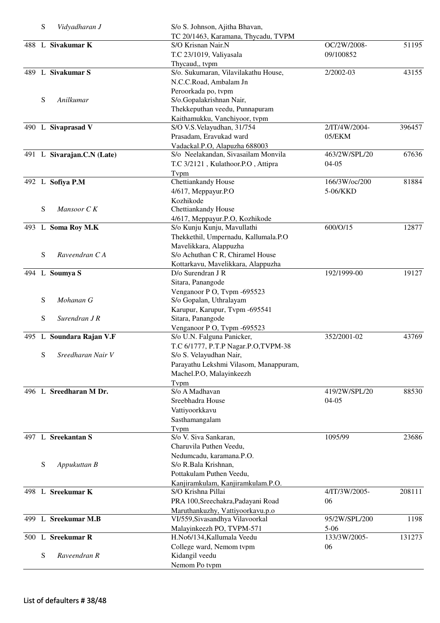|     | S | Vidyadharan J              | S/o S. Johnson, Ajitha Bhavan,         |               |        |
|-----|---|----------------------------|----------------------------------------|---------------|--------|
|     |   |                            | TC 20/1463, Karamana, Thycadu, TVPM    |               |        |
|     |   | 488 L Sivakumar K          | S/O Krisnan Nair.N                     | OC/2W/2008-   | 51195  |
|     |   |                            | T.C 23/1019, Valiyasala                | 09/100852     |        |
|     |   |                            | Thycaud,, tvpm                         |               |        |
|     |   | 489 L Sivakumar S          | S/o. Sukumaran, Vilavilakathu House,   | 2/2002-03     | 43155  |
|     |   |                            | N.C.C.Road, Ambalam Jn                 |               |        |
|     |   |                            | Peroorkada po, tvpm                    |               |        |
|     | S | Anilkumar                  | S/o.Gopalakrishnan Nair,               |               |        |
|     |   |                            | Thekkeputhan veedu, Punnapuram         |               |        |
|     |   |                            | Kaithamukku, Vanchiyoor, tvpm          |               |        |
|     |   | 490 L Sivaprasad V         | S/O V.S. Velayudhan, 31/754            | 2/IT/4W/2004- | 396457 |
|     |   |                            | Prasadam, Eravukad ward                | 05/EKM        |        |
|     |   |                            | Vadackal.P.O, Alapuzha 688003          |               |        |
|     |   | 491 L Sivarajan.C.N (Late) | S/o Neelakandan, Sivasailam Monvila    | 463/2W/SPL/20 | 67636  |
|     |   |                            | T.C 3/2121, Kulathoor.P.O, Attipra     | $04-05$       |        |
|     |   |                            | Tvpm                                   |               |        |
|     |   | 492 L Sofiya P.M           | Chettiankandy House                    | 166/3W/oc/200 | 81884  |
|     |   |                            | 4/617, Meppayur.P.O                    | 5-06/KKD      |        |
|     |   |                            | Kozhikode                              |               |        |
|     | S | Mansoor C K                | Chettiankandy House                    |               |        |
|     |   |                            | 4/617, Meppayur.P.O, Kozhikode         |               |        |
|     |   | 493 L Soma Roy M.K         | S/o Kunju Kunju, Mavullathi            | 600/O/15      | 12877  |
|     |   |                            | Thekkethil, Umpernadu, Kallumala.P.O   |               |        |
|     |   |                            | Mavelikkara, Alappuzha                 |               |        |
|     | S | Raveendran C A             | S/o Achuthan C R, Chiramel House       |               |        |
|     |   |                            | Kottarkavu, Mavelikkara, Alappuzha     |               |        |
|     |   | 494 L Soumya S             | D/o Surendran J R                      | 192/1999-00   | 19127  |
|     |   |                            |                                        |               |        |
|     |   |                            | Sitara, Panangode                      |               |        |
|     |   |                            | Venganoor P O, Tvpm -695523            |               |        |
|     | S | Mohanan G                  | S/o Gopalan, Uthralayam                |               |        |
|     |   |                            | Karupur, Karupur, Tvpm -695541         |               |        |
|     | S | Surendran J R              | Sitara, Panangode                      |               |        |
|     |   |                            | Venganoor P O, Tvpm -695523            |               |        |
|     |   | 495 L Soundara Rajan V.F   | S/o U.N. Falguna Panicker,             | 352/2001-02   | 43769  |
|     |   |                            | T.C 6/1777, P.T.P Nagar.P.O,TVPM-38    |               |        |
|     |   | S Sreedharan Nair V        | S/o S. Velayudhan Nair,                |               |        |
|     |   |                            | Parayathu Lekshmi Vilasom, Manappuram, |               |        |
|     |   |                            | Machel.P.O, Malayinkeezh               |               |        |
|     |   |                            | Typm                                   |               |        |
|     |   | 496 L Sreedharan M Dr.     | S/o A Madhavan                         | 419/2W/SPL/20 | 88530  |
|     |   |                            | Sreebhadra House                       | $04-05$       |        |
|     |   |                            | Vattiyoorkkavu                         |               |        |
|     |   |                            | Sasthamangalam                         |               |        |
|     |   |                            | Typm                                   |               |        |
|     |   | 497 L Sreekantan S         | S/o V. Siva Sankaran,                  | 1095/99       | 23686  |
|     |   |                            | Charuvila Puthen Veedu,                |               |        |
|     |   |                            | Nedumcadu, karamana.P.O.               |               |        |
|     | S | Appukuttan B               | S/o R.Bala Krishnan,                   |               |        |
|     |   |                            | Pottakulam Puthen Veedu,               |               |        |
|     |   |                            | Kanjiramkulam, Kanjiramkulam.P.O.      |               |        |
|     |   | 498 L Sreekumar K          | S/O Krishna Pillai                     | 4/IT/3W/2005- | 208111 |
|     |   |                            | PRA 100, Sreechakra, Padayani Road     | 06            |        |
|     |   |                            | Maruthankuzhy, Vattiyoorkavu.p.o       |               |        |
| 499 |   | L Sreekumar M.B            | VI/559, Sivasandhya Vilavoorkal        | 95/2W/SPL/200 | 1198   |
|     |   |                            | Malayinkeezh PO, TVPM-571              | $5 - 06$      |        |
|     |   | 500 L Sreekumar R          | H.No6/134, Kallumala Veedu             | 133/3W/2005-  | 131273 |
|     |   |                            | College ward, Nemom tvpm               | 06            |        |
|     | S | Raveendran R               | Kidangil veedu                         |               |        |
|     |   |                            |                                        |               |        |
|     |   |                            | Nemom Po tvpm                          |               |        |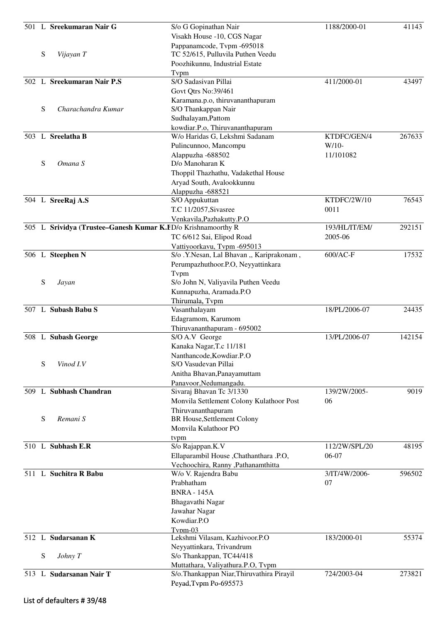|     |   | 501 L Sreekumaran Nair G                                     | S/o G Gopinathan Nair                                                    | 1188/2000-01  | 41143  |
|-----|---|--------------------------------------------------------------|--------------------------------------------------------------------------|---------------|--------|
|     |   |                                                              | Visakh House -10, CGS Nagar                                              |               |        |
|     |   |                                                              | Pappanamcode, Tvpm -695018                                               |               |        |
|     | S | Vijayan T                                                    | TC 52/615, Pulluvila Puthen Veedu                                        |               |        |
|     |   |                                                              | Poozhikunnu, Industrial Estate                                           |               |        |
|     |   |                                                              | Typm                                                                     |               |        |
|     |   | 502 L Sreekumaran Nair P.S                                   | S/O Sadasivan Pillai                                                     | 411/2000-01   | 43497  |
|     |   |                                                              | Govt Qtrs No:39/461                                                      |               |        |
|     |   |                                                              | Karamana.p.o, thiruvananthapuram                                         |               |        |
|     | S | Charachandra Kumar                                           | S/O Thankappan Nair                                                      |               |        |
|     |   |                                                              | Sudhalayam, Pattom                                                       |               |        |
|     |   |                                                              | kowdiar.P.o, Thiruvananthapuram                                          |               |        |
|     |   | 503 L Sreelatha B                                            | W/o Haridas G, Lekshmi Sadanam                                           | KTDFC/GEN/4   | 267633 |
|     |   |                                                              | Pulincunnoo, Mancompu                                                    | $W/10-$       |        |
|     |   |                                                              | Alappuzha -688502                                                        | 11/101082     |        |
|     | S | Omana S                                                      | D/o Manoharan K                                                          |               |        |
|     |   |                                                              | Thoppil Thazhathu, Vadakethal House                                      |               |        |
|     |   |                                                              | Aryad South, Avalookkunnu                                                |               |        |
|     |   |                                                              | Alappuzha -688521                                                        |               |        |
|     |   | 504 L SreeRaj A.S                                            | S/O Appukuttan                                                           | KTDFC/2W/10   | 76543  |
|     |   |                                                              | T.C 11/2057, Sivasree                                                    | 0011          |        |
|     |   |                                                              | Venkavila, Pazhakutty. P.O                                               | 193/HL/IT/EM/ | 292151 |
|     |   | 505 L Srividya (Trustee-Ganesh Kumar K.FD/o Krishnamoorthy R | TC 6/612 Sai, Elipod Road                                                | 2005-06       |        |
|     |   |                                                              |                                                                          |               |        |
|     |   | 506 L Steephen N                                             | Vattiyoorkavu, Tvpm -695013<br>S/o .Y.Nesan, Lal Bhavan ,, Kariprakonam, | 600/AC-F      | 17532  |
|     |   |                                                              | Perumpazhuthoor.P.O, Neyyattinkara                                       |               |        |
|     |   |                                                              | Tvpm                                                                     |               |        |
|     | S | Jayan                                                        | S/o John N, Valiyavila Puthen Veedu                                      |               |        |
|     |   |                                                              | Kunnapuzha, Aramada.P.O                                                  |               |        |
|     |   |                                                              | Thirumala, Tvpm                                                          |               |        |
|     |   | 507 L Subash Babu S                                          | Vasanthalayam                                                            | 18/PL/2006-07 | 24435  |
|     |   |                                                              | Edagramom, Karumom                                                       |               |        |
|     |   |                                                              | Thiruvananthapuram - 695002                                              |               |        |
|     |   | 508 L Subash George                                          | S/O A.V George                                                           | 13/PL/2006-07 | 142154 |
|     |   |                                                              | Kanaka Nagar, T.c 11/181                                                 |               |        |
|     |   |                                                              | Nanthancode, Kowdiar.P.O                                                 |               |        |
|     | S | Vinod I.V                                                    | S/O Vasudevan Pillai                                                     |               |        |
|     |   |                                                              | Anitha Bhavan, Panayamuttam                                              |               |        |
|     |   |                                                              | Panavoor, Nedumangadu.                                                   |               |        |
|     |   | 509 L Subhash Chandran                                       | Sivaraj Bhavan Tc 3/1330                                                 | 139/2W/2005-  | 9019   |
|     |   |                                                              | Monvila Settlement Colony Kulathoor Post                                 | 06            |        |
|     |   |                                                              | Thiruvananthapuram                                                       |               |        |
|     | S | Remani S                                                     | BR House, Settlement Colony                                              |               |        |
|     |   |                                                              | Monvila Kulathoor PO                                                     |               |        |
|     |   | 510 L Subhash E.R                                            | tvpm<br>S/o Rajappan.K.V                                                 | 112/2W/SPL/20 | 48195  |
|     |   |                                                              | Ellaparambil House, Chathanthara .P.O,                                   | 06-07         |        |
|     |   |                                                              | Vechoochira, Ranny ,Pathanamthitta                                       |               |        |
| 511 |   | L Suchitra R Babu                                            | W/o V. Rajendra Babu                                                     | 3/IT/4W/2006- | 596502 |
|     |   |                                                              | Prabhatham                                                               | 07            |        |
|     |   |                                                              | <b>BNRA - 145A</b>                                                       |               |        |
|     |   |                                                              | Bhagavathi Nagar                                                         |               |        |
|     |   |                                                              | Jawahar Nagar                                                            |               |        |
|     |   |                                                              | Kowdiar.P.O                                                              |               |        |
|     |   |                                                              | Typm-03                                                                  |               |        |
|     |   | 512 L Sudarsanan K                                           | Lekshmi Vilasam, Kazhivoor.P.O                                           | 183/2000-01   | 55374  |
|     |   |                                                              | Neyyattinkara, Trivandrum                                                |               |        |
|     | S | Johny T                                                      | S/o Thankappan, TC44/418                                                 |               |        |
|     |   |                                                              | Muttathara, Valiyathura.P.O, Tvpm                                        |               |        |
|     |   | 513 L Sudarsanan Nair T                                      | S/o.Thankappan Niar, Thiruvathira Pirayil                                | 724/2003-04   | 273821 |
|     |   |                                                              | Peyad, Tvpm Po-695573                                                    |               |        |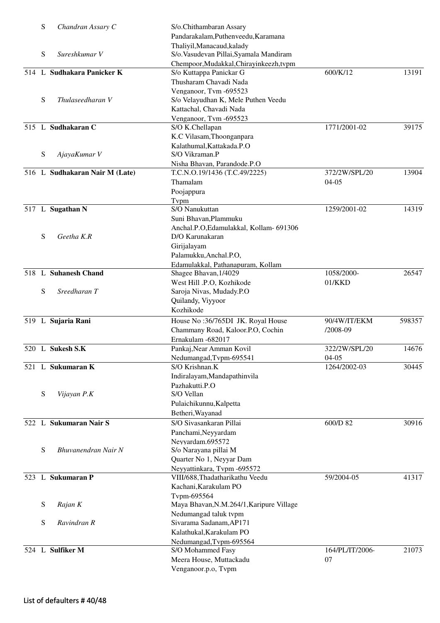|     | S | Chandran Assary C              | S/o.Chithambaran Assary                  |                 |        |
|-----|---|--------------------------------|------------------------------------------|-----------------|--------|
|     |   |                                | Pandarakalam, Puthenveedu, Karamana      |                 |        |
|     |   |                                | Thaliyil, Manacaud, kalady               |                 |        |
|     | S | Sureshkumar V                  | S/o. Vasudevan Pillai, Syamala Mandiram  |                 |        |
|     |   |                                | Chempoor, Mudakkal, Chirayinkeezh, tvpm  |                 |        |
| 514 |   | L Sudhakara Panicker K         | S/o Kuttappa Panickar G                  | 600/K/12        | 13191  |
|     |   |                                | Thusharam Chavadi Nada                   |                 |        |
|     |   |                                |                                          |                 |        |
|     |   |                                | Venganoor, Tvm -695523                   |                 |        |
|     | S | Thulaseedharan V               | S/o Velayudhan K, Mele Puthen Veedu      |                 |        |
|     |   |                                | Kattachal, Chavadi Nada                  |                 |        |
|     |   |                                | Venganoor, Tvm-695523                    |                 |        |
|     |   | 515 L Sudhakaran C             | S/O K.Chellapan                          | 1771/2001-02    | 39175  |
|     |   |                                | K.C Vilasam, Thoonganpara                |                 |        |
|     |   |                                | Kalathumal, Kattakada.P.O                |                 |        |
|     | S | AjayaKumar V                   | S/O Vikraman.P                           |                 |        |
|     |   |                                | Nisha Bhavan, Parandode.P.O              |                 |        |
|     |   | 516 L Sudhakaran Nair M (Late) | T.C.N.O.19/1436 (T.C.49/2225)            | 372/2W/SPL/20   | 13904  |
|     |   |                                |                                          |                 |        |
|     |   |                                | Thamalam                                 | $04-05$         |        |
|     |   |                                | Poojappura                               |                 |        |
|     |   |                                | Tvpm                                     |                 |        |
|     |   | 517 L Sugathan N               | S/O Nanukuttan                           | 1259/2001-02    | 14319  |
|     |   |                                | Suni Bhavan, Plammuku                    |                 |        |
|     |   |                                | Anchal.P.O,Edamulakkal, Kollam- 691306   |                 |        |
|     | S | Geetha K.R                     | D/O Karunakaran                          |                 |        |
|     |   |                                | Girijalayam                              |                 |        |
|     |   |                                | Palamukku, Anchal.P.O,                   |                 |        |
|     |   |                                |                                          |                 |        |
|     |   |                                | Edamulakkal, Pathanapuram, Kollam        |                 |        |
|     |   | 518 L Suhanesh Chand           | Shagee Bhavan, 1/4029                    | 1058/2000-      | 26547  |
|     |   |                                | West Hill .P.O, Kozhikode                | 01/KKD          |        |
|     | S | Sreedharan T                   | Saroja Nivas, Mudady.P.O                 |                 |        |
|     |   |                                | Quilandy, Viyyoor                        |                 |        |
|     |   |                                | Kozhikode                                |                 |        |
|     |   | 519 L Sujaria Rani             | House No: 36/765DI JK. Royal House       | 90/4W/IT/EKM    | 598357 |
|     |   |                                | Chammany Road, Kaloor.P.O, Cochin        | $/2008 - 09$    |        |
|     |   |                                | Ernakulam -682017                        |                 |        |
|     |   | 520 L Sukesh S.K               |                                          |                 | 14676  |
|     |   |                                | Pankaj, Near Amman Kovil                 | 322/2W/SPL/20   |        |
|     |   |                                | Nedumangad, Tvpm-695541                  | $04-05$         |        |
|     |   | 521 L Sukumaran K              | S/O Krishnan.K                           | 1264/2002-03    | 30445  |
|     |   |                                | Indiralayam, Mandapathinvila             |                 |        |
|     |   |                                | Pazhakutti.P.O                           |                 |        |
|     | S | Vijayan P.K                    | S/O Vellan                               |                 |        |
|     |   |                                | Pulaichikunnu, Kalpetta                  |                 |        |
|     |   |                                | Betheri, Wayanad                         |                 |        |
| 522 |   | L Sukumaran Nair S             | S/O Sivasankaran Pillai                  | 600/D 82        | 30916  |
|     |   |                                |                                          |                 |        |
|     |   |                                | Panchami, Neyyardam                      |                 |        |
|     |   |                                | Neyyardam.695572                         |                 |        |
|     | S | Bhuvanendran Nair N            | S/o Narayana pillai M                    |                 |        |
|     |   |                                | Quarter No 1, Neyyar Dam                 |                 |        |
|     |   |                                | Neyyattinkara, Tvpm -695572              |                 |        |
|     |   | 523 L Sukumaran P              | VIII/688, Thadatharikathu Veedu          | 59/2004-05      | 41317  |
|     |   |                                | Kachani, Karakulam PO                    |                 |        |
|     |   |                                | Tvpm-695564                              |                 |        |
|     | S | Rajan K                        | Maya Bhavan, N.M.264/1, Karipure Village |                 |        |
|     |   |                                | Nedumangad taluk tvpm                    |                 |        |
|     | S | Ravindran R                    | Sivarama Sadanam, AP171                  |                 |        |
|     |   |                                | Kalathukal, Karakulam PO                 |                 |        |
|     |   |                                |                                          |                 |        |
|     |   |                                | Nedumangad, Tvpm-695564                  |                 |        |
|     |   | 524 L Sulfiker M               | S/O Mohammed Fasy                        | 164/PL/IT/2006- | 21073  |
|     |   |                                | Meera House, Muttackadu                  | 07              |        |
|     |   |                                | Venganoor.p.o, Tvpm                      |                 |        |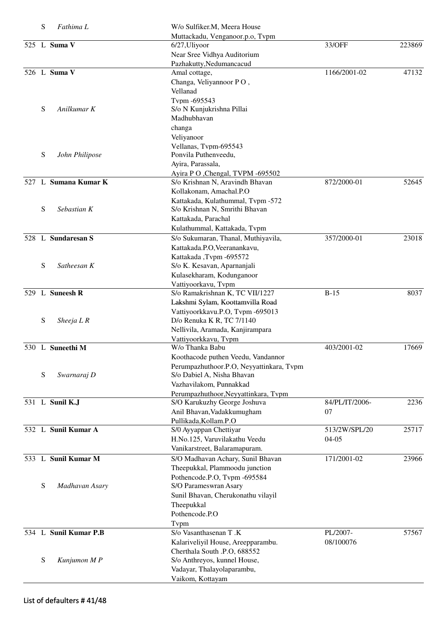| S | Fathima L             | W/o Sulfiker.M, Meera House                                          |                |        |
|---|-----------------------|----------------------------------------------------------------------|----------------|--------|
|   | 525 L Suma V          | Muttackadu, Venganoor.p.o, Tvpm<br>6/27, Uliyoor                     | 33/OFF         | 223869 |
|   |                       | Near Sree Vidhya Auditorium                                          |                |        |
|   |                       | Pazhakutty, Nedumancacud                                             |                |        |
|   | 526 L Suma V          | Amal cottage,                                                        | 1166/2001-02   | 47132  |
|   |                       | Changa, Veliyannoor PO,<br>Vellanad                                  |                |        |
|   |                       | Tvpm -695543                                                         |                |        |
| S | Anilkumar K           | S/o N Kunjukrishna Pillai                                            |                |        |
|   |                       | Madhubhavan                                                          |                |        |
|   |                       | changa                                                               |                |        |
|   |                       | Veliyanoor                                                           |                |        |
|   |                       | Vellanas, Tvpm-695543                                                |                |        |
| S | John Philipose        | Ponvila Puthenveedu,                                                 |                |        |
|   |                       | Ayira, Parassala,                                                    |                |        |
|   | 527 L Sumana Kumar K  | Ayira P O , Chengal, TVPM -695502                                    |                |        |
|   |                       | S/o Krishnan N, Aravindh Bhavan<br>Kollakonam, Amachal.P.O           | 872/2000-01    | 52645  |
|   |                       | Kattakada, Kulathummal, Tvpm -572                                    |                |        |
| S | Sebastian K           | S/o Krishnan N, Smrithi Bhavan                                       |                |        |
|   |                       | Kattakada, Parachal                                                  |                |        |
|   |                       | Kulathummal, Kattakada, Tvpm                                         |                |        |
|   | 528 L Sundaresan S    | S/o Sukumaran, Thanal, Muthiyavila,                                  | 357/2000-01    | 23018  |
|   |                       | Kattakada.P.O, Veeranankavu,                                         |                |        |
|   |                       | Kattakada, Tvpm -695572                                              |                |        |
| S | Satheesan K           | S/o K. Kesavan, Aparnanjali                                          |                |        |
|   |                       | Kulasekharam, Kodunganoor                                            |                |        |
|   | 529 L Suneesh R       | Vattiyoorkavu, Tvpm                                                  |                |        |
|   |                       | S/o Ramakrishnan K, TC VII/1227                                      | $B-15$         | 8037   |
|   |                       | Lakshmi Sylam, Koottamvilla Road<br>Vattiyoorkkavu.P.O, Tvpm -695013 |                |        |
| S | Sheeja $LR$           | D/o Renuka K R, TC 7/1140                                            |                |        |
|   |                       | Nellivila, Aramada, Kanjirampara                                     |                |        |
|   |                       | Vattiyoorkkavu, Tvpm                                                 |                |        |
|   | 530 L Suneethi M      | W/o Thanka Babu                                                      | 403/2001-02    | 17669  |
|   |                       | Koothacode puthen Veedu, Vandannor                                   |                |        |
| S |                       | Perumpazhuthoor.P.O, Neyyattinkara, Tvpm                             |                |        |
|   | Swarnaraj D           | S/o Dabiel A, Nisha Bhavan<br>Vazhavilakom, Punnakkad                |                |        |
|   |                       | Perumpazhuthoor, Neyyattinkara, Tvpm                                 |                |        |
|   | 531 L Sunil K.J       | S/O Karukuzhy George Joshuva                                         | 84/PL/IT/2006- | 2236   |
|   |                       | Anil Bhavan, Vadakkumugham                                           | 07             |        |
|   |                       | Pullikada, Kollam.P.O                                                |                |        |
|   | 532 L Sunil Kumar A   | S/0 Ayyappan Chettiyar                                               | 513/2W/SPL/20  | 25717  |
|   |                       | H.No.125, Varuvilakathu Veedu                                        | $04 - 05$      |        |
|   |                       | Vanikarstreet, Balaramapuram.                                        |                |        |
|   | 533 L Sunil Kumar M   | S/O Madhavan Achary, Sunil Bhavan                                    | 171/2001-02    | 23966  |
|   |                       | Theepukkal, Plammoodu junction                                       |                |        |
| S | Madhavan Asary        | Pothencode.P.O, Tvpm -695584<br>S/O Parameswran Asary                |                |        |
|   |                       | Sunil Bhavan, Cherukonathu vilayil                                   |                |        |
|   |                       | Theepukkal                                                           |                |        |
|   |                       | Pothencode.P.O                                                       |                |        |
|   |                       | Typm                                                                 |                |        |
|   | 534 L Sunil Kumar P.B | S/o Vasanthasenan T.K                                                | PL/2007-       | 57567  |
|   |                       | Kalariveliyil House, Areepparambu.                                   | 08/100076      |        |
|   |                       | Cherthala South .P.O, 688552                                         |                |        |
| S | Kunjumon M P          | S/o Anthreyos, kunnel House,                                         |                |        |
|   |                       | Vadayar, Thalayolaparambu,                                           |                |        |
|   |                       | Vaikom, Kottayam                                                     |                |        |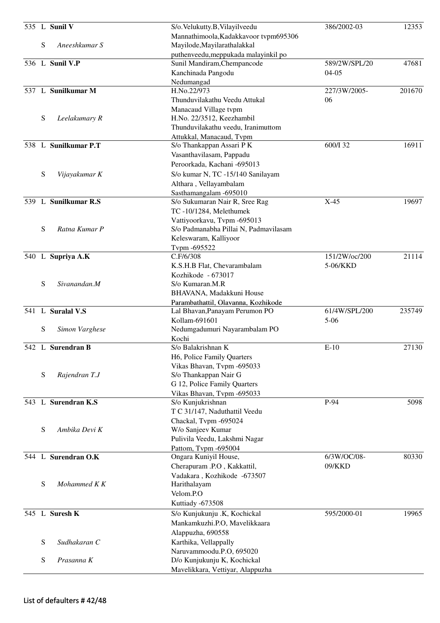|             | 535 L Sunil V        | S/o.Velukutty.B, Vilayilveedu                                         | 386/2002-03              | 12353  |
|-------------|----------------------|-----------------------------------------------------------------------|--------------------------|--------|
|             |                      | Mannathimoola, Kadakkavoor tvpm695306                                 |                          |        |
| S           | Aneeshkumar S        | Mayilode, Mayilarathalakkal                                           |                          |        |
|             |                      | puthenveedu, meppukada malayinkil po                                  |                          |        |
|             | 536 L Sunil V.P      | Sunil Mandiram, Chempancode<br>Kanchinada Pangodu                     | 589/2W/SPL/20<br>$04-05$ | 47681  |
|             |                      | Nedumangad                                                            |                          |        |
|             | 537 L Sunilkumar M   | H.No.22/973                                                           | 227/3W/2005-             | 201670 |
|             |                      | Thunduvilakathu Veedu Attukal                                         | 06                       |        |
|             |                      | Manacaud Village tvpm                                                 |                          |        |
| S           | Leelakumary R        | H.No. 22/3512, Keezhambil                                             |                          |        |
|             |                      | Thunduvilakathu veedu, Iranimuttom                                    |                          |        |
|             | 538 L Sunilkumar P.T | Attukkal, Manacaud, Tvpm<br>S/o Thankappan Assari P K                 | 600/I 32                 | 16911  |
|             |                      | Vasanthavilasam, Pappadu                                              |                          |        |
|             |                      | Peroorkada, Kachani -695013                                           |                          |        |
| S           | Vijayakumar K        | S/o kumar N, TC -15/140 Sanilayam                                     |                          |        |
|             |                      | Althara, Vellayambalam                                                |                          |        |
|             |                      | Sasthamangalam -695010                                                |                          |        |
|             | 539 L Sunilkumar R.S | S/o Sukumaran Nair R, Sree Rag                                        | $X-45$                   | 19697  |
|             |                      | TC-10/1284, Melethumek                                                |                          |        |
| S           | Ratna Kumar P        | Vattiyoorkavu, Tvpm -695013                                           |                          |        |
|             |                      | S/o Padmanabha Pillai N, Padmavilasam<br>Keleswaram, Kalliyoor        |                          |        |
|             |                      | Tvpm -695522                                                          |                          |        |
|             | 540 L Supriya A.K    | C.F/6/308                                                             | 151/2W/oc/200            | 21114  |
|             |                      | K.S.H.B Flat, Chevarambalam                                           | 5-06/KKD                 |        |
|             |                      | Kozhikode - 673017                                                    |                          |        |
| S           | Sivanandan.M         | S/o Kumaran.M.R                                                       |                          |        |
|             |                      | BHAVANA, Madakkuni House                                              |                          |        |
|             | 541 L Suralal V.S    | Parambathattil, Olavanna, Kozhikode<br>Lal Bhavan, Panayam Perumon PO | 61/4W/SPL/200            | 235749 |
|             |                      | Kollam-691601                                                         | $5 - 06$                 |        |
| ${\bf S}$   | Simon Varghese       | Nedumgadumuri Nayarambalam PO                                         |                          |        |
|             |                      | Kochi                                                                 |                          |        |
|             | 542 L Surendran B    | S/o Balakrishnan K                                                    | $E-10$                   | 27130  |
|             |                      | H6, Police Family Quarters                                            |                          |        |
|             |                      | Vikas Bhavan, Tvpm -695033                                            |                          |        |
| $\mathbf S$ | Rajendran T.J        | S/o Thankappan Nair G<br>G 12, Police Family Quarters                 |                          |        |
|             |                      | Vikas Bhavan, Tvpm -695033                                            |                          |        |
|             | 543 L Surendran K.S  | S/o Kunjukrishnan                                                     | P-94                     | 5098   |
|             |                      | T C 31/147, Naduthattil Veedu                                         |                          |        |
|             |                      | Chackal, Typm -695024                                                 |                          |        |
| S           | Ambika Devi K        | W/o Sanjeev Kumar                                                     |                          |        |
|             |                      | Pulivila Veedu, Lakshmi Nagar                                         |                          |        |
|             | 544 L Surendran O.K  | Pattom, Tvpm -695004                                                  | 6/3W/OC/08-              | 80330  |
|             |                      | Ongara Kuniyil House,<br>Cherapuram .P.O, Kakkattil,                  | 09/KKD                   |        |
|             |                      | Vadakara, Kozhikode -673507                                           |                          |        |
| S           | Mohammed K K         | Harithalayam                                                          |                          |        |
|             |                      | Velom.P.O                                                             |                          |        |
|             |                      | Kuttiady -673508                                                      |                          |        |
|             | 545 L Suresh K       | S/o Kunjukunju .K, Kochickal                                          | 595/2000-01              | 19965  |
|             |                      | Mankamkuzhi.P.O, Mavelikkaara                                         |                          |        |
|             |                      | Alappuzha, 690558                                                     |                          |        |
| S           | Sudhakaran C         | Karthika, Vellappally                                                 |                          |        |
|             |                      | Naruvammoodu.P.O, 695020                                              |                          |        |
| S           | Prasanna K           | D/o Kunjukunju K, Kochickal<br>Mavelikkara, Vettiyar, Alappuzha       |                          |        |
|             |                      |                                                                       |                          |        |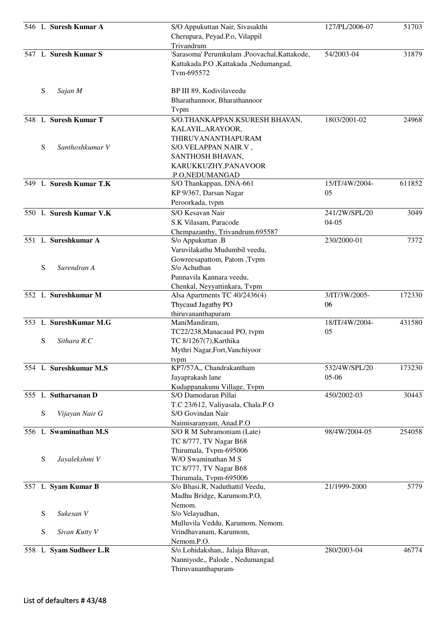| Cherupara, Peyad.P.o, Vilappil<br>Trivandrum<br>547 L Suresh Kumar S<br>'Sarasoma' Perumkulam ,Poovachal,Kattakode,<br>54/2003-04<br>31879<br>Kattakada.P.O ,Kattakada ,Nedumangad,<br>Tvm-695572<br>S<br>Sajan M<br>BP III 89, Kodivilaveedu<br>Bharathannoor, Bharathannoor<br>Tvpm<br>548 L Suresh Kumar T<br>S/O.THANKAPPAN.KSURESH BHAVAN,<br>1803/2001-02<br>24968<br>KALAYIL, ARAYOOR,<br>THIRUVANANTHAPURAM<br>S<br>Santhoshkumar V<br>S/O.VELAPPAN NAIR.V,<br>SANTHOSH BHAVAN,<br>KARUKKUZHY, PANAVOOR<br>.P.O, NEDUMANGAD<br>549 L Suresh Kumar T.K<br>611852<br>15/IT/4W/2004-<br>S/O Thankappan, DNA-661<br>05<br>KP 9/367, Darsan Nagar<br>Peroorkada, tvpm<br>550 L Suresh Kumar V.K<br>S/O Kesavan Nair<br>241/2W/SPL/20<br>3049<br>S.K Vilasam, Paracode<br>$04-05$<br>Chempazanthy, Trivandrum.695587<br>551 L Sureshkumar A<br>230/2000-01<br>7372<br>S/o Appukuttan .B<br>Varuvilakathu Mudumbil veedu,<br>Gowreesapattom, Patom, Tvpm<br>S<br>Surendran A<br>S/o Achuthan<br>Punnavila Kannara veedu,<br>Chenkal, Neyyattinkara, Tvpm<br>552 L Sureshkumar M<br>3/IT/3W/2005-<br>Alsa Apartments TC 40/2436(4)<br>172330<br>Thycaud Jagathy PO<br>06<br>thiruvananthapuram<br>SureshKumar M.G<br>18/IT/4W/2004-<br>$\mathbf{L}$<br>431580<br>553<br>ManiMandiram,<br>05<br>TC22/238, Manacaud PO, tvpm<br>S<br>Sithara R.C<br>TC 8/1267(7), Karthika<br>Mythri Nagar, Fort, Vanchiyoor<br>tvpm<br>KP7/57A,, Chandrakantham<br>554 L Sureshkumar M.S<br>532/4W/SPL/20<br>173230<br>05-06<br>Jayaprakash lane<br>Kudappanakunu Village, Tvpm<br>555 L Sutharsanan D<br>S/O Damodaran Pillai<br>450/2002-03<br>30443<br>T.C 23/612, Valiyasala, Chala.P.O<br>S<br>S/O Govindan Nair<br>Vijayan Nair G<br>Naimisaranyam, Anad.P.O<br>556 L Swaminathan M.S<br>98/4W/2004-05<br>254058<br>S/O R M Subramoniam (Late)<br>TC 8/777, TV Nagar B68<br>Thirumala, Tvpm-695006<br>S<br>W/O Swaminathan M S<br>Jayalekshmi V<br>TC 8/777, TV Nagar B68<br>Thirumala, Tvpm-695006<br>557 L Syam Kumar B<br>21/1999-2000<br>5779<br>S/o Bhasi.R, Naduthattil Veedu,<br>Madhu Bridge, Karumom.P.O,<br>Nemom.<br>S<br>Sukesan V<br>S/o Velayudhan,<br>Mulluvila Veddu, Karumom, Nemom.<br>S<br>Sivan Kutty V<br>Vrindhavanam, Karumom,<br>Nemom.P.O.<br>558 L Syam Sudheer L.R<br>S/o.Lohidakshan,, Jalaja Bhavan,<br>280/2003-04<br>46774<br>Nanniyode,, Palode, Nedumangad<br>Thiruvananthapuram- |  | 546 L Suresh Kumar A | S/O Appukuttan Nair, Sivasakthi | 127/PL/2006-07 | 51703 |
|---------------------------------------------------------------------------------------------------------------------------------------------------------------------------------------------------------------------------------------------------------------------------------------------------------------------------------------------------------------------------------------------------------------------------------------------------------------------------------------------------------------------------------------------------------------------------------------------------------------------------------------------------------------------------------------------------------------------------------------------------------------------------------------------------------------------------------------------------------------------------------------------------------------------------------------------------------------------------------------------------------------------------------------------------------------------------------------------------------------------------------------------------------------------------------------------------------------------------------------------------------------------------------------------------------------------------------------------------------------------------------------------------------------------------------------------------------------------------------------------------------------------------------------------------------------------------------------------------------------------------------------------------------------------------------------------------------------------------------------------------------------------------------------------------------------------------------------------------------------------------------------------------------------------------------------------------------------------------------------------------------------------------------------------------------------------------------------------------------------------------------------------------------------------------------------------------------------------------------------------------------------------------------------------------------------------------------------------------------------------------------------------------------|--|----------------------|---------------------------------|----------------|-------|
|                                                                                                                                                                                                                                                                                                                                                                                                                                                                                                                                                                                                                                                                                                                                                                                                                                                                                                                                                                                                                                                                                                                                                                                                                                                                                                                                                                                                                                                                                                                                                                                                                                                                                                                                                                                                                                                                                                                                                                                                                                                                                                                                                                                                                                                                                                                                                                                                         |  |                      |                                 |                |       |
|                                                                                                                                                                                                                                                                                                                                                                                                                                                                                                                                                                                                                                                                                                                                                                                                                                                                                                                                                                                                                                                                                                                                                                                                                                                                                                                                                                                                                                                                                                                                                                                                                                                                                                                                                                                                                                                                                                                                                                                                                                                                                                                                                                                                                                                                                                                                                                                                         |  |                      |                                 |                |       |
|                                                                                                                                                                                                                                                                                                                                                                                                                                                                                                                                                                                                                                                                                                                                                                                                                                                                                                                                                                                                                                                                                                                                                                                                                                                                                                                                                                                                                                                                                                                                                                                                                                                                                                                                                                                                                                                                                                                                                                                                                                                                                                                                                                                                                                                                                                                                                                                                         |  |                      |                                 |                |       |
|                                                                                                                                                                                                                                                                                                                                                                                                                                                                                                                                                                                                                                                                                                                                                                                                                                                                                                                                                                                                                                                                                                                                                                                                                                                                                                                                                                                                                                                                                                                                                                                                                                                                                                                                                                                                                                                                                                                                                                                                                                                                                                                                                                                                                                                                                                                                                                                                         |  |                      |                                 |                |       |
|                                                                                                                                                                                                                                                                                                                                                                                                                                                                                                                                                                                                                                                                                                                                                                                                                                                                                                                                                                                                                                                                                                                                                                                                                                                                                                                                                                                                                                                                                                                                                                                                                                                                                                                                                                                                                                                                                                                                                                                                                                                                                                                                                                                                                                                                                                                                                                                                         |  |                      |                                 |                |       |
|                                                                                                                                                                                                                                                                                                                                                                                                                                                                                                                                                                                                                                                                                                                                                                                                                                                                                                                                                                                                                                                                                                                                                                                                                                                                                                                                                                                                                                                                                                                                                                                                                                                                                                                                                                                                                                                                                                                                                                                                                                                                                                                                                                                                                                                                                                                                                                                                         |  |                      |                                 |                |       |
|                                                                                                                                                                                                                                                                                                                                                                                                                                                                                                                                                                                                                                                                                                                                                                                                                                                                                                                                                                                                                                                                                                                                                                                                                                                                                                                                                                                                                                                                                                                                                                                                                                                                                                                                                                                                                                                                                                                                                                                                                                                                                                                                                                                                                                                                                                                                                                                                         |  |                      |                                 |                |       |
|                                                                                                                                                                                                                                                                                                                                                                                                                                                                                                                                                                                                                                                                                                                                                                                                                                                                                                                                                                                                                                                                                                                                                                                                                                                                                                                                                                                                                                                                                                                                                                                                                                                                                                                                                                                                                                                                                                                                                                                                                                                                                                                                                                                                                                                                                                                                                                                                         |  |                      |                                 |                |       |
|                                                                                                                                                                                                                                                                                                                                                                                                                                                                                                                                                                                                                                                                                                                                                                                                                                                                                                                                                                                                                                                                                                                                                                                                                                                                                                                                                                                                                                                                                                                                                                                                                                                                                                                                                                                                                                                                                                                                                                                                                                                                                                                                                                                                                                                                                                                                                                                                         |  |                      |                                 |                |       |
|                                                                                                                                                                                                                                                                                                                                                                                                                                                                                                                                                                                                                                                                                                                                                                                                                                                                                                                                                                                                                                                                                                                                                                                                                                                                                                                                                                                                                                                                                                                                                                                                                                                                                                                                                                                                                                                                                                                                                                                                                                                                                                                                                                                                                                                                                                                                                                                                         |  |                      |                                 |                |       |
|                                                                                                                                                                                                                                                                                                                                                                                                                                                                                                                                                                                                                                                                                                                                                                                                                                                                                                                                                                                                                                                                                                                                                                                                                                                                                                                                                                                                                                                                                                                                                                                                                                                                                                                                                                                                                                                                                                                                                                                                                                                                                                                                                                                                                                                                                                                                                                                                         |  |                      |                                 |                |       |
|                                                                                                                                                                                                                                                                                                                                                                                                                                                                                                                                                                                                                                                                                                                                                                                                                                                                                                                                                                                                                                                                                                                                                                                                                                                                                                                                                                                                                                                                                                                                                                                                                                                                                                                                                                                                                                                                                                                                                                                                                                                                                                                                                                                                                                                                                                                                                                                                         |  |                      |                                 |                |       |
|                                                                                                                                                                                                                                                                                                                                                                                                                                                                                                                                                                                                                                                                                                                                                                                                                                                                                                                                                                                                                                                                                                                                                                                                                                                                                                                                                                                                                                                                                                                                                                                                                                                                                                                                                                                                                                                                                                                                                                                                                                                                                                                                                                                                                                                                                                                                                                                                         |  |                      |                                 |                |       |
|                                                                                                                                                                                                                                                                                                                                                                                                                                                                                                                                                                                                                                                                                                                                                                                                                                                                                                                                                                                                                                                                                                                                                                                                                                                                                                                                                                                                                                                                                                                                                                                                                                                                                                                                                                                                                                                                                                                                                                                                                                                                                                                                                                                                                                                                                                                                                                                                         |  |                      |                                 |                |       |
|                                                                                                                                                                                                                                                                                                                                                                                                                                                                                                                                                                                                                                                                                                                                                                                                                                                                                                                                                                                                                                                                                                                                                                                                                                                                                                                                                                                                                                                                                                                                                                                                                                                                                                                                                                                                                                                                                                                                                                                                                                                                                                                                                                                                                                                                                                                                                                                                         |  |                      |                                 |                |       |
|                                                                                                                                                                                                                                                                                                                                                                                                                                                                                                                                                                                                                                                                                                                                                                                                                                                                                                                                                                                                                                                                                                                                                                                                                                                                                                                                                                                                                                                                                                                                                                                                                                                                                                                                                                                                                                                                                                                                                                                                                                                                                                                                                                                                                                                                                                                                                                                                         |  |                      |                                 |                |       |
|                                                                                                                                                                                                                                                                                                                                                                                                                                                                                                                                                                                                                                                                                                                                                                                                                                                                                                                                                                                                                                                                                                                                                                                                                                                                                                                                                                                                                                                                                                                                                                                                                                                                                                                                                                                                                                                                                                                                                                                                                                                                                                                                                                                                                                                                                                                                                                                                         |  |                      |                                 |                |       |
|                                                                                                                                                                                                                                                                                                                                                                                                                                                                                                                                                                                                                                                                                                                                                                                                                                                                                                                                                                                                                                                                                                                                                                                                                                                                                                                                                                                                                                                                                                                                                                                                                                                                                                                                                                                                                                                                                                                                                                                                                                                                                                                                                                                                                                                                                                                                                                                                         |  |                      |                                 |                |       |
|                                                                                                                                                                                                                                                                                                                                                                                                                                                                                                                                                                                                                                                                                                                                                                                                                                                                                                                                                                                                                                                                                                                                                                                                                                                                                                                                                                                                                                                                                                                                                                                                                                                                                                                                                                                                                                                                                                                                                                                                                                                                                                                                                                                                                                                                                                                                                                                                         |  |                      |                                 |                |       |
|                                                                                                                                                                                                                                                                                                                                                                                                                                                                                                                                                                                                                                                                                                                                                                                                                                                                                                                                                                                                                                                                                                                                                                                                                                                                                                                                                                                                                                                                                                                                                                                                                                                                                                                                                                                                                                                                                                                                                                                                                                                                                                                                                                                                                                                                                                                                                                                                         |  |                      |                                 |                |       |
|                                                                                                                                                                                                                                                                                                                                                                                                                                                                                                                                                                                                                                                                                                                                                                                                                                                                                                                                                                                                                                                                                                                                                                                                                                                                                                                                                                                                                                                                                                                                                                                                                                                                                                                                                                                                                                                                                                                                                                                                                                                                                                                                                                                                                                                                                                                                                                                                         |  |                      |                                 |                |       |
|                                                                                                                                                                                                                                                                                                                                                                                                                                                                                                                                                                                                                                                                                                                                                                                                                                                                                                                                                                                                                                                                                                                                                                                                                                                                                                                                                                                                                                                                                                                                                                                                                                                                                                                                                                                                                                                                                                                                                                                                                                                                                                                                                                                                                                                                                                                                                                                                         |  |                      |                                 |                |       |
|                                                                                                                                                                                                                                                                                                                                                                                                                                                                                                                                                                                                                                                                                                                                                                                                                                                                                                                                                                                                                                                                                                                                                                                                                                                                                                                                                                                                                                                                                                                                                                                                                                                                                                                                                                                                                                                                                                                                                                                                                                                                                                                                                                                                                                                                                                                                                                                                         |  |                      |                                 |                |       |
|                                                                                                                                                                                                                                                                                                                                                                                                                                                                                                                                                                                                                                                                                                                                                                                                                                                                                                                                                                                                                                                                                                                                                                                                                                                                                                                                                                                                                                                                                                                                                                                                                                                                                                                                                                                                                                                                                                                                                                                                                                                                                                                                                                                                                                                                                                                                                                                                         |  |                      |                                 |                |       |
|                                                                                                                                                                                                                                                                                                                                                                                                                                                                                                                                                                                                                                                                                                                                                                                                                                                                                                                                                                                                                                                                                                                                                                                                                                                                                                                                                                                                                                                                                                                                                                                                                                                                                                                                                                                                                                                                                                                                                                                                                                                                                                                                                                                                                                                                                                                                                                                                         |  |                      |                                 |                |       |
|                                                                                                                                                                                                                                                                                                                                                                                                                                                                                                                                                                                                                                                                                                                                                                                                                                                                                                                                                                                                                                                                                                                                                                                                                                                                                                                                                                                                                                                                                                                                                                                                                                                                                                                                                                                                                                                                                                                                                                                                                                                                                                                                                                                                                                                                                                                                                                                                         |  |                      |                                 |                |       |
|                                                                                                                                                                                                                                                                                                                                                                                                                                                                                                                                                                                                                                                                                                                                                                                                                                                                                                                                                                                                                                                                                                                                                                                                                                                                                                                                                                                                                                                                                                                                                                                                                                                                                                                                                                                                                                                                                                                                                                                                                                                                                                                                                                                                                                                                                                                                                                                                         |  |                      |                                 |                |       |
|                                                                                                                                                                                                                                                                                                                                                                                                                                                                                                                                                                                                                                                                                                                                                                                                                                                                                                                                                                                                                                                                                                                                                                                                                                                                                                                                                                                                                                                                                                                                                                                                                                                                                                                                                                                                                                                                                                                                                                                                                                                                                                                                                                                                                                                                                                                                                                                                         |  |                      |                                 |                |       |
|                                                                                                                                                                                                                                                                                                                                                                                                                                                                                                                                                                                                                                                                                                                                                                                                                                                                                                                                                                                                                                                                                                                                                                                                                                                                                                                                                                                                                                                                                                                                                                                                                                                                                                                                                                                                                                                                                                                                                                                                                                                                                                                                                                                                                                                                                                                                                                                                         |  |                      |                                 |                |       |
|                                                                                                                                                                                                                                                                                                                                                                                                                                                                                                                                                                                                                                                                                                                                                                                                                                                                                                                                                                                                                                                                                                                                                                                                                                                                                                                                                                                                                                                                                                                                                                                                                                                                                                                                                                                                                                                                                                                                                                                                                                                                                                                                                                                                                                                                                                                                                                                                         |  |                      |                                 |                |       |
|                                                                                                                                                                                                                                                                                                                                                                                                                                                                                                                                                                                                                                                                                                                                                                                                                                                                                                                                                                                                                                                                                                                                                                                                                                                                                                                                                                                                                                                                                                                                                                                                                                                                                                                                                                                                                                                                                                                                                                                                                                                                                                                                                                                                                                                                                                                                                                                                         |  |                      |                                 |                |       |
|                                                                                                                                                                                                                                                                                                                                                                                                                                                                                                                                                                                                                                                                                                                                                                                                                                                                                                                                                                                                                                                                                                                                                                                                                                                                                                                                                                                                                                                                                                                                                                                                                                                                                                                                                                                                                                                                                                                                                                                                                                                                                                                                                                                                                                                                                                                                                                                                         |  |                      |                                 |                |       |
|                                                                                                                                                                                                                                                                                                                                                                                                                                                                                                                                                                                                                                                                                                                                                                                                                                                                                                                                                                                                                                                                                                                                                                                                                                                                                                                                                                                                                                                                                                                                                                                                                                                                                                                                                                                                                                                                                                                                                                                                                                                                                                                                                                                                                                                                                                                                                                                                         |  |                      |                                 |                |       |
|                                                                                                                                                                                                                                                                                                                                                                                                                                                                                                                                                                                                                                                                                                                                                                                                                                                                                                                                                                                                                                                                                                                                                                                                                                                                                                                                                                                                                                                                                                                                                                                                                                                                                                                                                                                                                                                                                                                                                                                                                                                                                                                                                                                                                                                                                                                                                                                                         |  |                      |                                 |                |       |
|                                                                                                                                                                                                                                                                                                                                                                                                                                                                                                                                                                                                                                                                                                                                                                                                                                                                                                                                                                                                                                                                                                                                                                                                                                                                                                                                                                                                                                                                                                                                                                                                                                                                                                                                                                                                                                                                                                                                                                                                                                                                                                                                                                                                                                                                                                                                                                                                         |  |                      |                                 |                |       |
|                                                                                                                                                                                                                                                                                                                                                                                                                                                                                                                                                                                                                                                                                                                                                                                                                                                                                                                                                                                                                                                                                                                                                                                                                                                                                                                                                                                                                                                                                                                                                                                                                                                                                                                                                                                                                                                                                                                                                                                                                                                                                                                                                                                                                                                                                                                                                                                                         |  |                      |                                 |                |       |
|                                                                                                                                                                                                                                                                                                                                                                                                                                                                                                                                                                                                                                                                                                                                                                                                                                                                                                                                                                                                                                                                                                                                                                                                                                                                                                                                                                                                                                                                                                                                                                                                                                                                                                                                                                                                                                                                                                                                                                                                                                                                                                                                                                                                                                                                                                                                                                                                         |  |                      |                                 |                |       |
|                                                                                                                                                                                                                                                                                                                                                                                                                                                                                                                                                                                                                                                                                                                                                                                                                                                                                                                                                                                                                                                                                                                                                                                                                                                                                                                                                                                                                                                                                                                                                                                                                                                                                                                                                                                                                                                                                                                                                                                                                                                                                                                                                                                                                                                                                                                                                                                                         |  |                      |                                 |                |       |
|                                                                                                                                                                                                                                                                                                                                                                                                                                                                                                                                                                                                                                                                                                                                                                                                                                                                                                                                                                                                                                                                                                                                                                                                                                                                                                                                                                                                                                                                                                                                                                                                                                                                                                                                                                                                                                                                                                                                                                                                                                                                                                                                                                                                                                                                                                                                                                                                         |  |                      |                                 |                |       |
|                                                                                                                                                                                                                                                                                                                                                                                                                                                                                                                                                                                                                                                                                                                                                                                                                                                                                                                                                                                                                                                                                                                                                                                                                                                                                                                                                                                                                                                                                                                                                                                                                                                                                                                                                                                                                                                                                                                                                                                                                                                                                                                                                                                                                                                                                                                                                                                                         |  |                      |                                 |                |       |
|                                                                                                                                                                                                                                                                                                                                                                                                                                                                                                                                                                                                                                                                                                                                                                                                                                                                                                                                                                                                                                                                                                                                                                                                                                                                                                                                                                                                                                                                                                                                                                                                                                                                                                                                                                                                                                                                                                                                                                                                                                                                                                                                                                                                                                                                                                                                                                                                         |  |                      |                                 |                |       |
|                                                                                                                                                                                                                                                                                                                                                                                                                                                                                                                                                                                                                                                                                                                                                                                                                                                                                                                                                                                                                                                                                                                                                                                                                                                                                                                                                                                                                                                                                                                                                                                                                                                                                                                                                                                                                                                                                                                                                                                                                                                                                                                                                                                                                                                                                                                                                                                                         |  |                      |                                 |                |       |
|                                                                                                                                                                                                                                                                                                                                                                                                                                                                                                                                                                                                                                                                                                                                                                                                                                                                                                                                                                                                                                                                                                                                                                                                                                                                                                                                                                                                                                                                                                                                                                                                                                                                                                                                                                                                                                                                                                                                                                                                                                                                                                                                                                                                                                                                                                                                                                                                         |  |                      |                                 |                |       |
|                                                                                                                                                                                                                                                                                                                                                                                                                                                                                                                                                                                                                                                                                                                                                                                                                                                                                                                                                                                                                                                                                                                                                                                                                                                                                                                                                                                                                                                                                                                                                                                                                                                                                                                                                                                                                                                                                                                                                                                                                                                                                                                                                                                                                                                                                                                                                                                                         |  |                      |                                 |                |       |
|                                                                                                                                                                                                                                                                                                                                                                                                                                                                                                                                                                                                                                                                                                                                                                                                                                                                                                                                                                                                                                                                                                                                                                                                                                                                                                                                                                                                                                                                                                                                                                                                                                                                                                                                                                                                                                                                                                                                                                                                                                                                                                                                                                                                                                                                                                                                                                                                         |  |                      |                                 |                |       |
|                                                                                                                                                                                                                                                                                                                                                                                                                                                                                                                                                                                                                                                                                                                                                                                                                                                                                                                                                                                                                                                                                                                                                                                                                                                                                                                                                                                                                                                                                                                                                                                                                                                                                                                                                                                                                                                                                                                                                                                                                                                                                                                                                                                                                                                                                                                                                                                                         |  |                      |                                 |                |       |
|                                                                                                                                                                                                                                                                                                                                                                                                                                                                                                                                                                                                                                                                                                                                                                                                                                                                                                                                                                                                                                                                                                                                                                                                                                                                                                                                                                                                                                                                                                                                                                                                                                                                                                                                                                                                                                                                                                                                                                                                                                                                                                                                                                                                                                                                                                                                                                                                         |  |                      |                                 |                |       |
|                                                                                                                                                                                                                                                                                                                                                                                                                                                                                                                                                                                                                                                                                                                                                                                                                                                                                                                                                                                                                                                                                                                                                                                                                                                                                                                                                                                                                                                                                                                                                                                                                                                                                                                                                                                                                                                                                                                                                                                                                                                                                                                                                                                                                                                                                                                                                                                                         |  |                      |                                 |                |       |
|                                                                                                                                                                                                                                                                                                                                                                                                                                                                                                                                                                                                                                                                                                                                                                                                                                                                                                                                                                                                                                                                                                                                                                                                                                                                                                                                                                                                                                                                                                                                                                                                                                                                                                                                                                                                                                                                                                                                                                                                                                                                                                                                                                                                                                                                                                                                                                                                         |  |                      |                                 |                |       |
|                                                                                                                                                                                                                                                                                                                                                                                                                                                                                                                                                                                                                                                                                                                                                                                                                                                                                                                                                                                                                                                                                                                                                                                                                                                                                                                                                                                                                                                                                                                                                                                                                                                                                                                                                                                                                                                                                                                                                                                                                                                                                                                                                                                                                                                                                                                                                                                                         |  |                      |                                 |                |       |
|                                                                                                                                                                                                                                                                                                                                                                                                                                                                                                                                                                                                                                                                                                                                                                                                                                                                                                                                                                                                                                                                                                                                                                                                                                                                                                                                                                                                                                                                                                                                                                                                                                                                                                                                                                                                                                                                                                                                                                                                                                                                                                                                                                                                                                                                                                                                                                                                         |  |                      |                                 |                |       |
|                                                                                                                                                                                                                                                                                                                                                                                                                                                                                                                                                                                                                                                                                                                                                                                                                                                                                                                                                                                                                                                                                                                                                                                                                                                                                                                                                                                                                                                                                                                                                                                                                                                                                                                                                                                                                                                                                                                                                                                                                                                                                                                                                                                                                                                                                                                                                                                                         |  |                      |                                 |                |       |
|                                                                                                                                                                                                                                                                                                                                                                                                                                                                                                                                                                                                                                                                                                                                                                                                                                                                                                                                                                                                                                                                                                                                                                                                                                                                                                                                                                                                                                                                                                                                                                                                                                                                                                                                                                                                                                                                                                                                                                                                                                                                                                                                                                                                                                                                                                                                                                                                         |  |                      |                                 |                |       |
|                                                                                                                                                                                                                                                                                                                                                                                                                                                                                                                                                                                                                                                                                                                                                                                                                                                                                                                                                                                                                                                                                                                                                                                                                                                                                                                                                                                                                                                                                                                                                                                                                                                                                                                                                                                                                                                                                                                                                                                                                                                                                                                                                                                                                                                                                                                                                                                                         |  |                      |                                 |                |       |
|                                                                                                                                                                                                                                                                                                                                                                                                                                                                                                                                                                                                                                                                                                                                                                                                                                                                                                                                                                                                                                                                                                                                                                                                                                                                                                                                                                                                                                                                                                                                                                                                                                                                                                                                                                                                                                                                                                                                                                                                                                                                                                                                                                                                                                                                                                                                                                                                         |  |                      |                                 |                |       |
|                                                                                                                                                                                                                                                                                                                                                                                                                                                                                                                                                                                                                                                                                                                                                                                                                                                                                                                                                                                                                                                                                                                                                                                                                                                                                                                                                                                                                                                                                                                                                                                                                                                                                                                                                                                                                                                                                                                                                                                                                                                                                                                                                                                                                                                                                                                                                                                                         |  |                      |                                 |                |       |
|                                                                                                                                                                                                                                                                                                                                                                                                                                                                                                                                                                                                                                                                                                                                                                                                                                                                                                                                                                                                                                                                                                                                                                                                                                                                                                                                                                                                                                                                                                                                                                                                                                                                                                                                                                                                                                                                                                                                                                                                                                                                                                                                                                                                                                                                                                                                                                                                         |  |                      |                                 |                |       |
|                                                                                                                                                                                                                                                                                                                                                                                                                                                                                                                                                                                                                                                                                                                                                                                                                                                                                                                                                                                                                                                                                                                                                                                                                                                                                                                                                                                                                                                                                                                                                                                                                                                                                                                                                                                                                                                                                                                                                                                                                                                                                                                                                                                                                                                                                                                                                                                                         |  |                      |                                 |                |       |
|                                                                                                                                                                                                                                                                                                                                                                                                                                                                                                                                                                                                                                                                                                                                                                                                                                                                                                                                                                                                                                                                                                                                                                                                                                                                                                                                                                                                                                                                                                                                                                                                                                                                                                                                                                                                                                                                                                                                                                                                                                                                                                                                                                                                                                                                                                                                                                                                         |  |                      |                                 |                |       |
|                                                                                                                                                                                                                                                                                                                                                                                                                                                                                                                                                                                                                                                                                                                                                                                                                                                                                                                                                                                                                                                                                                                                                                                                                                                                                                                                                                                                                                                                                                                                                                                                                                                                                                                                                                                                                                                                                                                                                                                                                                                                                                                                                                                                                                                                                                                                                                                                         |  |                      |                                 |                |       |
|                                                                                                                                                                                                                                                                                                                                                                                                                                                                                                                                                                                                                                                                                                                                                                                                                                                                                                                                                                                                                                                                                                                                                                                                                                                                                                                                                                                                                                                                                                                                                                                                                                                                                                                                                                                                                                                                                                                                                                                                                                                                                                                                                                                                                                                                                                                                                                                                         |  |                      |                                 |                |       |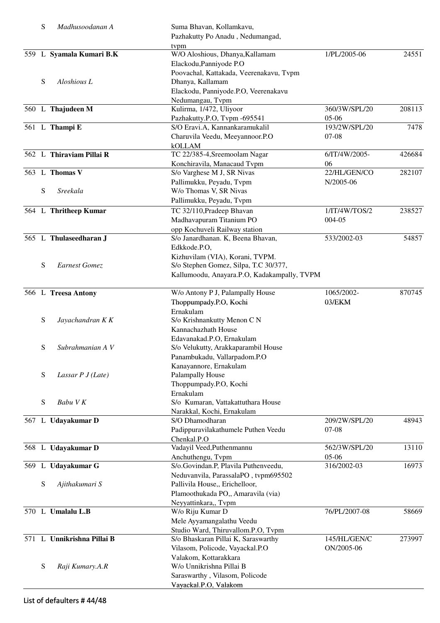| S         | Madhusoodanan A            | Suma Bhavan, Kollamkavu,<br>Pazhakutty Po Anadu, Nedumangad,                                                  |                          |        |
|-----------|----------------------------|---------------------------------------------------------------------------------------------------------------|--------------------------|--------|
|           | 559 L Syamala Kumari B.K   | tvpm<br>W/O Aloshious, Dhanya, Kallamam<br>Elackodu, Panniyode P.O<br>Poovachal, Kattakada, Veerenakavu, Tvpm | 1/PL/2005-06             | 24551  |
| S         | Aloshious L                | Dhanya, Kallamam<br>Elackodu, Panniyode.P.O, Veerenakavu                                                      |                          |        |
|           | 560 L Thajudeen M          | Nedumangau, Tvpm<br>Kulirma, 1/472, Uliyoor                                                                   | 360/3W/SPL/20            | 208113 |
|           | 561 L Thampi E             | Pazhakutty.P.O, Tvpm -695541<br>S/O Eravi.A, Kannankaramukalil                                                | $05-06$<br>193/2W/SPL/20 | 7478   |
|           |                            | Charuvila Veedu, Meeyannoor.P.O<br><b>kOLLAM</b>                                                              | $07-08$                  |        |
|           | 562 L Thiraviam Pillai R   | TC 22/385-4, Sreemoolam Nagar                                                                                 | 6/IT/4W/2005-<br>06      | 426684 |
|           | 563 L Thomas V             | Konchiravila, Manacaud Tvpm<br>S/o Varghese M J, SR Nivas                                                     | 22/HL/GEN/CO             | 282107 |
| S         | Sreekala                   | Pallimukku, Peyadu, Tvpm<br>W/o Thomas V, SR Nivas<br>Pallimukku, Peyadu, Tvpm                                | N/2005-06                |        |
|           | 564 L Thritheep Kumar      | TC 32/110, Pradeep Bhavan                                                                                     | 1/IT/4W/TOS/2            | 238527 |
|           |                            | Madhavapuram Titanium PO                                                                                      | 004-05                   |        |
|           |                            | opp Kochuveli Railway station                                                                                 |                          |        |
|           | 565 L Thulaseedharan J     | S/o Janardhanan. K, Beena Bhavan,<br>Edkkode.P.O,                                                             | 533/2002-03              | 54857  |
|           |                            | Kizhuvilam (VIA), Korani, TVPM.                                                                               |                          |        |
| ${\bf S}$ | <b>Earnest Gomez</b>       | S/o Stephen Gomez, Silpa, T.C 30/377,                                                                         |                          |        |
|           |                            | Kallumoodu, Anayara.P.O, Kadakampally, TVPM                                                                   |                          |        |
|           |                            |                                                                                                               |                          | 870745 |
|           | 566 L Treesa Antony        | W/o Antony P J, Palampally House<br>Thoppumpady.P.O, Kochi                                                    | 1065/2002-<br>03/EKM     |        |
|           |                            | Ernakulam                                                                                                     |                          |        |
| ${\bf S}$ | Jayachandran K K           | S/o Krishnankutty Menon C N                                                                                   |                          |        |
|           |                            | Kannachazhath House                                                                                           |                          |        |
|           |                            | Edavanakad.P.O, Ernakulam                                                                                     |                          |        |
| S         | Subrahmanian A V           | S/o Velukutty, Arakkaparambil House                                                                           |                          |        |
|           |                            | Panambukadu, Vallarpadom.P.O                                                                                  |                          |        |
|           |                            | Kanayannore, Ernakulam                                                                                        |                          |        |
| ${\bf S}$ | Lassar $P J(Late)$         | Palampally House                                                                                              |                          |        |
|           |                            | Thoppumpady.P.O, Kochi                                                                                        |                          |        |
|           |                            | Ernakulam                                                                                                     |                          |        |
| ${\bf S}$ | Babu VK                    | S/o Kumaran, Vattakattuthara House                                                                            |                          |        |
|           |                            | Narakkal, Kochi, Ernakulam                                                                                    | 209/2W/SPL/20            |        |
|           | 567 L Udayakumar D         | S/O Dhamodharan                                                                                               | $07-08$                  | 48943  |
|           |                            | Padippuravilakathumele Puthen Veedu<br>Chenkal.P.O                                                            |                          |        |
|           | 568 L Udayakumar D         | Vadayil Veed, Puthenmannu                                                                                     | 562/3W/SPL/20            | 13110  |
|           |                            | Anchuthengu, Tvpm                                                                                             | 05-06                    |        |
|           | 569 L Udayakumar G         | S/o.Govindan.P, Plavila Puthenveedu,                                                                          | 316/2002-03              | 16973  |
|           |                            | Neduvanvila, ParassalaPO, tvpm695502                                                                          |                          |        |
| ${\bf S}$ | Ajithakumari S             | Pallivila House,, Erichelloor,                                                                                |                          |        |
|           |                            | Plamoothukada PO,, Amaravila (via)                                                                            |                          |        |
|           |                            | Neyyattinkara,, Tvpm                                                                                          |                          |        |
|           | 570 L Umalalu L.B          | W/o Riju Kumar D                                                                                              | 76/PL/2007-08            | 58669  |
|           |                            | Mele Ayyamangalathu Veedu                                                                                     |                          |        |
|           |                            | Studio Ward, Thiruvallom.P.O, Tvpm                                                                            |                          |        |
|           | 571 L Unnikrishna Pillai B | S/o Bhaskaran Pillai K, Saraswarthy                                                                           | 145/HL/GEN/C             | 273997 |
|           |                            | Vilasom, Policode, Vayackal.P.O                                                                               | ON/2005-06               |        |
| ${\bf S}$ | Raji Kumary.A.R            | Valakom, Kottarakkara<br>W/o Unnikrishna Pillai B                                                             |                          |        |
|           |                            | Saraswarthy, Vilasom, Policode                                                                                |                          |        |
|           |                            | Vayackal.P.O, Valakom                                                                                         |                          |        |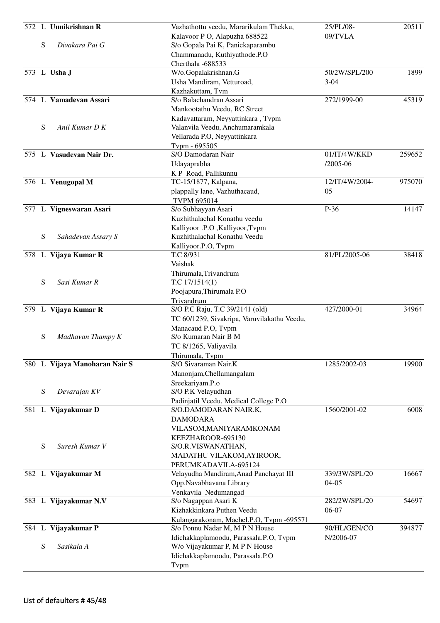|   | 572 L Unnikrishnan R          | Vazhathottu veedu, Mararikulam Thekku,                      | 25/PL/08-      | 20511  |
|---|-------------------------------|-------------------------------------------------------------|----------------|--------|
|   |                               | Kalavoor P O, Alapuzha 688522                               | 09/TVLA        |        |
| S | Divakara Pai G                | S/o Gopala Pai K, Panickaparambu                            |                |        |
|   |                               | Chammanadu, Kuthiyathode.P.O                                |                |        |
|   |                               | Cherthala -688533                                           |                |        |
|   | 573 L Usha J                  | W/o.Gopalakrishnan.G                                        | 50/2W/SPL/200  | 1899   |
|   |                               | Usha Mandiram, Vetturoad,                                   | $3 - 04$       |        |
|   |                               | Kazhakuttam, Tvm                                            |                |        |
|   | 574 L Vamadevan Assari        | S/o Balachandran Assari                                     | 272/1999-00    | 45319  |
|   |                               | Mankootathu Veedu, RC Street                                |                |        |
|   |                               | Kadavattaram, Neyyattinkara, Tvpm                           |                |        |
| S | Anil Kumar D K                | Valanvila Veedu, Anchumaramkala                             |                |        |
|   |                               | Vellarada P.O, Neyyattinkara                                |                |        |
|   |                               | Tvpm - 695505                                               |                |        |
|   | 575 L Vasudevan Nair Dr.      | S/O Damodaran Nair                                          | 01/IT/4W/KKD   | 259652 |
|   |                               | Udayaprabha                                                 | $/2005 - 06$   |        |
|   |                               | K P Road, Pallikunnu                                        |                |        |
|   | 576 L Venugopal M             | TC-15/1877, Kalpana,                                        | 12/IT/4W/2004- | 975070 |
|   |                               | plappally lane, Vazhuthacaud,                               | 05             |        |
|   |                               | <b>TVPM 695014</b>                                          |                |        |
|   | 577 L Vigneswaran Asari       | S/o Subhayyan Asari                                         | P-36           | 14147  |
|   |                               | Kuzhithalachal Konathu veedu                                |                |        |
|   |                               | Kalliyoor .P.O , Kalliyoor, Typm                            |                |        |
| S | Sahadevan Assary S            | Kuzhithalachal Konathu Veedu                                |                |        |
|   |                               | Kalliyoor.P.O, Tvpm                                         |                |        |
|   | 578 L Vijaya Kumar R          | T.C 8/931                                                   | 81/PL/2005-06  | 38418  |
|   |                               | Vaishak                                                     |                |        |
|   |                               | Thirumala, Trivandrum                                       |                |        |
| S | Sasi Kumar R                  | T.C $17/1514(1)$                                            |                |        |
|   |                               | Poojapura, Thirumala P.O                                    |                |        |
|   |                               | Trivandrum                                                  | 427/2000-01    |        |
|   | 579 L Vijaya Kumar R          | S/O P.C Raju, T.C 39/2141 (old)                             |                | 34964  |
|   |                               | TC 60/1239, Sivakripa, Varuvilakathu Veedu,                 |                |        |
|   |                               | Manacaud P.O, Tvpm<br>S/o Kumaran Nair B M                  |                |        |
| S | Madhavan Thampy K             |                                                             |                |        |
|   |                               | TC 8/1265, Valiyavila                                       |                |        |
|   | 580 L Vijaya Manoharan Nair S | Thirumala, Tvpm<br>S/O Sivaraman Nair.K                     | 1285/2002-03   | 19900  |
|   |                               |                                                             |                |        |
|   |                               | Manonjam, Chellamangalam                                    |                |        |
| S | Devarajan KV                  | Sreekariyam.P.o                                             |                |        |
|   |                               | S/O P.K Velayudhan<br>Padinjatil Veedu, Medical College P.O |                |        |
|   | 581 L Vijayakumar D           | S/O.DAMODARAN NAIR.K,                                       | 1560/2001-02   | 6008   |
|   |                               | <b>DAMODARA</b>                                             |                |        |
|   |                               | VILASOM, MANIYARAMKONAM                                     |                |        |
|   |                               | KEEZHAROOR-695130                                           |                |        |
| S | Suresh Kumar V                | S/O.R.VISWANATHAN,                                          |                |        |
|   |                               | MADATHU VILAKOM, AYIROOR,                                   |                |        |
|   |                               | PERUMKADAVILA-695124                                        |                |        |
|   | 582 L Vijayakumar M           | Velayudha Mandiram, Anad Panchayat III                      | 339/3W/SPL/20  | 16667  |
|   |                               | Opp.Navabhavana Library                                     | $04 - 05$      |        |
|   |                               | Venkavila Nedumangad                                        |                |        |
|   | 583 L Vijayakumar N.V         | S/o Nagappan Asari K                                        | 282/2W/SPL/20  | 54697  |
|   |                               | Kizhakkinkara Puthen Veedu                                  | 06-07          |        |
|   |                               | Kulangarakonam, Machel.P.O, Tvpm -695571                    |                |        |
|   | 584 L Vijayakumar P           | S/o Ponnu Nadar M, M P N House                              | 90/HL/GEN/CO   | 394877 |
|   |                               | Idichakkaplamoodu, Parassala.P.O, Tvpm                      | N/2006-07      |        |
| S | Sasikala A                    | W/o Vijayakumar P, M P N House                              |                |        |
|   |                               | Idichakkaplamoodu, Parassala.P.O                            |                |        |
|   |                               | Tvpm                                                        |                |        |
|   |                               |                                                             |                |        |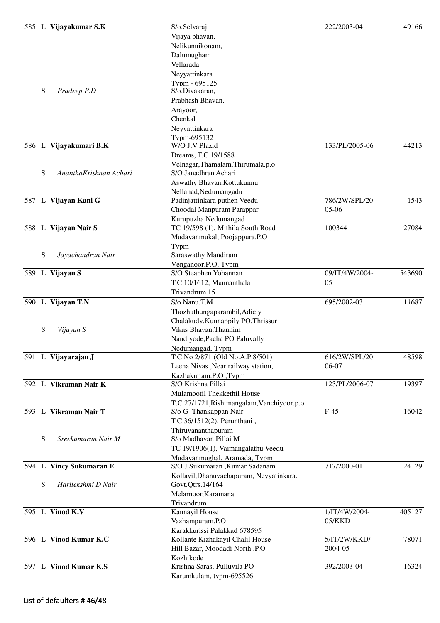|   | 585 L Vijayakumar S.K   | S/o.Selvaraj<br>Vijaya bhavan,             | 222/2003-04    | 49166  |
|---|-------------------------|--------------------------------------------|----------------|--------|
|   |                         | Nelikunnikonam,                            |                |        |
|   |                         | Dalumugham                                 |                |        |
|   |                         | Vellarada                                  |                |        |
|   |                         | Neyyattinkara                              |                |        |
|   |                         | Tvnm - 695125                              |                |        |
| S | Pradeep P.D             | S/o.Divakaran,                             |                |        |
|   |                         | Prabhash Bhavan,                           |                |        |
|   |                         | Arayoor,                                   |                |        |
|   |                         | Chenkal                                    |                |        |
|   |                         | Neyyattinkara                              |                |        |
|   |                         | Typm-695132                                |                |        |
|   | 586 L Vijayakumari B.K  | W/O J.V Plazid                             | 133/PL/2005-06 | 44213  |
|   |                         | Dreams, T.C 19/1588                        |                |        |
|   |                         | Velnagar, Thamalam, Thirumala.p.o          |                |        |
| S | AnanthaKrishnan Achari  | S/O Janadhran Achari                       |                |        |
|   |                         | Aswathy Bhavan, Kottukunnu                 |                |        |
|   |                         | Nellanad, Nedumangadu                      |                |        |
|   | 587 L Vijayan Kani G    | Padinjattinkara puthen Veedu               | 786/2W/SPL/20  | 1543   |
|   |                         | Choodal Manpuram Parappar                  | 05-06          |        |
|   |                         | Kurupuzha Nedumangad                       |                |        |
|   | 588 L Vijayan Nair S    | TC 19/598 (1), Mithila South Road          | 100344         | 27084  |
|   |                         | Mudavanmukal, Poojappura.P.O               |                |        |
|   |                         | Tvpm                                       |                |        |
| S | Jayachandran Nair       | Saraswathy Mandiram                        |                |        |
|   |                         | Venganoor.P.O, Tvpm                        |                |        |
|   | 589 L Vijayan S         | S/O Steaphen Yohannan                      | 09/IT/4W/2004- | 543690 |
|   |                         | T.C 10/1612, Mannanthala                   | 05             |        |
|   |                         | Trivandrum.15                              |                |        |
|   | 590 L Vijayan T.N       | S/o.Nanu.T.M                               | 695/2002-03    | 11687  |
|   |                         | Thozhuthungaparambil, Adicly               |                |        |
|   |                         | Chalakudy, Kunnappily PO, Thrissur         |                |        |
| S | Vijayan S               | Vikas Bhavan, Thannim                      |                |        |
|   |                         | Nandiyode, Pacha PO Paluvally              |                |        |
|   |                         | Nedumangad, Tvpm                           |                |        |
|   | 591 L Vijayarajan J     | T.C No 2/871 (Old No.A.P 8/501)            | 616/2W/SPL/20  | 48598  |
|   |                         | Leena Nivas , Near railway station,        | 06-07          |        |
|   |                         | Kazhakuttam.P.O,Tvpm                       |                |        |
|   | 592 L Vikraman Nair K   | S/O Krishna Pillai                         | 123/PL/2006-07 | 19397  |
|   |                         | Mulamootil Thekkethil House                |                |        |
|   |                         | T.C 27/1721, Rishimangalam, Vanchiyoor.p.o |                |        |
|   | 593 L Vikraman Nair T   | S/o G .Thankappan Nair                     | $F-45$         | 16042  |
|   |                         | T.C 36/1512(2), Perunthani,                |                |        |
|   |                         | Thiruvananthapuram                         |                |        |
| S | Sreekumaran Nair M      | S/o Madhavan Pillai M                      |                |        |
|   |                         | TC 19/1906(1), Vaimangalathu Veedu         |                |        |
|   |                         | Mudavanmughal, Aramada, Tvpm               |                |        |
|   | 594 L Vincy Sukumaran E | S/O J.Sukumaran ,Kumar Sadanam             | 717/2000-01    | 24129  |
|   |                         | Kollayil, Dhanuvachapuram, Neyyatinkara.   |                |        |
| S | Harilekshmi D Nair      | Govt.Qtrs.14/164                           |                |        |
|   |                         | Melarnoor, Karamana                        |                |        |
|   |                         | Trivandrum                                 |                |        |
|   | 595 L Vinod K.V         | Kannayil House                             | 1/IT/4W/2004-  | 405127 |
|   |                         | Vazhampuram.P.O                            | 05/KKD         |        |
|   |                         | Karakkurissi Palakkad 678595               |                |        |
|   | 596 L Vinod Kumar K.C   | Kollante Kizhakayil Chalil House           | 5/IT/2W/KKD/   | 78071  |
|   |                         | Hill Bazar, Moodadi North .P.O             | 2004-05        |        |
|   |                         | Kozhikode                                  |                |        |
|   | 597 L Vinod Kumar K.S   | Krishna Saras, Pulluvila PO                | 392/2003-04    | 16324  |
|   |                         | Karumkulam, tvpm-695526                    |                |        |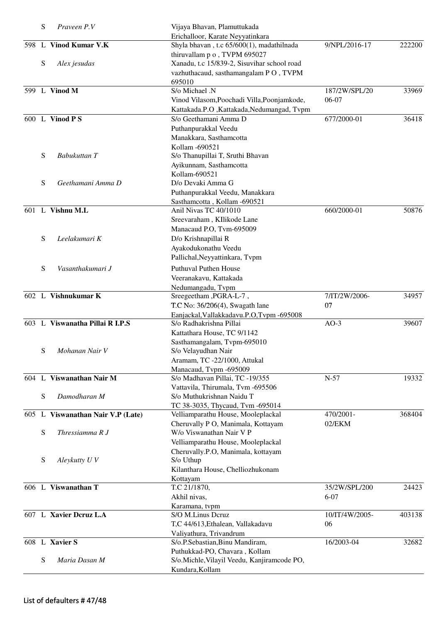|     | S | Praveen P.V                       | Vijaya Bhavan, Plamuttukada                           |                |        |
|-----|---|-----------------------------------|-------------------------------------------------------|----------------|--------|
|     |   |                                   | Erichalloor, Karate Neyyatinkara                      |                |        |
| 598 | L | Vinod Kumar V.K                   | Shyla bhavan, t.c 65/600(1), madathilnada             | 9/NPL/2016-17  | 222200 |
|     |   |                                   | thiruvallam p o, TVPM 695027                          |                |        |
|     | S | Alex jesudas                      | Xanadu, t.c 15/839-2, Sisuvihar school road           |                |        |
|     |   |                                   | vazhuthacaud, sasthamangalam PO, TVPM                 |                |        |
|     |   |                                   | 695010                                                |                |        |
|     |   | 599 L Vinod M                     | S/o Michael .N                                        | 187/2W/SPL/20  | 33969  |
|     |   |                                   | Vinod Vilasom, Poochadi Villa, Poonjamkode,           | 06-07          |        |
|     |   |                                   | Kattakada.P.O, Kattakada, Nedumangad, Tvpm            |                |        |
|     |   | 600 L Vinod P S                   | S/o Geethamani Amma D                                 | 677/2000-01    | 36418  |
|     |   |                                   | Puthanpurakkal Veedu                                  |                |        |
|     |   |                                   | Manakkara, Sasthamcotta                               |                |        |
|     |   |                                   | Kollam -690521                                        |                |        |
|     | S | Babukuttan T                      | S/o Thanupillai T, Sruthi Bhavan                      |                |        |
|     |   |                                   | Ayikunnam, Sasthamcotta                               |                |        |
|     |   |                                   | Kollam-690521                                         |                |        |
|     | S | Geethamani Amma D                 | D/o Devaki Amma G                                     |                |        |
|     |   |                                   |                                                       |                |        |
|     |   |                                   | Puthanpurakkal Veedu, Manakkara                       |                |        |
|     |   | 601 L Vishnu M.L                  | Sasthamcotta, Kollam -690521<br>Anil Nivas TC 40/1010 | 660/2000-01    | 50876  |
|     |   |                                   |                                                       |                |        |
|     |   |                                   | Sreevaraham, KIlikode Lane                            |                |        |
|     |   |                                   | Manacaud P.O, Tvm-695009                              |                |        |
|     | S | Leelakumari K                     | D/o Krishnapillai R                                   |                |        |
|     |   |                                   | Ayakodukonathu Veedu                                  |                |        |
|     |   |                                   | Pallichal, Neyyattinkara, Tvpm                        |                |        |
|     | S | Vasanthakumari J                  | <b>Puthuval Puthen House</b>                          |                |        |
|     |   |                                   | Veeranakavu, Kattakada                                |                |        |
|     |   |                                   | Nedumangadu, Tvpm                                     |                |        |
|     |   | 602 L Vishnukumar K               | Sreegeetham , PGRA-L-7,                               | 7/IT/2W/2006-  | 34957  |
|     |   |                                   | T.C No: 36/206(4), Swagath lane                       | 07             |        |
|     |   |                                   | Eanjackal, Vallakkadavu.P.O, Tvpm -695008             |                |        |
|     |   | 603 L Viswanatha Pillai R I.P.S   | S/o Radhakrishna Pillai                               | $AO-3$         | 39607  |
|     |   |                                   | Kattathara House, TC 9/1142                           |                |        |
|     |   |                                   | Sasthamangalam, Tvpm-695010                           |                |        |
|     | S | Mohanan Nair V                    | S/o Velayudhan Nair                                   |                |        |
|     |   |                                   | Aramam, TC -22/1000, Attukal                          |                |        |
|     |   |                                   | Manacaud, Tvpm -695009                                |                |        |
| 604 |   | L Viswanathan Nair M              | S/o Madhavan Pillai, TC -19/355                       | $N-57$         | 19332  |
|     |   |                                   | Vattavila, Thirumala, Tvm -695506                     |                |        |
|     | S | Damodharan M                      | S/o Muthukrishnan Naidu T                             |                |        |
|     |   |                                   | TC 38-3035, Thycaud, Tvm -695014                      |                |        |
|     |   | 605 L Viswanathan Nair V.P (Late) | Velliamparathu House, Mooleplackal                    | 470/2001-      | 368404 |
|     |   |                                   | Cheruvally P O, Manimala, Kottayam                    | 02/EKM         |        |
|     | S | Thressiamma R J                   | W/o Viswanathan Nair V P                              |                |        |
|     |   |                                   |                                                       |                |        |
|     |   |                                   | Velliamparathu House, Mooleplackal                    |                |        |
|     |   |                                   | Cheruvally.P.O, Manimala, kottayam                    |                |        |
|     | S | Aleykutty U V                     | S/o Uthup                                             |                |        |
|     |   |                                   | Kilanthara House, Chelliozhukonam                     |                |        |
|     |   |                                   | Kottayam                                              |                |        |
|     |   | 606 L Viswanathan T               | T.C 21/1870,                                          | 35/2W/SPL/200  | 24423  |
|     |   |                                   | Akhil nivas,                                          | $6 - 07$       |        |
|     |   |                                   | Karamana, tvpm                                        |                |        |
|     |   | 607 L Xavier Dcruz L.A            | S/O M.Linus Dcruz                                     | 10/IT/4W/2005- | 403138 |
|     |   |                                   | T,C 44/613, Ethalean, Vallakadavu                     | 06             |        |
|     |   |                                   | Valiyathura, Trivandrum                               |                |        |
|     |   | 608 L Xavier S                    | S/o.P.Sebastian, Binu Mandiram,                       | 16/2003-04     | 32682  |
|     |   |                                   | Puthukkad-PO, Chavara, Kollam                         |                |        |
|     | S | Maria Dasan M                     | S/o.Michle, Vilayil Veedu, Kanjiramcode PO,           |                |        |
|     |   |                                   | Kundara, Kollam                                       |                |        |